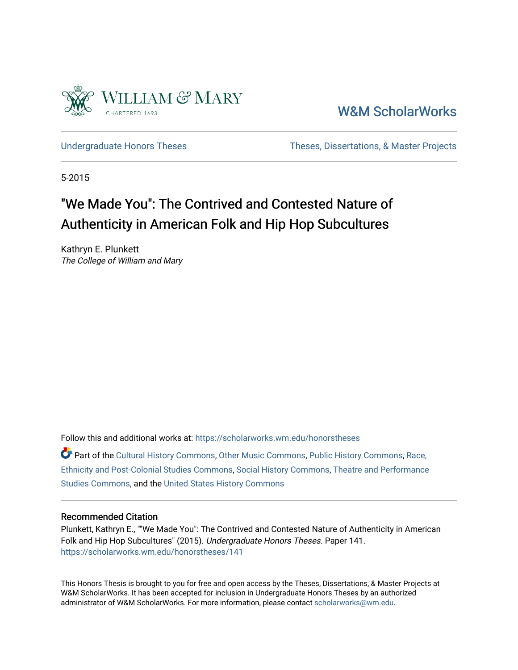

[W&M ScholarWorks](https://scholarworks.wm.edu/) 

[Undergraduate Honors Theses](https://scholarworks.wm.edu/honorstheses) Theses Theses, Dissertations, & Master Projects

5-2015

# "We Made You": The Contrived and Contested Nature of Authenticity in American Folk and Hip Hop Subcultures

Kathryn E. Plunkett The College of William and Mary

Follow this and additional works at: [https://scholarworks.wm.edu/honorstheses](https://scholarworks.wm.edu/honorstheses?utm_source=scholarworks.wm.edu%2Fhonorstheses%2F141&utm_medium=PDF&utm_campaign=PDFCoverPages) 

Part of the [Cultural History Commons](http://network.bepress.com/hgg/discipline/496?utm_source=scholarworks.wm.edu%2Fhonorstheses%2F141&utm_medium=PDF&utm_campaign=PDFCoverPages), [Other Music Commons](http://network.bepress.com/hgg/discipline/524?utm_source=scholarworks.wm.edu%2Fhonorstheses%2F141&utm_medium=PDF&utm_campaign=PDFCoverPages), [Public History Commons](http://network.bepress.com/hgg/discipline/1292?utm_source=scholarworks.wm.edu%2Fhonorstheses%2F141&utm_medium=PDF&utm_campaign=PDFCoverPages), [Race,](http://network.bepress.com/hgg/discipline/566?utm_source=scholarworks.wm.edu%2Fhonorstheses%2F141&utm_medium=PDF&utm_campaign=PDFCoverPages)  [Ethnicity and Post-Colonial Studies Commons](http://network.bepress.com/hgg/discipline/566?utm_source=scholarworks.wm.edu%2Fhonorstheses%2F141&utm_medium=PDF&utm_campaign=PDFCoverPages), [Social History Commons,](http://network.bepress.com/hgg/discipline/506?utm_source=scholarworks.wm.edu%2Fhonorstheses%2F141&utm_medium=PDF&utm_campaign=PDFCoverPages) [Theatre and Performance](http://network.bepress.com/hgg/discipline/552?utm_source=scholarworks.wm.edu%2Fhonorstheses%2F141&utm_medium=PDF&utm_campaign=PDFCoverPages)  [Studies Commons,](http://network.bepress.com/hgg/discipline/552?utm_source=scholarworks.wm.edu%2Fhonorstheses%2F141&utm_medium=PDF&utm_campaign=PDFCoverPages) and the [United States History Commons](http://network.bepress.com/hgg/discipline/495?utm_source=scholarworks.wm.edu%2Fhonorstheses%2F141&utm_medium=PDF&utm_campaign=PDFCoverPages)

#### Recommended Citation

Plunkett, Kathryn E., ""We Made You": The Contrived and Contested Nature of Authenticity in American Folk and Hip Hop Subcultures" (2015). Undergraduate Honors Theses. Paper 141. [https://scholarworks.wm.edu/honorstheses/141](https://scholarworks.wm.edu/honorstheses/141?utm_source=scholarworks.wm.edu%2Fhonorstheses%2F141&utm_medium=PDF&utm_campaign=PDFCoverPages) 

This Honors Thesis is brought to you for free and open access by the Theses, Dissertations, & Master Projects at W&M ScholarWorks. It has been accepted for inclusion in Undergraduate Honors Theses by an authorized administrator of W&M ScholarWorks. For more information, please contact [scholarworks@wm.edu.](mailto:scholarworks@wm.edu)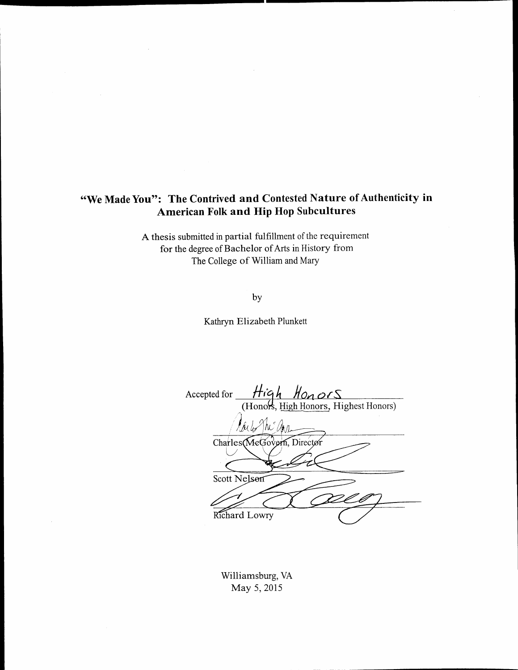## "We Made You": The Contrived and Contested Nature of Authenticity in **American Folk and Hip Hop Subcultures**

A thesis submitted in partial fulfillment of the requirement for the degree of Bachelor of Arts in History from The College of William and Mary

by

Kathryn Elizabeth Plunkett

| High Honors<br>Accepted for           |
|---------------------------------------|
| (Honors, High Honors, Highest Honors) |
| lack the are                          |
| Charles (MeGovern, Director           |
|                                       |
| Scott Nelson                          |
|                                       |
| Richard Lowry                         |

Williamsburg, VA May 5, 2015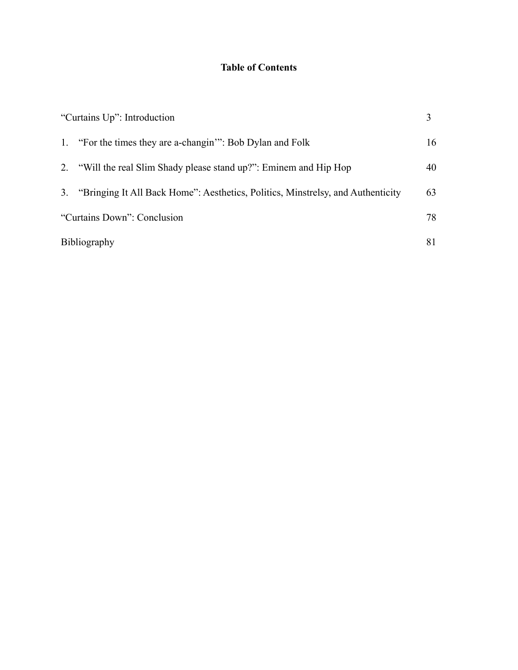### **Table of Contents**

| "Curtains Up": Introduction |                                                                                    | 3  |
|-----------------------------|------------------------------------------------------------------------------------|----|
| 1.                          | "For the times they are a-changin"": Bob Dylan and Folk                            | 16 |
| 2.                          | "Will the real Slim Shady please stand up?": Eminem and Hip Hop                    | 40 |
|                             | 3. "Bringing It All Back Home": Aesthetics, Politics, Minstrelsy, and Authenticity | 63 |
| "Curtains Down": Conclusion |                                                                                    | 78 |
| <b>Bibliography</b>         |                                                                                    | 81 |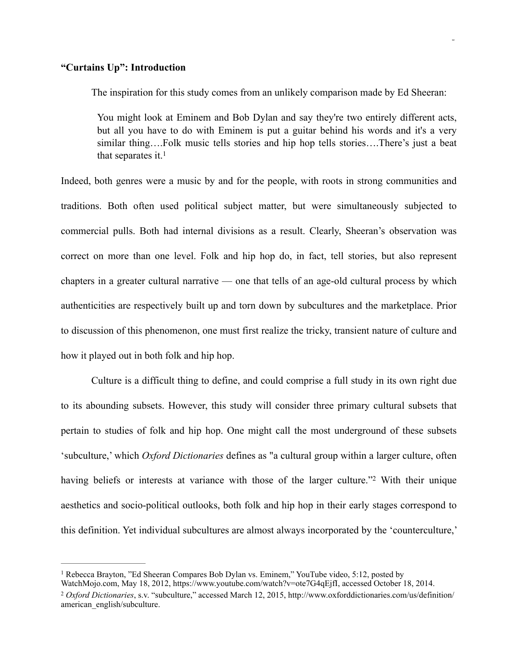### **"Curtains Up": Introduction**

The inspiration for this study comes from an unlikely comparison made by Ed Sheeran:

 $\overline{a}$ 

You might look at Eminem and Bob Dylan and say they're two entirely different acts, but all you have to do with Eminem is put a guitar behind his words and it's a very similar thing….Folk music tells stories and hip hop tells stories….There's just a beat that separates it.<sup>1</sup>

Indeed, both genres were a music by and for the people, with roots in strong communities and traditions. Both often used political subject matter, but were simultaneously subjected to commercial pulls. Both had internal divisions as a result. Clearly, Sheeran's observation was correct on more than one level. Folk and hip hop do, in fact, tell stories, but also represent chapters in a greater cultural narrative — one that tells of an age-old cultural process by which authenticities are respectively built up and torn down by subcultures and the marketplace. Prior to discussion of this phenomenon, one must first realize the tricky, transient nature of culture and how it played out in both folk and hip hop.

 Culture is a difficult thing to define, and could comprise a full study in its own right due to its abounding subsets. However, this study will consider three primary cultural subsets that pertain to studies of folk and hip hop. One might call the most underground of these subsets 'subculture,' which *Oxford Dictionaries* defines as "a cultural group within a larger culture, often having beliefs or interests at variance with those of the larger culture."<sup>2</sup> With their unique aesthetics and socio-political outlooks, both folk and hip hop in their early stages correspond to this definition. Yet individual subcultures are almost always incorporated by the 'counterculture,'

<sup>&</sup>lt;sup>1</sup> Rebecca Brayton, "Ed Sheeran Compares Bob Dylan vs. Eminem," YouTube video, 5:12, posted by

WatchMojo.com, May 18, 2012, https://www.youtube.com/watch?v=ote7G4qEjfI, accessed October 18, 2014.

*Oxford Dictionaries*, s.v. "subculture," accessed March 12, 2015, http://www.oxforddictionaries.com/us/definition/ <sup>2</sup> american\_english/subculture.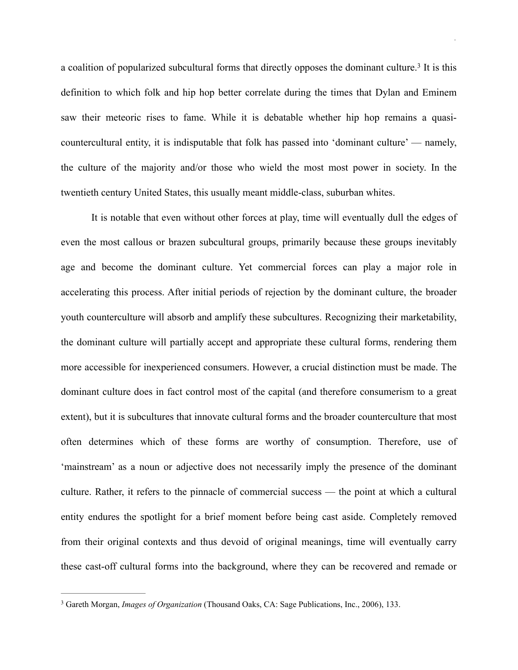a coalition of popularized subcultural forms that directly opposes the dominant culture.<sup>3</sup> It is this definition to which folk and hip hop better correlate during the times that Dylan and Eminem saw their meteoric rises to fame. While it is debatable whether hip hop remains a quasicountercultural entity, it is indisputable that folk has passed into 'dominant culture' — namely, the culture of the majority and/or those who wield the most most power in society. In the twentieth century United States, this usually meant middle-class, suburban whites.

4

 It is notable that even without other forces at play, time will eventually dull the edges of even the most callous or brazen subcultural groups, primarily because these groups inevitably age and become the dominant culture. Yet commercial forces can play a major role in accelerating this process. After initial periods of rejection by the dominant culture, the broader youth counterculture will absorb and amplify these subcultures. Recognizing their marketability, the dominant culture will partially accept and appropriate these cultural forms, rendering them more accessible for inexperienced consumers. However, a crucial distinction must be made. The dominant culture does in fact control most of the capital (and therefore consumerism to a great extent), but it is subcultures that innovate cultural forms and the broader counterculture that most often determines which of these forms are worthy of consumption. Therefore, use of 'mainstream' as a noun or adjective does not necessarily imply the presence of the dominant culture. Rather, it refers to the pinnacle of commercial success — the point at which a cultural entity endures the spotlight for a brief moment before being cast aside. Completely removed from their original contexts and thus devoid of original meanings, time will eventually carry these cast-off cultural forms into the background, where they can be recovered and remade or

<sup>&</sup>lt;sup>3</sup> Gareth Morgan, *Images of Organization* (Thousand Oaks, CA: Sage Publications, Inc., 2006), 133.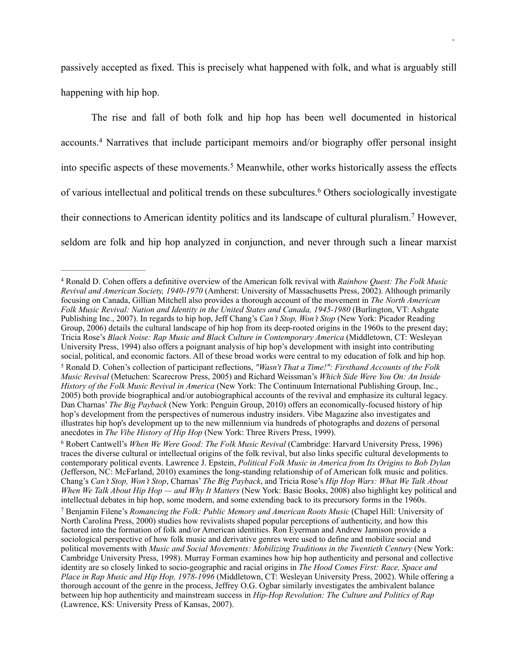passively accepted as fixed. This is precisely what happened with folk, and what is arguably still happening with hip hop.

 The rise and fall of both folk and hip hop has been well documented in historical accounts.<sup>4</sup> Narratives that include participant memoirs and/or biography offer personal insight into specific aspects of these movements.<sup>5</sup> Meanwhile, other works historically assess the effects of various intellectual and political trends on these subcultures. Others sociologically investigate 6 their connections to American identity politics and its landscape of cultural pluralism.<sup>7</sup> However, seldom are folk and hip hop analyzed in conjunction, and never through such a linear marxist

Ronald D. Cohen offers a definitive overview of the American folk revival with *Rainbow Quest: The Folk Music* <sup>4</sup> *Revival and American Society, 1940-1970* (Amherst: University of Massachusetts Press, 2002). Although primarily focusing on Canada, Gillian Mitchell also provides a thorough account of the movement in *The North American Folk Music Revival: Nation and Identity in the United States and Canada, 1945-1980 (Burlington, VT: Ashgate* Publishing Inc., 2007). In regards to hip hop, Jeff Chang's *Can't Stop, Won't Stop* (New York: Picador Reading Group, 2006) details the cultural landscape of hip hop from its deep-rooted origins in the 1960s to the present day; Tricia Rose's *Black Noise: Rap Music and Black Culture in Contemporary America* (Middletown, CT: Wesleyan University Press, 1994) also offers a poignant analysis of hip hop's development with insight into contributing social, political, and economic factors. All of these broad works were central to my education of folk and hip hop.

Ronald D. Cohen's collection of participant reflections, *"Wasn't That a Time!": Firsthand Accounts of the Folk* <sup>5</sup> *Music Revival* (Metuchen: Scarecrow Press, 2005) and Richard Weissman's *Which Side Were You On: An Inside History of the Folk Music Revival in America* (New York: The Continuum International Publishing Group, Inc., 2005) both provide biographical and/or autobiographical accounts of the revival and emphasize its cultural legacy. Dan Charnas' *The Big Payback* (New York: Penguin Group, 2010) offers an economically-focused history of hip hop's development from the perspectives of numerous industry insiders. Vibe Magazine also investigates and illustrates hip hop's development up to the new millennium via hundreds of photographs and dozens of personal anecdotes in *The Vibe History of Hip Hop* (New York: Three Rivers Press, 1999).

Robert Cantwell's *When We Were Good: The Folk Music Revival* (Cambridge: Harvard University Press, 1996) 6 traces the diverse cultural or intellectual origins of the folk revival, but also links specific cultural developments to contemporary political events. Lawrence J. Epstein, *Political Folk Music in America from Its Origins to Bob Dylan* (Jefferson, NC: McFarland, 2010) examines the long-standing relationship of of American folk music and politics. Chang's *Can't Stop, Won't Stop*, Charnas' *The Big Payback*, and Tricia Rose's *Hip Hop Wars: What We Talk About When We Talk About Hip Hop — and Why It Matters* (New York: Basic Books, 2008) also highlight key political and intellectual debates in hip hop, some modern, and some extending back to its precursory forms in the 1960s.

Benjamin Filene's *Romancing the Folk: Public Memory and American Roots Music* (Chapel Hill: University of 7 North Carolina Press, 2000) studies how revivalists shaped popular perceptions of authenticity, and how this factored into the formation of folk and/or American identities. Ron Eyerman and Andrew Jamison provide a sociological perspective of how folk music and derivative genres were used to define and mobilize social and political movements with *Music and Social Movements: Mobilizing Traditions in the Twentieth Century* (New York: Cambridge University Press, 1998). Murray Forman examines how hip hop authenticity and personal and collective identity are so closely linked to socio-geographic and racial origins in *The Hood Comes First: Race, Space and Place in Rap Music and Hip Hop, 1978-1996* (Middletown, CT: Wesleyan University Press, 2002). While offering a thorough account of the genre in the process, Jeffrey O.G. Ogbar similarly investigates the ambivalent balance between hip hop authenticity and mainstream success in *Hip-Hop Revolution: The Culture and Politics of Rap*  (Lawrence, KS: University Press of Kansas, 2007).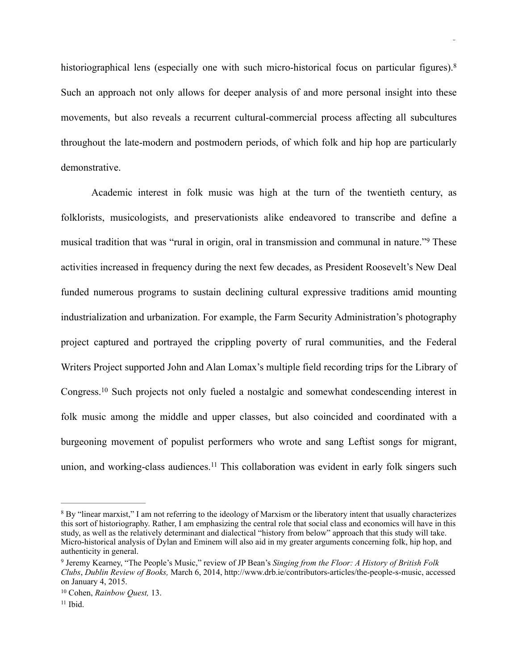historiographical lens (especially one with such micro-historical focus on particular figures).<sup>8</sup> Such an approach not only allows for deeper analysis of and more personal insight into these movements, but also reveals a recurrent cultural-commercial process affecting all subcultures throughout the late-modern and postmodern periods, of which folk and hip hop are particularly demonstrative.

 $\ddot{\phantom{0}}$ 

 Academic interest in folk music was high at the turn of the twentieth century, as folklorists, musicologists, and preservationists alike endeavored to transcribe and define a musical tradition that was "rural in origin, oral in transmission and communal in nature."<sup>9</sup> These activities increased in frequency during the next few decades, as President Roosevelt's New Deal funded numerous programs to sustain declining cultural expressive traditions amid mounting industrialization and urbanization. For example, the Farm Security Administration's photography project captured and portrayed the crippling poverty of rural communities, and the Federal Writers Project supported John and Alan Lomax's multiple field recording trips for the Library of Congress.<sup>10</sup> Such projects not only fueled a nostalgic and somewhat condescending interest in folk music among the middle and upper classes, but also coincided and coordinated with a burgeoning movement of populist performers who wrote and sang Leftist songs for migrant, union, and working-class audiences.<sup>11</sup> This collaboration was evident in early folk singers such

<sup>&</sup>lt;sup>8</sup> By "linear marxist," I am not referring to the ideology of Marxism or the liberatory intent that usually characterizes this sort of historiography. Rather, I am emphasizing the central role that social class and economics will have in this study, as well as the relatively determinant and dialectical "history from below" approach that this study will take. Micro-historical analysis of Dylan and Eminem will also aid in my greater arguments concerning folk, hip hop, and authenticity in general.

<sup>&</sup>lt;sup>9</sup> Jeremy Kearney, "The People's Music," review of JP Bean's *Singing from the Floor: A History of British Folk Clubs*, *Dublin Review of Books,* March 6, 2014, http://www.drb.ie/contributors-articles/the-people-s-music, accessed on January 4, 2015.

<sup>&</sup>lt;sup>10</sup> Cohen, *Rainbow Quest*, 13.

 $11$  Ibid.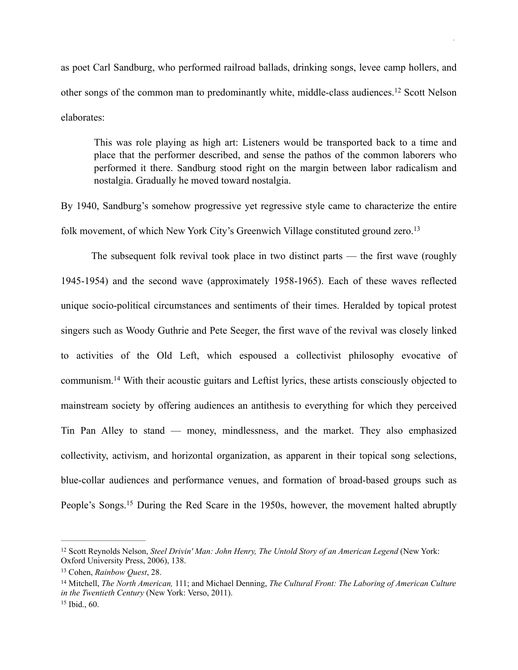as poet Carl Sandburg, who performed railroad ballads, drinking songs, levee camp hollers, and other songs of the common man to predominantly white, middle-class audiences.<sup>12</sup> Scott Nelson elaborates:

This was role playing as high art: Listeners would be transported back to a time and place that the performer described, and sense the pathos of the common laborers who performed it there. Sandburg stood right on the margin between labor radicalism and nostalgia. Gradually he moved toward nostalgia.

7

By 1940, Sandburg's somehow progressive yet regressive style came to characterize the entire folk movement, of which New York City's Greenwich Village constituted ground zero.<sup>13</sup>

 The subsequent folk revival took place in two distinct parts — the first wave (roughly 1945-1954) and the second wave (approximately 1958-1965). Each of these waves reflected unique socio-political circumstances and sentiments of their times. Heralded by topical protest singers such as Woody Guthrie and Pete Seeger, the first wave of the revival was closely linked to activities of the Old Left, which espoused a collectivist philosophy evocative of communism.<sup>14</sup> With their acoustic guitars and Leftist lyrics, these artists consciously objected to mainstream society by offering audiences an antithesis to everything for which they perceived Tin Pan Alley to stand — money, mindlessness, and the market. They also emphasized collectivity, activism, and horizontal organization, as apparent in their topical song selections, blue-collar audiences and performance venues, and formation of broad-based groups such as People's Songs.<sup>15</sup> During the Red Scare in the 1950s, however, the movement halted abruptly

<sup>&</sup>lt;sup>12</sup> Scott Reynolds Nelson, *Steel Drivin' Man: John Henry, The Untold Story of an American Legend* (New York: Oxford University Press, 2006), 138.

<sup>&</sup>lt;sup>13</sup> Cohen, *Rainbow Quest*, 28.

<sup>&</sup>lt;sup>14</sup> Mitchell, *The North American*, 111; and Michael Denning, *The Cultural Front: The Laboring of American Culture in the Twentieth Century* (New York: Verso, 2011).

 $15$  Ibid., 60.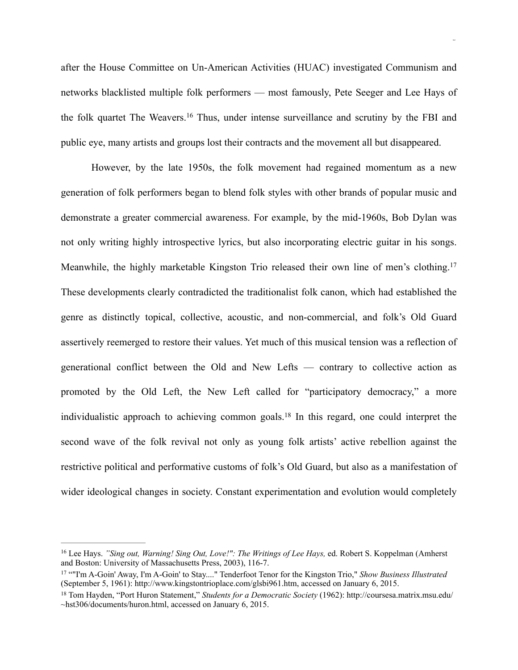after the House Committee on Un-American Activities (HUAC) investigated Communism and networks blacklisted multiple folk performers — most famously, Pete Seeger and Lee Hays of the folk quartet The Weavers.<sup>16</sup> Thus, under intense surveillance and scrutiny by the FBI and public eye, many artists and groups lost their contracts and the movement all but disappeared.

 However, by the late 1950s, the folk movement had regained momentum as a new generation of folk performers began to blend folk styles with other brands of popular music and demonstrate a greater commercial awareness. For example, by the mid-1960s, Bob Dylan was not only writing highly introspective lyrics, but also incorporating electric guitar in his songs. Meanwhile, the highly marketable Kingston Trio released their own line of men's clothing.<sup>17</sup> These developments clearly contradicted the traditionalist folk canon, which had established the genre as distinctly topical, collective, acoustic, and non-commercial, and folk's Old Guard assertively reemerged to restore their values. Yet much of this musical tension was a reflection of generational conflict between the Old and New Lefts — contrary to collective action as promoted by the Old Left, the New Left called for "participatory democracy," a more individualistic approach to achieving common goals.<sup>18</sup> In this regard, one could interpret the second wave of the folk revival not only as young folk artists' active rebellion against the restrictive political and performative customs of folk's Old Guard, but also as a manifestation of wider ideological changes in society. Constant experimentation and evolution would completely

<sup>&</sup>lt;sup>16</sup> Lee Hays. "Sing out, Warning! Sing Out, Love!": The Writings of Lee Hays, ed. Robert S. Koppelman (Amherst and Boston: University of Massachusetts Press, 2003), 116-7.

<sup>&</sup>lt;sup>17</sup> ""I'm A-Goin' Away, I'm A-Goin' to Stay...." Tenderfoot Tenor for the Kingston Trio," *Show Business Illustrated* (September 5, 1961): http://www.kingstontrioplace.com/glsbi961.htm, accessed on January 6, 2015.

Tom Hayden, "Port Huron Statement," *Students for a Democratic Society* (1962): http://coursesa.matrix.msu.edu/ <sup>18</sup> ~hst306/documents/huron.html, accessed on January 6, 2015.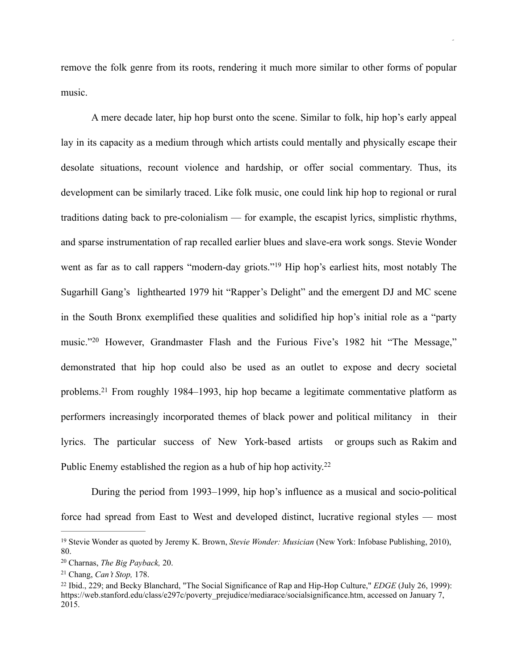remove the folk genre from its roots, rendering it much more similar to other forms of popular music.

9

 A mere decade later, hip hop burst onto the scene. Similar to folk, hip hop's early appeal lay in its capacity as a medium through which artists could mentally and physically escape their desolate situations, recount violence and hardship, or offer social commentary. Thus, its development can be similarly traced. Like folk music, one could link hip hop to regional or rural traditions dating back to pre-colonialism — for example, the escapist lyrics, simplistic rhythms, and sparse instrumentation of rap recalled earlier blues and slave-era work songs. Stevie Wonder went as far as to call rappers "modern-day griots."<sup>19</sup> Hip hop's earliest hits, most notably The Sugarhill Gang's lighthearted 1979 hit "Rapper's Delight" and the emergent DJ and MC scene in the South Bronx exemplified these qualities and solidified hip hop's initial role as a "party music."<sup>20</sup> However, Grandmaster Flash and the Furious Five's 1982 hit "The Message," demonstrated that hip hop could also be used as an outlet to expose and decry societal problems.<sup>21</sup> From roughly 1984–1993, hip hop became a legitimate commentative platform as performers increasingly incorporated themes of black power and political militancy in their lyrics. The particular success of New York-based artists or groups such as Rakim and Public Enemy established the region as a hub of hip hop activity.<sup>22</sup>

 During the period from 1993–1999, hip hop's influence as a musical and socio-political force had spread from East to West and developed distinct, lucrative regional styles — most

<sup>&</sup>lt;sup>19</sup> Stevie Wonder as quoted by Jeremy K. Brown, *Stevie Wonder: Musician* (New York: Infobase Publishing, 2010), 80.

<sup>&</sup>lt;sup>20</sup> Charnas, *The Big Payback*, 20.

<sup>&</sup>lt;sup>21</sup> Chang, *Can't Stop*, 178.

<sup>&</sup>lt;sup>22</sup> Ibid., 229; and Becky Blanchard, "The Social Significance of Rap and Hip-Hop Culture," *EDGE* (July 26, 1999): https://web.stanford.edu/class/e297c/poverty\_prejudice/mediarace/socialsignificance.htm, accessed on January 7, 2015.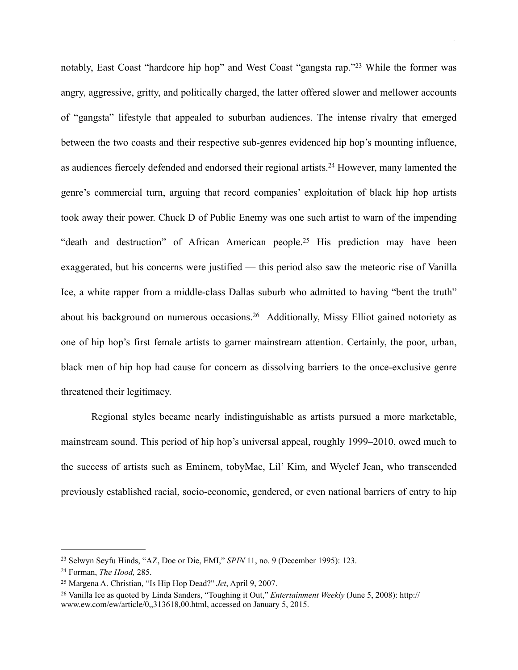notably, East Coast "hardcore hip hop" and West Coast "gangsta rap."<sup>23</sup> While the former was angry, aggressive, gritty, and politically charged, the latter offered slower and mellower accounts of "gangsta" lifestyle that appealed to suburban audiences. The intense rivalry that emerged between the two coasts and their respective sub-genres evidenced hip hop's mounting influence, as audiences fiercely defended and endorsed their regional artists.<sup>24</sup> However, many lamented the genre's commercial turn, arguing that record companies' exploitation of black hip hop artists took away their power. Chuck D of Public Enemy was one such artist to warn of the impending "death and destruction" of African American people.<sup>25</sup> His prediction may have been exaggerated, but his concerns were justified — this period also saw the meteoric rise of Vanilla Ice, a white rapper from a middle-class Dallas suburb who admitted to having "bent the truth" about his background on numerous occasions.<sup>26</sup> Additionally, Missy Elliot gained notoriety as one of hip hop's first female artists to garner mainstream attention. Certainly, the poor, urban, black men of hip hop had cause for concern as dissolving barriers to the once-exclusive genre threatened their legitimacy.

 $\ddot{\phantom{0}}$ 

 Regional styles became nearly indistinguishable as artists pursued a more marketable, mainstream sound. This period of hip hop's universal appeal, roughly 1999–2010, owed much to the success of artists such as Eminem, tobyMac, Lil' Kim, and Wyclef Jean, who transcended previously established racial, socio-economic, gendered, or even national barriers of entry to hip

<sup>&</sup>lt;sup>23</sup> Selwyn Seyfu Hinds, "AZ, Doe or Die, EMI," *SPIN* 11, no. 9 (December 1995): 123.

<sup>&</sup>lt;sup>24</sup> Forman, *The Hood*, 285.

<sup>&</sup>lt;sup>25</sup> Margena A. Christian, "Is Hip Hop Dead?" *Jet*, April 9, 2007.

<sup>&</sup>lt;sup>26</sup> Vanilla Ice as quoted by Linda Sanders, "Toughing it Out," *Entertainment Weekly* (June 5, 2008): http:// www.ew.com/ew/article/0,,313618,00.html, accessed on January 5, 2015.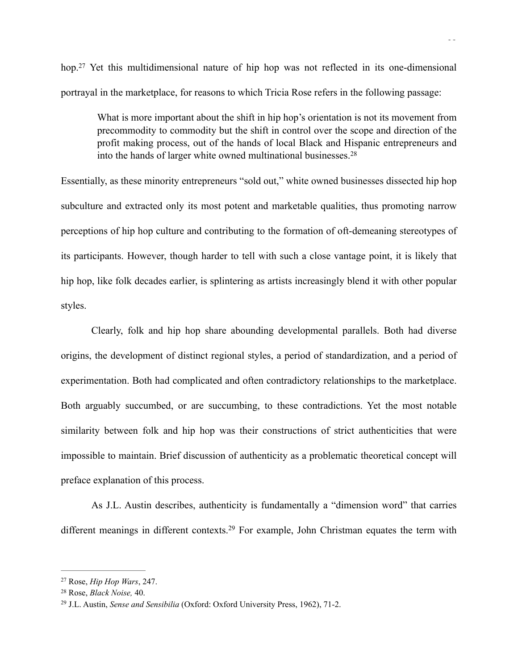hop.<sup>27</sup> Yet this multidimensional nature of hip hop was not reflected in its one-dimensional portrayal in the marketplace, for reasons to which Tricia Rose refers in the following passage:

What is more important about the shift in hip hop's orientation is not its movement from precommodity to commodity but the shift in control over the scope and direction of the profit making process, out of the hands of local Black and Hispanic entrepreneurs and into the hands of larger white owned multinational businesses.28

Essentially, as these minority entrepreneurs "sold out," white owned businesses dissected hip hop subculture and extracted only its most potent and marketable qualities, thus promoting narrow perceptions of hip hop culture and contributing to the formation of oft-demeaning stereotypes of its participants. However, though harder to tell with such a close vantage point, it is likely that hip hop, like folk decades earlier, is splintering as artists increasingly blend it with other popular styles.

 Clearly, folk and hip hop share abounding developmental parallels. Both had diverse origins, the development of distinct regional styles, a period of standardization, and a period of experimentation. Both had complicated and often contradictory relationships to the marketplace. Both arguably succumbed, or are succumbing, to these contradictions. Yet the most notable similarity between folk and hip hop was their constructions of strict authenticities that were impossible to maintain. Brief discussion of authenticity as a problematic theoretical concept will preface explanation of this process.

 As J.L. Austin describes, authenticity is fundamentally a "dimension word" that carries different meanings in different contexts.<sup>29</sup> For example, John Christman equates the term with

<sup>&</sup>lt;sup>27</sup> Rose, *Hip Hop Wars*, 247.

Rose, *Black Noise,* 40. <sup>28</sup>

<sup>&</sup>lt;sup>29</sup> J.L. Austin, *Sense and Sensibilia* (Oxford: Oxford University Press, 1962), 71-2.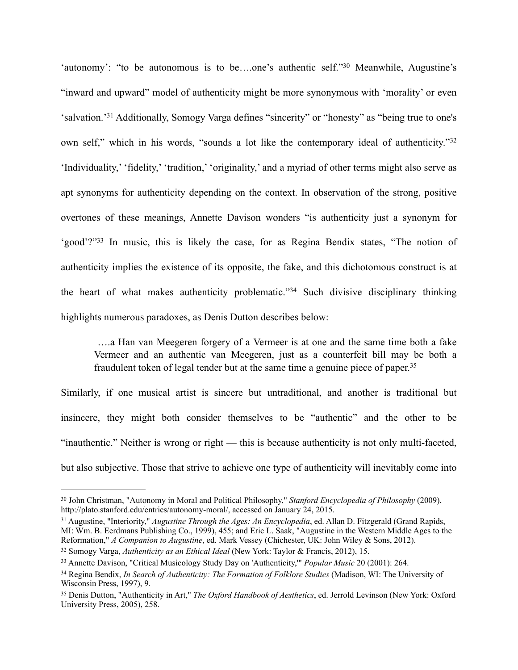'autonomy': "to be autonomous is to be....one's authentic self."<sup>30</sup> Meanwhile, Augustine's "inward and upward" model of authenticity might be more synonymous with 'morality' or even 'salvation.<sup>'31</sup> Additionally, Somogy Varga defines "sincerity" or "honesty" as "being true to one's own self," which in his words, "sounds a lot like the contemporary ideal of authenticity."<sup>32</sup> 'Individuality,' 'fidelity,' 'tradition,' 'originality,' and a myriad of other terms might also serve as apt synonyms for authenticity depending on the context. In observation of the strong, positive overtones of these meanings, Annette Davison wonders "is authenticity just a synonym for 'good'?"<sup>33</sup> In music, this is likely the case, for as Regina Bendix states, "The notion of authenticity implies the existence of its opposite, the fake, and this dichotomous construct is at the heart of what makes authenticity problematic."<sup>34</sup> Such divisive disciplinary thinking highlights numerous paradoxes, as Denis Dutton describes below:

 ….a Han van Meegeren forgery of a Vermeer is at one and the same time both a fake Vermeer and an authentic van Meegeren, just as a counterfeit bill may be both a fraudulent token of legal tender but at the same time a genuine piece of paper.<sup>35</sup>

Similarly, if one musical artist is sincere but untraditional, and another is traditional but insincere, they might both consider themselves to be "authentic" and the other to be "inauthentic." Neither is wrong or right — this is because authenticity is not only multi-faceted, but also subjective. Those that strive to achieve one type of authenticity will inevitably come into

<sup>31</sup> Augustine, "Interiority," *Augustine Through the Ages: An Encyclopedia*, ed. Allan D. Fitzgerald (Grand Rapids, MI: Wm. B. Eerdmans Publishing Co., 1999), 455; and Eric L. Saak, "Augustine in the Western Middle Ages to the Reformation," *A Companion to Augustine*, ed. Mark Vessey (Chichester, UK: John Wiley & Sons, 2012). <sup>32</sup> Somogy Varga, *Authenticity as an Ethical Ideal* (New York: Taylor & Francis, 2012), 15.

<sup>&</sup>lt;sup>30</sup> John Christman, "Autonomy in Moral and Political Philosophy," *Stanford Encyclopedia of Philosophy* (2009), http://plato.stanford.edu/entries/autonomy-moral/, accessed on January 24, 2015.

Annette Davison, "Critical Musicology Study Day on 'Authenticity,'" *Popular Music* 20 (2001): 264. <sup>33</sup>

<sup>&</sup>lt;sup>34</sup> Regina Bendix, *In Search of Authenticity: The Formation of Folklore Studies* (Madison, WI: The University of Wisconsin Press, 1997), 9.

<sup>&</sup>lt;sup>35</sup> Denis Dutton, "Authenticity in Art," *The Oxford Handbook of Aesthetics*, ed. Jerrold Levinson (New York: Oxford University Press, 2005), 258.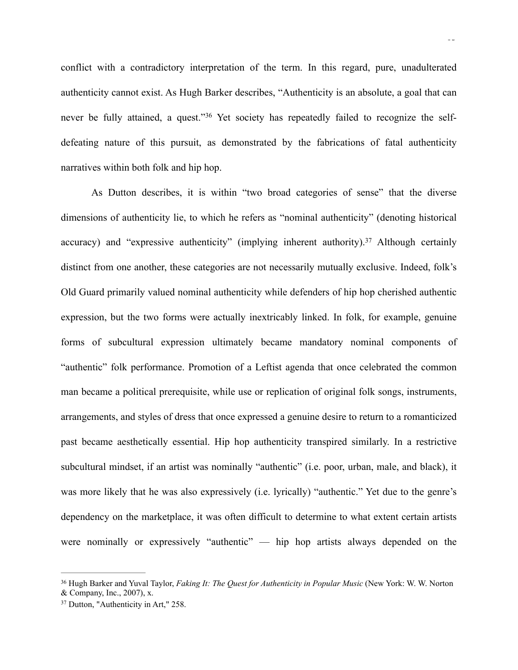conflict with a contradictory interpretation of the term. In this regard, pure, unadulterated authenticity cannot exist. As Hugh Barker describes, "Authenticity is an absolute, a goal that can never be fully attained, a quest."<sup>36</sup> Yet society has repeatedly failed to recognize the selfdefeating nature of this pursuit, as demonstrated by the fabrications of fatal authenticity narratives within both folk and hip hop.

 As Dutton describes, it is within "two broad categories of sense" that the diverse dimensions of authenticity lie, to which he refers as "nominal authenticity" (denoting historical accuracy) and "expressive authenticity" (implying inherent authority).<sup>37</sup> Although certainly distinct from one another, these categories are not necessarily mutually exclusive. Indeed, folk's Old Guard primarily valued nominal authenticity while defenders of hip hop cherished authentic expression, but the two forms were actually inextricably linked. In folk, for example, genuine forms of subcultural expression ultimately became mandatory nominal components of "authentic" folk performance. Promotion of a Leftist agenda that once celebrated the common man became a political prerequisite, while use or replication of original folk songs, instruments, arrangements, and styles of dress that once expressed a genuine desire to return to a romanticized past became aesthetically essential. Hip hop authenticity transpired similarly. In a restrictive subcultural mindset, if an artist was nominally "authentic" (i.e. poor, urban, male, and black), it was more likely that he was also expressively (i.e. lyrically) "authentic." Yet due to the genre's dependency on the marketplace, it was often difficult to determine to what extent certain artists were nominally or expressively "authentic" — hip hop artists always depended on the

<sup>&</sup>lt;sup>36</sup> Hugh Barker and Yuval Taylor, *Faking It: The Quest for Authenticity in Popular Music* (New York: W. W. Norton & Company, Inc., 2007), x.

<sup>&</sup>lt;sup>37</sup> Dutton, "Authenticity in Art," 258.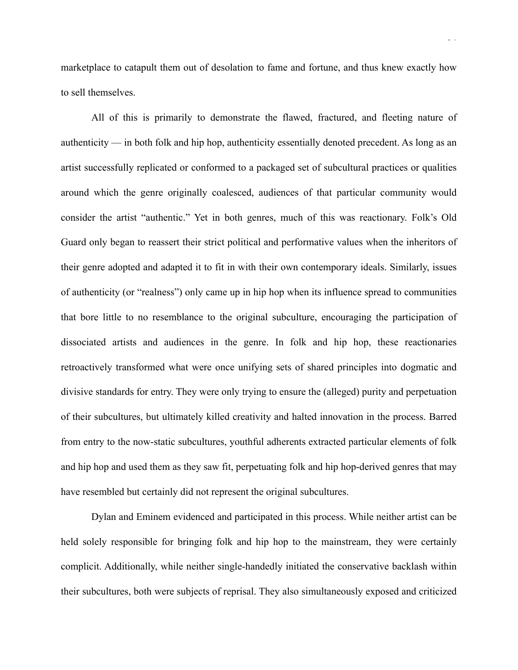marketplace to catapult them out of desolation to fame and fortune, and thus knew exactly how to sell themselves.

14

 All of this is primarily to demonstrate the flawed, fractured, and fleeting nature of authenticity — in both folk and hip hop, authenticity essentially denoted precedent. As long as an artist successfully replicated or conformed to a packaged set of subcultural practices or qualities around which the genre originally coalesced, audiences of that particular community would consider the artist "authentic." Yet in both genres, much of this was reactionary. Folk's Old Guard only began to reassert their strict political and performative values when the inheritors of their genre adopted and adapted it to fit in with their own contemporary ideals. Similarly, issues of authenticity (or "realness") only came up in hip hop when its influence spread to communities that bore little to no resemblance to the original subculture, encouraging the participation of dissociated artists and audiences in the genre. In folk and hip hop, these reactionaries retroactively transformed what were once unifying sets of shared principles into dogmatic and divisive standards for entry. They were only trying to ensure the (alleged) purity and perpetuation of their subcultures, but ultimately killed creativity and halted innovation in the process. Barred from entry to the now-static subcultures, youthful adherents extracted particular elements of folk and hip hop and used them as they saw fit, perpetuating folk and hip hop-derived genres that may have resembled but certainly did not represent the original subcultures.

 Dylan and Eminem evidenced and participated in this process. While neither artist can be held solely responsible for bringing folk and hip hop to the mainstream, they were certainly complicit. Additionally, while neither single-handedly initiated the conservative backlash within their subcultures, both were subjects of reprisal. They also simultaneously exposed and criticized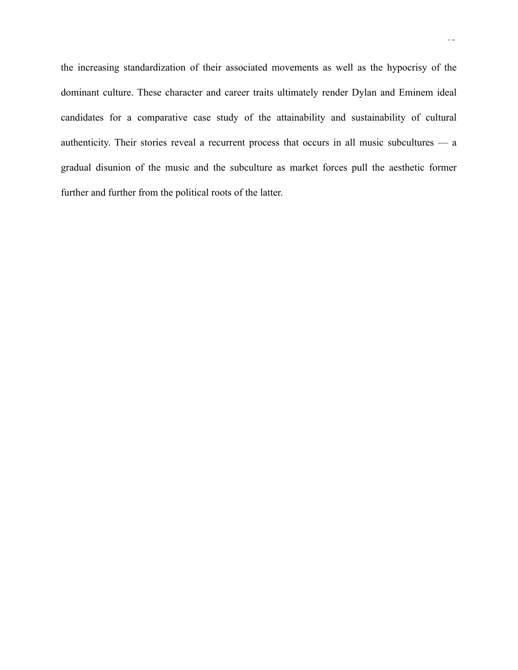the increasing standardization of their associated movements as well as the hypocrisy of the dominant culture. These character and career traits ultimately render Dylan and Eminem ideal candidates for a comparative case study of the attainability and sustainability of cultural authenticity. Their stories reveal a recurrent process that occurs in all music subcultures — a gradual disunion of the music and the subculture as market forces pull the aesthetic former further and further from the political roots of the latter.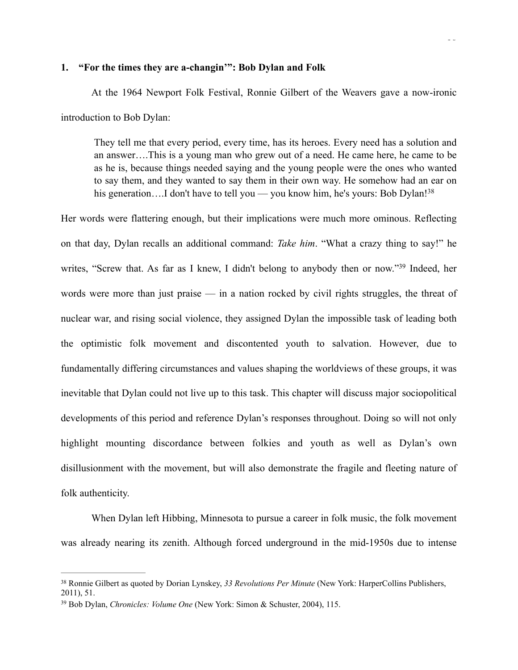#### **1. "For the times they are a-changin'": Bob Dylan and Folk**

 At the 1964 Newport Folk Festival, Ronnie Gilbert of the Weavers gave a now-ironic introduction to Bob Dylan:

They tell me that every period, every time, has its heroes. Every need has a solution and an answer….This is a young man who grew out of a need. He came here, he came to be as he is, because things needed saying and the young people were the ones who wanted to say them, and they wanted to say them in their own way. He somehow had an ear on his generation....I don't have to tell you — you know him, he's yours: Bob Dylan!<sup>38</sup>

Her words were flattering enough, but their implications were much more ominous. Reflecting on that day, Dylan recalls an additional command: *Take him*. "What a crazy thing to say!" he writes, "Screw that. As far as I knew, I didn't belong to anybody then or now."<sup>39</sup> Indeed, her words were more than just praise — in a nation rocked by civil rights struggles, the threat of nuclear war, and rising social violence, they assigned Dylan the impossible task of leading both the optimistic folk movement and discontented youth to salvation. However, due to fundamentally differing circumstances and values shaping the worldviews of these groups, it was inevitable that Dylan could not live up to this task. This chapter will discuss major sociopolitical developments of this period and reference Dylan's responses throughout. Doing so will not only highlight mounting discordance between folkies and youth as well as Dylan's own disillusionment with the movement, but will also demonstrate the fragile and fleeting nature of folk authenticity.

 When Dylan left Hibbing, Minnesota to pursue a career in folk music, the folk movement was already nearing its zenith. Although forced underground in the mid-1950s due to intense

<sup>&</sup>lt;sup>38</sup> Ronnie Gilbert as quoted by Dorian Lynskey, 33 Revolutions Per Minute (New York: HarperCollins Publishers, 2011), 51.

<sup>&</sup>lt;sup>39</sup> Bob Dylan, *Chronicles: Volume One* (New York: Simon & Schuster, 2004), 115.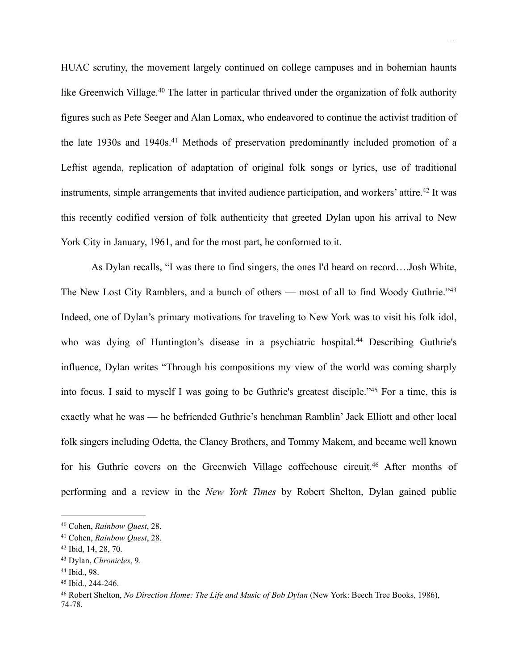HUAC scrutiny, the movement largely continued on college campuses and in bohemian haunts like Greenwich Village.<sup>40</sup> The latter in particular thrived under the organization of folk authority figures such as Pete Seeger and Alan Lomax, who endeavored to continue the activist tradition of the late  $1930s$  and  $1940s<sup>41</sup>$  Methods of preservation predominantly included promotion of a Leftist agenda, replication of adaptation of original folk songs or lyrics, use of traditional instruments, simple arrangements that invited audience participation, and workers' attire.<sup>42</sup> It was this recently codified version of folk authenticity that greeted Dylan upon his arrival to New York City in January, 1961, and for the most part, he conformed to it.

 As Dylan recalls, "I was there to find singers, the ones I'd heard on record….Josh White, The New Lost City Ramblers, and a bunch of others — most of all to find Woody Guthrie."43 Indeed, one of Dylan's primary motivations for traveling to New York was to visit his folk idol, who was dying of Huntington's disease in a psychiatric hospital.<sup>44</sup> Describing Guthrie's influence, Dylan writes "Through his compositions my view of the world was coming sharply into focus. I said to myself I was going to be Guthrie's greatest disciple."<sup>45</sup> For a time, this is exactly what he was — he befriended Guthrie's henchman Ramblin' Jack Elliott and other local folk singers including Odetta, the Clancy Brothers, and Tommy Makem, and became well known for his Guthrie covers on the Greenwich Village coffeehouse circuit.<sup>46</sup> After months of performing and a review in the *New York Times* by Robert Shelton, Dylan gained public

<sup>&</sup>lt;sup>40</sup> Cohen, *Rainbow Quest*, 28.

<sup>&</sup>lt;sup>41</sup> Cohen, *Rainbow Quest*, 28.

<sup>42</sup> Ibid, 14, 28, 70.

Dylan, *Chronicles*, 9. <sup>43</sup>

<sup>44</sup> Ibid., 98.

 $45$  Ibid., 244-246.

<sup>&</sup>lt;sup>46</sup> Robert Shelton, *No Direction Home: The Life and Music of Bob Dylan* (New York: Beech Tree Books, 1986), 74-78.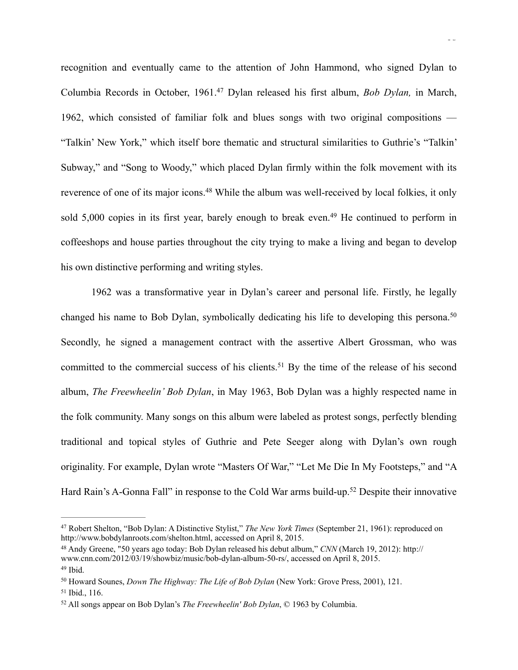recognition and eventually came to the attention of John Hammond, who signed Dylan to Columbia Records in October, 1961.<sup>47</sup> Dylan released his first album, *Bob Dylan*, in March, 1962, which consisted of familiar folk and blues songs with two original compositions — "Talkin' New York," which itself bore thematic and structural similarities to Guthrie's "Talkin' Subway," and "Song to Woody," which placed Dylan firmly within the folk movement with its reverence of one of its major icons.<sup>48</sup> While the album was well-received by local folkies, it only sold  $5,000$  copies in its first year, barely enough to break even.<sup>49</sup> He continued to perform in coffeeshops and house parties throughout the city trying to make a living and began to develop his own distinctive performing and writing styles.

 1962 was a transformative year in Dylan's career and personal life. Firstly, he legally changed his name to Bob Dylan, symbolically dedicating his life to developing this persona.50 Secondly, he signed a management contract with the assertive Albert Grossman, who was committed to the commercial success of his clients.<sup>51</sup> By the time of the release of his second album, *The Freewheelin' Bob Dylan*, in May 1963, Bob Dylan was a highly respected name in the folk community. Many songs on this album were labeled as protest songs, perfectly blending traditional and topical styles of Guthrie and Pete Seeger along with Dylan's own rough originality. For example, Dylan wrote "Masters Of War," "Let Me Die In My Footsteps," and "A Hard Rain's A-Gonna Fall" in response to the Cold War arms build-up.<sup>52</sup> Despite their innovative

Robert Shelton, "Bob Dylan: A Distinctive Stylist," *The New York Times* (September 21, 1961): reproduced on 47 http://www.bobdylanroots.com/shelton.html, accessed on April 8, 2015.

Andy Greene, "50 years ago today: Bob Dylan released his debut album," *CNN* (March 19, 2012): http:// <sup>48</sup> www.cnn.com/2012/03/19/showbiz/music/bob-dylan-album-50-rs/, accessed on April 8, 2015.  $49$  Ibid.

<sup>&</sup>lt;sup>50</sup> Howard Sounes, *Down The Highway: The Life of Bob Dylan* (New York: Grove Press, 2001), 121.

 $51$  Ibid., 116.

All songs appear on Bob Dylan's *The Freewheelin' Bob Dylan*, © 1963 by Columbia. <sup>52</sup>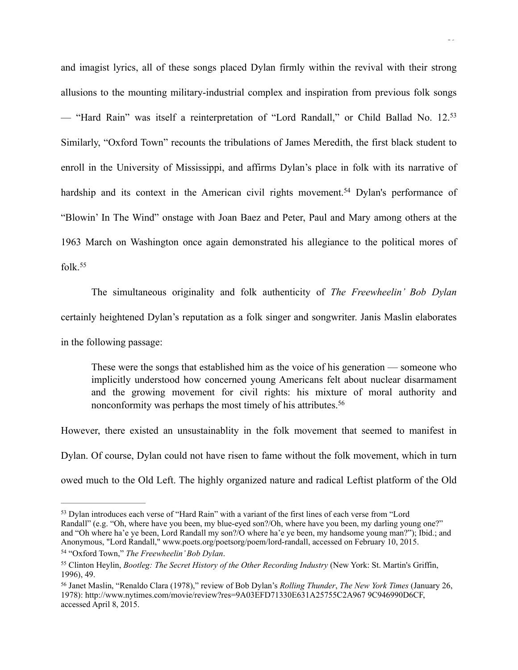and imagist lyrics, all of these songs placed Dylan firmly within the revival with their strong allusions to the mounting military-industrial complex and inspiration from previous folk songs — "Hard Rain" was itself a reinterpretation of "Lord Randall," or Child Ballad No. 12.53 Similarly, "Oxford Town" recounts the tribulations of James Meredith, the first black student to enroll in the University of Mississippi, and affirms Dylan's place in folk with its narrative of hardship and its context in the American civil rights movement.<sup>54</sup> Dylan's performance of "Blowin' In The Wind" onstage with Joan Baez and Peter, Paul and Mary among others at the 1963 March on Washington once again demonstrated his allegiance to the political mores of folk  $55$ 

 The simultaneous originality and folk authenticity of *The Freewheelin' Bob Dylan* certainly heightened Dylan's reputation as a folk singer and songwriter. Janis Maslin elaborates in the following passage:

These were the songs that established him as the voice of his generation — someone who implicitly understood how concerned young Americans felt about nuclear disarmament and the growing movement for civil rights: his mixture of moral authority and nonconformity was perhaps the most timely of his attributes.<sup>56</sup>

However, there existed an unsustainablity in the folk movement that seemed to manifest in Dylan. Of course, Dylan could not have risen to fame without the folk movement, which in turn owed much to the Old Left. The highly organized nature and radical Leftist platform of the Old

<sup>53</sup> Dylan introduces each verse of "Hard Rain" with a variant of the first lines of each verse from "Lord Randall" (e.g. "Oh, where have you been, my blue-eyed son?/Oh, where have you been, my darling young one?" and "Oh where ha'e ye been, Lord Randall my son?/O where ha'e ye been, my handsome young man?"); Ibid.; and Anonymous, "Lord Randall," www.poets.org/poetsorg/poem/lord-randall, accessed on February 10, 2015. <sup>54</sup> "Oxford Town," *The Freewheelin' Bob Dylan*.

<sup>&</sup>lt;sup>55</sup> Clinton Heylin, *Bootleg: The Secret History of the Other Recording Industry* (New York: St. Martin's Griffin, 1996), 49.

Janet Maslin, "Renaldo Clara (1978)," review of Bob Dylan's *Rolling Thunder*, *The New York Times* (January 26, 56 1978): http://www.nytimes.com/movie/review?res=9A03EFD71330E631A25755C2A967 9C946990D6CF, accessed April 8, 2015.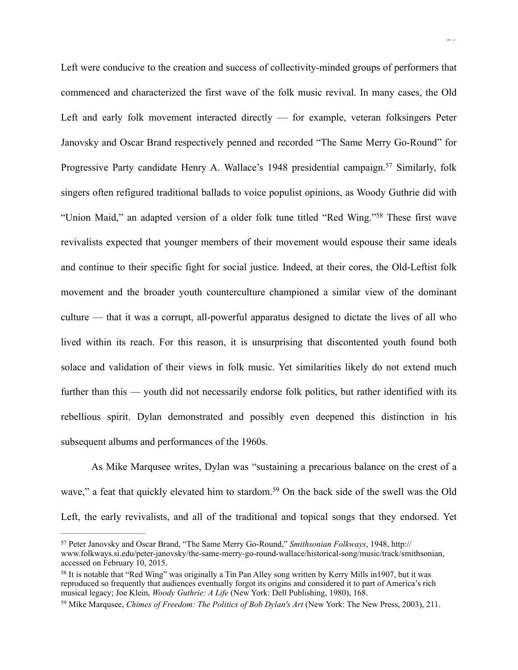Left were conducive to the creation and success of collectivity-minded groups of performers that commenced and characterized the first wave of the folk music revival. In many cases, the Old Left and early folk movement interacted directly — for example, veteran folksingers Peter Janovsky and Oscar Brand respectively penned and recorded "The Same Merry Go-Round" for Progressive Party candidate Henry A. Wallace's 1948 presidential campaign.<sup>57</sup> Similarly, folk singers often refigured traditional ballads to voice populist opinions, as Woody Guthrie did with "Union Maid," an adapted version of a older folk tune titled "Red Wing."<sup>58</sup> These first wave revivalists expected that younger members of their movement would espouse their same ideals and continue to their specific fight for social justice. Indeed, at their cores, the Old-Leftist folk movement and the broader youth counterculture championed a similar view of the dominant culture — that it was a corrupt, all-powerful apparatus designed to dictate the lives of all who lived within its reach. For this reason, it is unsurprising that discontented youth found both solace and validation of their views in folk music. Yet similarities likely do not extend much further than this — youth did not necessarily endorse folk politics, but rather identified with its rebellious spirit. Dylan demonstrated and possibly even deepened this distinction in his subsequent albums and performances of the 1960s.

 $\overline{a}$ 

 As Mike Marqusee writes, Dylan was "sustaining a precarious balance on the crest of a wave," a feat that quickly elevated him to stardom.<sup>59</sup> On the back side of the swell was the Old Left, the early revivalists, and all of the traditional and topical songs that they endorsed. Yet

Peter Janovsky and Oscar Brand, "The Same Merry Go-Round," *Smithsonian Folkways*, 1948, http:// <sup>57</sup> www.folkways.si.edu/peter-janovsky/the-same-merry-go-round-wallace/historical-song/music/track/smithsonian, accessed on February 10, 2015.

<sup>&</sup>lt;sup>58</sup> It is notable that "Red Wing" was originally a Tin Pan Alley song written by Kerry Mills in1907, but it was reproduced so frequently that audiences eventually forgot its origins and considered it to part of America's rich musical legacy; Joe Klein, *Woody Guthrie: A Life* (New York: Dell Publishing, 1980), 168.

<sup>&</sup>lt;sup>59</sup> Mike Marqusee, *Chimes of Freedom: The Politics of Bob Dylan's Art* (New York: The New Press, 2003), 211.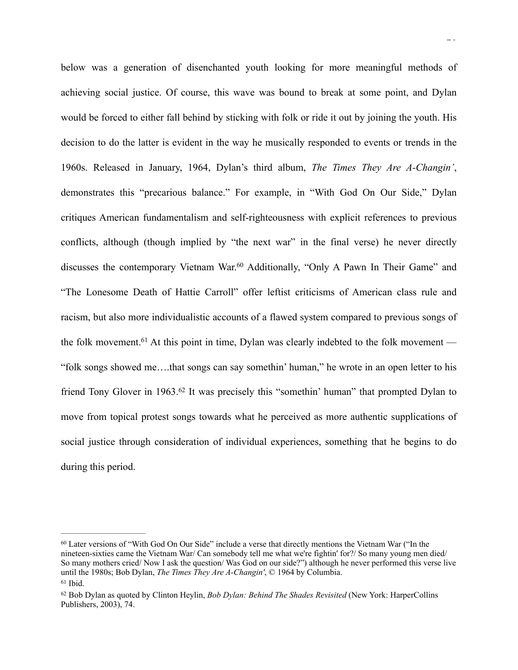below was a generation of disenchanted youth looking for more meaningful methods of achieving social justice. Of course, this wave was bound to break at some point, and Dylan would be forced to either fall behind by sticking with folk or ride it out by joining the youth. His decision to do the latter is evident in the way he musically responded to events or trends in the 1960s. Released in January, 1964, Dylan's third album, *The Times They Are A-Changin'*, demonstrates this "precarious balance." For example, in "With God On Our Side," Dylan critiques American fundamentalism and self-righteousness with explicit references to previous conflicts, although (though implied by "the next war" in the final verse) he never directly discusses the contemporary Vietnam War.<sup>60</sup> Additionally, "Only A Pawn In Their Game" and "The Lonesome Death of Hattie Carroll" offer leftist criticisms of American class rule and racism, but also more individualistic accounts of a flawed system compared to previous songs of the folk movement.<sup>61</sup> At this point in time, Dylan was clearly indebted to the folk movement — "folk songs showed me….that songs can say somethin' human," he wrote in an open letter to his friend Tony Glover in 1963.<sup>62</sup> It was precisely this "somethin' human" that prompted Dylan to move from topical protest songs towards what he perceived as more authentic supplications of social justice through consideration of individual experiences, something that he begins to do during this period.

 $\overline{a}$ 

<sup>&</sup>lt;sup>60</sup> Later versions of "With God On Our Side" include a verse that directly mentions the Vietnam War ("In the nineteen-sixties came the Vietnam War/ Can somebody tell me what we're fightin' for?/ So many young men died/ So many mothers cried/ Now I ask the question/ Was God on our side?") although he never performed this verse live until the 1980s; Bob Dylan, *The Times They Are A-Changin'*, © 1964 by Columbia.  $61$  Ibid.

<sup>&</sup>lt;sup>62</sup> Bob Dylan as quoted by Clinton Heylin, *Bob Dylan: Behind The Shades Revisited* (New York: HarperCollins Publishers, 2003), 74.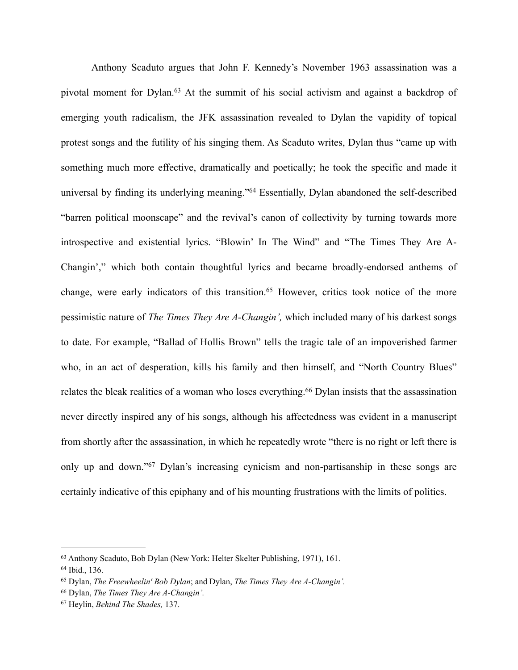Anthony Scaduto argues that John F. Kennedy's November 1963 assassination was a pivotal moment for Dylan.<sup>63</sup> At the summit of his social activism and against a backdrop of emerging youth radicalism, the JFK assassination revealed to Dylan the vapidity of topical protest songs and the futility of his singing them. As Scaduto writes, Dylan thus "came up with something much more effective, dramatically and poetically; he took the specific and made it universal by finding its underlying meaning."<sup>64</sup> Essentially, Dylan abandoned the self-described "barren political moonscape" and the revival's canon of collectivity by turning towards more introspective and existential lyrics. "Blowin' In The Wind" and "The Times They Are A-Changin'," which both contain thoughtful lyrics and became broadly-endorsed anthems of change, were early indicators of this transition.<sup>65</sup> However, critics took notice of the more pessimistic nature of *The Times They Are A-Changin',* which included many of his darkest songs to date. For example, "Ballad of Hollis Brown" tells the tragic tale of an impoverished farmer who, in an act of desperation, kills his family and then himself, and "North Country Blues" relates the bleak realities of a woman who loses everything.<sup>66</sup> Dylan insists that the assassination never directly inspired any of his songs, although his affectedness was evident in a manuscript from shortly after the assassination, in which he repeatedly wrote "there is no right or left there is only up and down."<sup>67</sup> Dylan's increasing cynicism and non-partisanship in these songs are certainly indicative of this epiphany and of his mounting frustrations with the limits of politics.

 $\overline{a}$ 

<sup>&</sup>lt;sup>63</sup> Anthony Scaduto, Bob Dylan (New York: Helter Skelter Publishing, 1971), 161.

 $64$  Ibid., 136.

Dylan, *The Freewheelin' Bob Dylan*; and Dylan, *The Times They Are A-Changin'.* <sup>65</sup>

Dylan, *The Times They Are A-Changin'.* <sup>66</sup>

<sup>&</sup>lt;sup>67</sup> Heylin, *Behind The Shades*, 137.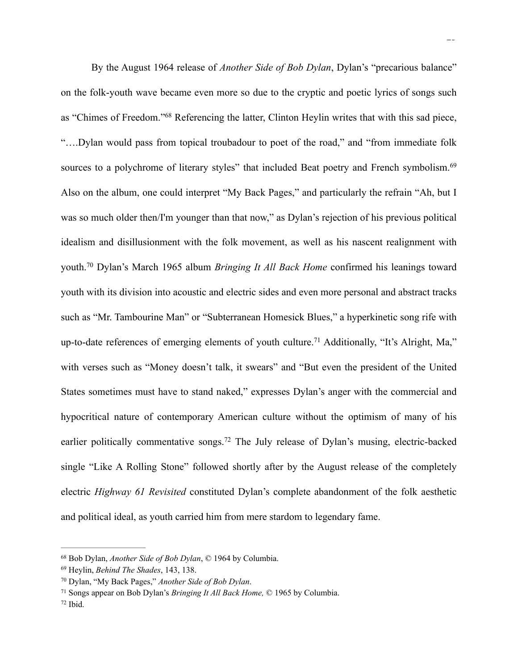By the August 1964 release of *Another Side of Bob Dylan*, Dylan's "precarious balance" on the folk-youth wave became even more so due to the cryptic and poetic lyrics of songs such as "Chimes of Freedom."<sup>68</sup> Referencing the latter, Clinton Heylin writes that with this sad piece, "….Dylan would pass from topical troubadour to poet of the road," and "from immediate folk sources to a polychrome of literary styles" that included Beat poetry and French symbolism.<sup>69</sup> Also on the album, one could interpret "My Back Pages," and particularly the refrain "Ah, but I was so much older then/I'm younger than that now," as Dylan's rejection of his previous political idealism and disillusionment with the folk movement, as well as his nascent realignment with youth.<sup>70</sup> Dylan's March 1965 album *Bringing It All Back Home* confirmed his leanings toward youth with its division into acoustic and electric sides and even more personal and abstract tracks such as "Mr. Tambourine Man" or "Subterranean Homesick Blues," a hyperkinetic song rife with up-to-date references of emerging elements of youth culture.<sup>71</sup> Additionally, "It's Alright, Ma," with verses such as "Money doesn't talk, it swears" and "But even the president of the United States sometimes must have to stand naked," expresses Dylan's anger with the commercial and hypocritical nature of contemporary American culture without the optimism of many of his earlier politically commentative songs.<sup>72</sup> The July release of Dylan's musing, electric-backed single "Like A Rolling Stone" followed shortly after by the August release of the completely electric *Highway 61 Revisited* constituted Dylan's complete abandonment of the folk aesthetic and political ideal, as youth carried him from mere stardom to legendary fame.

<sup>&</sup>lt;sup>68</sup> Bob Dylan, *Another Side of Bob Dylan*, © 1964 by Columbia.

<sup>&</sup>lt;sup>69</sup> Heylin, *Behind The Shades*, 143, 138.

<sup>&</sup>lt;sup>70</sup> Dylan, "My Back Pages," *Another Side of Bob Dylan*.

<sup>&</sup>lt;sup>71</sup> Songs appear on Bob Dylan's *Bringing It All Back Home*, © 1965 by Columbia.

 $72$  Ibid.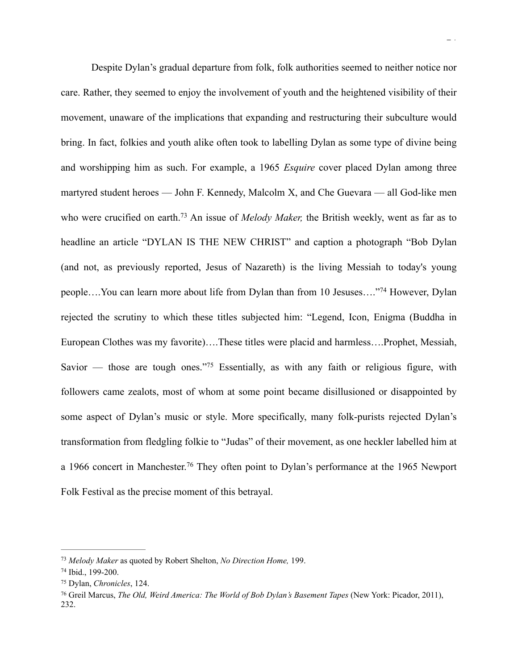Despite Dylan's gradual departure from folk, folk authorities seemed to neither notice nor care. Rather, they seemed to enjoy the involvement of youth and the heightened visibility of their movement, unaware of the implications that expanding and restructuring their subculture would bring. In fact, folkies and youth alike often took to labelling Dylan as some type of divine being and worshipping him as such. For example, a 1965 *Esquire* cover placed Dylan among three martyred student heroes — John F. Kennedy, Malcolm X, and Che Guevara — all God-like men who were crucified on earth.<sup>73</sup> An issue of *Melody Maker*, the British weekly, went as far as to headline an article "DYLAN IS THE NEW CHRIST" and caption a photograph "Bob Dylan (and not, as previously reported, Jesus of Nazareth) is the living Messiah to today's young people....You can learn more about life from Dylan than from 10 Jesuses...."<sup>74</sup> However, Dylan rejected the scrutiny to which these titles subjected him: "Legend, Icon, Enigma (Buddha in European Clothes was my favorite)….These titles were placid and harmless….Prophet, Messiah, Savior — those are tough ones."<sup>75</sup> Essentially, as with any faith or religious figure, with followers came zealots, most of whom at some point became disillusioned or disappointed by some aspect of Dylan's music or style. More specifically, many folk-purists rejected Dylan's transformation from fledgling folkie to "Judas" of their movement, as one heckler labelled him at a 1966 concert in Manchester.<sup>76</sup> They often point to Dylan's performance at the 1965 Newport Folk Festival as the precise moment of this betrayal.

 $\overline{a}$ .

*Melody Maker* as quoted by Robert Shelton, *No Direction Home,* 199. <sup>73</sup>

<sup>74</sup> Ibid., 199-200.

<sup>&</sup>lt;sup>75</sup> Dylan, *Chronicles*, 124.

<sup>&</sup>lt;sup>76</sup> Greil Marcus, *The Old, Weird America: The World of Bob Dylan's Basement Tapes* (New York: Picador, 2011), 232.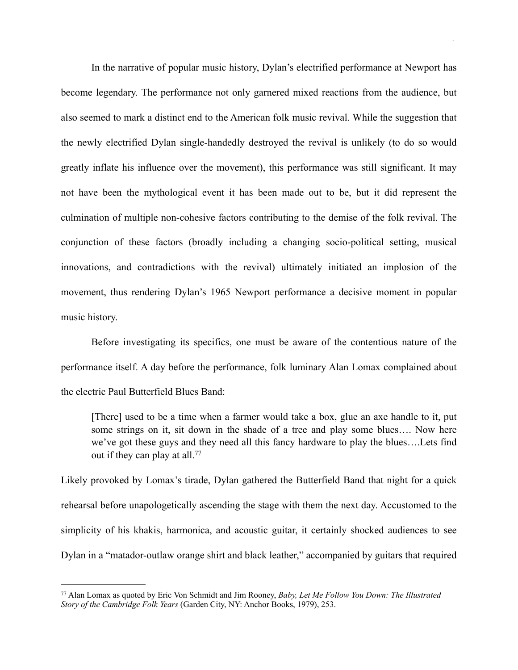In the narrative of popular music history, Dylan's electrified performance at Newport has become legendary. The performance not only garnered mixed reactions from the audience, but also seemed to mark a distinct end to the American folk music revival. While the suggestion that the newly electrified Dylan single-handedly destroyed the revival is unlikely (to do so would greatly inflate his influence over the movement), this performance was still significant. It may not have been the mythological event it has been made out to be, but it did represent the culmination of multiple non-cohesive factors contributing to the demise of the folk revival. The conjunction of these factors (broadly including a changing socio-political setting, musical innovations, and contradictions with the revival) ultimately initiated an implosion of the movement, thus rendering Dylan's 1965 Newport performance a decisive moment in popular music history.

 Before investigating its specifics, one must be aware of the contentious nature of the performance itself. A day before the performance, folk luminary Alan Lomax complained about the electric Paul Butterfield Blues Band:

[There] used to be a time when a farmer would take a box, glue an axe handle to it, put some strings on it, sit down in the shade of a tree and play some blues…. Now here we've got these guys and they need all this fancy hardware to play the blues….Lets find out if they can play at all.<sup>77</sup>

Likely provoked by Lomax's tirade, Dylan gathered the Butterfield Band that night for a quick rehearsal before unapologetically ascending the stage with them the next day. Accustomed to the simplicity of his khakis, harmonica, and acoustic guitar, it certainly shocked audiences to see Dylan in a "matador-outlaw orange shirt and black leather," accompanied by guitars that required

Alan Lomax as quoted by Eric Von Schmidt and Jim Rooney, *Baby, Let Me Follow You Down: The Illustrated* <sup>77</sup> *Story of the Cambridge Folk Years* (Garden City, NY: Anchor Books, 1979), 253.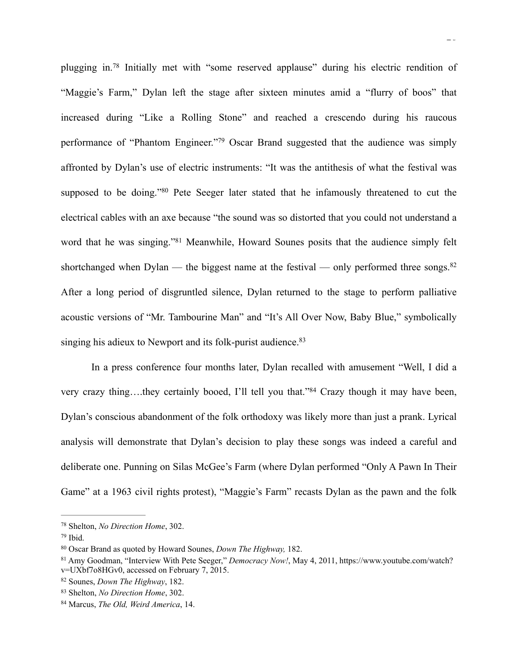plugging in.<sup>78</sup> Initially met with "some reserved applause" during his electric rendition of "Maggie's Farm," Dylan left the stage after sixteen minutes amid a "flurry of boos" that increased during "Like a Rolling Stone" and reached a crescendo during his raucous performance of "Phantom Engineer."<sup>79</sup> Oscar Brand suggested that the audience was simply affronted by Dylan's use of electric instruments: "It was the antithesis of what the festival was supposed to be doing." $80$  Pete Seeger later stated that he infamously threatened to cut the electrical cables with an axe because "the sound was so distorted that you could not understand a word that he was singing."<sup>81</sup> Meanwhile, Howard Sounes posits that the audience simply felt shortchanged when Dylan — the biggest name at the festival — only performed three songs.<sup>82</sup> After a long period of disgruntled silence, Dylan returned to the stage to perform palliative acoustic versions of "Mr. Tambourine Man" and "It's All Over Now, Baby Blue," symbolically singing his adieux to Newport and its folk-purist audience.<sup>83</sup>

 In a press conference four months later, Dylan recalled with amusement "Well, I did a very crazy thing….they certainly booed, I'll tell you that."<sup>84</sup> Crazy though it may have been, Dylan's conscious abandonment of the folk orthodoxy was likely more than just a prank. Lyrical analysis will demonstrate that Dylan's decision to play these songs was indeed a careful and deliberate one. Punning on Silas McGee's Farm (where Dylan performed "Only A Pawn In Their Game" at a 1963 civil rights protest), "Maggie's Farm" recasts Dylan as the pawn and the folk

<sup>&</sup>lt;sup>78</sup> Shelton, *No Direction Home*, 302.

 $79$  Ibid.

<sup>&</sup>lt;sup>80</sup> Oscar Brand as quoted by Howard Sounes, *Down The Highway*, 182.

Amy Goodman, "Interview With Pete Seeger," *Democracy Now!*, May 4, 2011, https://www.youtube.com/watch? <sup>81</sup>

v=UXbf7o8HGv0, accessed on February 7, 2015.

<sup>&</sup>lt;sup>82</sup> Sounes, *Down The Highway*, 182.

<sup>&</sup>lt;sup>83</sup> Shelton, *No Direction Home*, 302.

<sup>&</sup>lt;sup>84</sup> Marcus, *The Old, Weird America*, 14.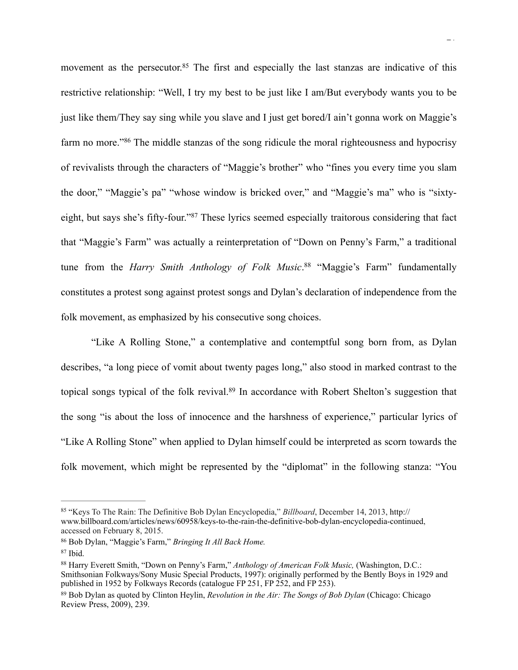movement as the persecutor.<sup>85</sup> The first and especially the last stanzas are indicative of this restrictive relationship: "Well, I try my best to be just like I am/But everybody wants you to be just like them/They say sing while you slave and I just get bored/I ain't gonna work on Maggie's farm no more."<sup>86</sup> The middle stanzas of the song ridicule the moral righteousness and hypocrisy of revivalists through the characters of "Maggie's brother" who "fines you every time you slam the door," "Maggie's pa" "whose window is bricked over," and "Maggie's ma" who is "sixtyeight, but says she's fifty-four."<sup>87</sup> These lyrics seemed especially traitorous considering that fact that "Maggie's Farm" was actually a reinterpretation of "Down on Penny's Farm," a traditional tune from the *Harry Smith Anthology of Folk Music*<sup>88</sup> "Maggie's Farm" fundamentally constitutes a protest song against protest songs and Dylan's declaration of independence from the folk movement, as emphasized by his consecutive song choices.

 "Like A Rolling Stone," a contemplative and contemptful song born from, as Dylan describes, "a long piece of vomit about twenty pages long," also stood in marked contrast to the topical songs typical of the folk revival.<sup>89</sup> In accordance with Robert Shelton's suggestion that the song "is about the loss of innocence and the harshness of experience," particular lyrics of "Like A Rolling Stone" when applied to Dylan himself could be interpreted as scorn towards the folk movement, which might be represented by the "diplomat" in the following stanza: "You

 <sup>&</sup>quot;Keys To The Rain: The Definitive Bob Dylan Encyclopedia," *Billboard*, December 14, 2013, http:// 85 www.billboard.com/articles/news/60958/keys-to-the-rain-the-definitive-bob-dylan-encyclopedia-continued, accessed on February 8, 2015.

Bob Dylan, "Maggie's Farm," *Bringing It All Back Home.* <sup>86</sup>

 $87$  Ibid.

<sup>&</sup>lt;sup>88</sup> Harry Everett Smith, "Down on Penny's Farm," *Anthology of American Folk Music*, (Washington, D.C.: Smithsonian Folkways/Sony Music Special Products, 1997): originally performed by the Bently Boys in 1929 and published in 1952 by Folkways Records (catalogue FP 251, FP 252, and FP 253).

<sup>&</sup>lt;sup>89</sup> Bob Dylan as quoted by Clinton Heylin, *Revolution in the Air: The Songs of Bob Dylan* (Chicago: Chicago Review Press, 2009), 239.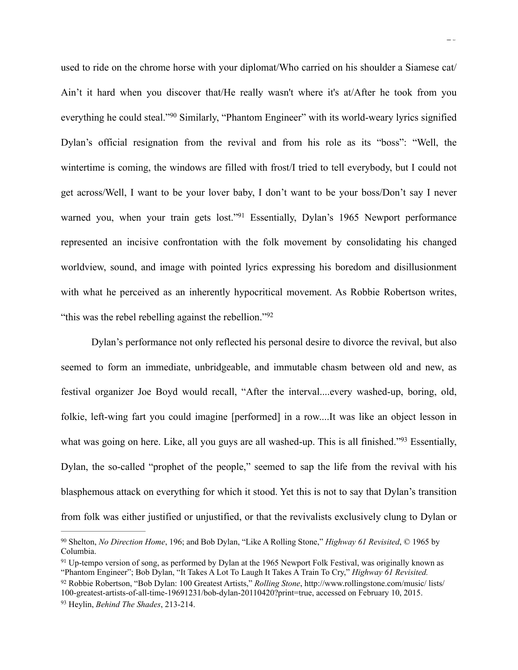used to ride on the chrome horse with your diplomat/Who carried on his shoulder a Siamese cat/ Ain't it hard when you discover that/He really wasn't where it's at/After he took from you everything he could steal."<sup>90</sup> Similarly, "Phantom Engineer" with its world-weary lyrics signified Dylan's official resignation from the revival and from his role as its "boss": "Well, the wintertime is coming, the windows are filled with frost/I tried to tell everybody, but I could not get across/Well, I want to be your lover baby, I don't want to be your boss/Don't say I never warned you, when your train gets lost."<sup>91</sup> Essentially, Dylan's 1965 Newport performance represented an incisive confrontation with the folk movement by consolidating his changed worldview, sound, and image with pointed lyrics expressing his boredom and disillusionment with what he perceived as an inherently hypocritical movement. As Robbie Robertson writes, "this was the rebel rebelling against the rebellion."<sup>92</sup>

 Dylan's performance not only reflected his personal desire to divorce the revival, but also seemed to form an immediate, unbridgeable, and immutable chasm between old and new, as festival organizer Joe Boyd would recall, "After the interval....every washed-up, boring, old, folkie, left-wing fart you could imagine [performed] in a row....It was like an object lesson in what was going on here. Like, all you guys are all washed-up. This is all finished."<sup>93</sup> Essentially, Dylan, the so-called "prophet of the people," seemed to sap the life from the revival with his blasphemous attack on everything for which it stood. Yet this is not to say that Dylan's transition from folk was either justified or unjustified, or that the revivalists exclusively clung to Dylan or

Shelton, *No Direction Home*, 196; and Bob Dylan, "Like A Rolling Stone," *Highway 61 Revisited*, © 1965 by 90 Columbia.

<sup>&</sup>lt;sup>91</sup> Up-tempo version of song, as performed by Dylan at the 1965 Newport Folk Festival, was originally known as "Phantom Engineer"; Bob Dylan, "It Takes A Lot To Laugh It Takes A Train To Cry," *Highway 61 Revisited.* Robbie Robertson, "Bob Dylan: 100 Greatest Artists," *Rolling Stone*, http://www.rollingstone.com/music/ lists/ <sup>92</sup> 100-greatest-artists-of-all-time-19691231/bob-dylan-20110420?print=true, accessed on February 10, 2015. <sup>93</sup> Heylin, *Behind The Shades*, 213-214.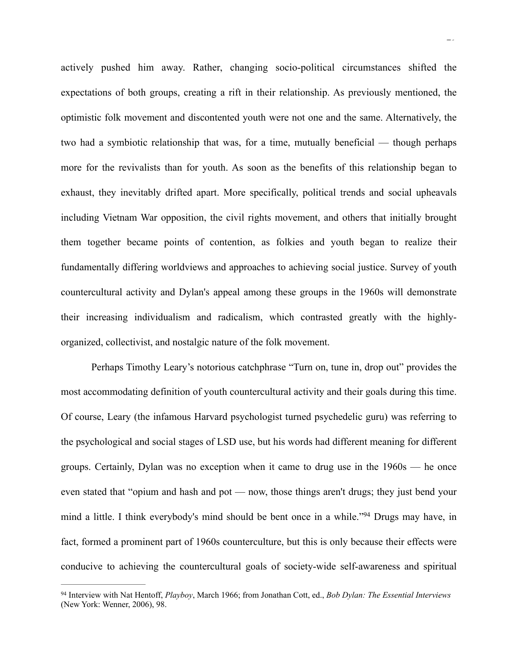actively pushed him away. Rather, changing socio-political circumstances shifted the expectations of both groups, creating a rift in their relationship. As previously mentioned, the optimistic folk movement and discontented youth were not one and the same. Alternatively, the two had a symbiotic relationship that was, for a time, mutually beneficial — though perhaps more for the revivalists than for youth. As soon as the benefits of this relationship began to exhaust, they inevitably drifted apart. More specifically, political trends and social upheavals including Vietnam War opposition, the civil rights movement, and others that initially brought them together became points of contention, as folkies and youth began to realize their fundamentally differing worldviews and approaches to achieving social justice. Survey of youth countercultural activity and Dylan's appeal among these groups in the 1960s will demonstrate their increasing individualism and radicalism, which contrasted greatly with the highlyorganized, collectivist, and nostalgic nature of the folk movement.

 Perhaps Timothy Leary's notorious catchphrase "Turn on, tune in, drop out" provides the most accommodating definition of youth countercultural activity and their goals during this time. Of course, Leary (the infamous Harvard psychologist turned psychedelic guru) was referring to the psychological and social stages of LSD use, but his words had different meaning for different groups. Certainly, Dylan was no exception when it came to drug use in the 1960s — he once even stated that "opium and hash and pot — now, those things aren't drugs; they just bend your mind a little. I think everybody's mind should be bent once in a while."<sup>94</sup> Drugs may have, in fact, formed a prominent part of 1960s counterculture, but this is only because their effects were conducive to achieving the countercultural goals of society-wide self-awareness and spiritual

Interview with Nat Hentoff, *Playboy*, March 1966; from Jonathan Cott, ed., *Bob Dylan: The Essential Interviews* <sup>94</sup> (New York: Wenner, 2006), 98.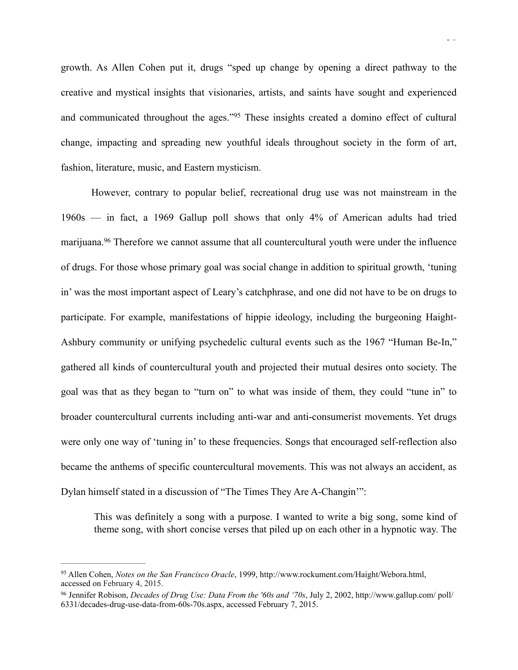growth. As Allen Cohen put it, drugs "sped up change by opening a direct pathway to the creative and mystical insights that visionaries, artists, and saints have sought and experienced and communicated throughout the ages."<sup>95</sup> These insights created a domino effect of cultural change, impacting and spreading new youthful ideals throughout society in the form of art, fashion, literature, music, and Eastern mysticism.

 However, contrary to popular belief, recreational drug use was not mainstream in the 1960s — in fact, a 1969 Gallup poll shows that only 4% of American adults had tried marijuana.<sup>96</sup> Therefore we cannot assume that all countercultural youth were under the influence of drugs. For those whose primary goal was social change in addition to spiritual growth, 'tuning in' was the most important aspect of Leary's catchphrase, and one did not have to be on drugs to participate. For example, manifestations of hippie ideology, including the burgeoning Haight-Ashbury community or unifying psychedelic cultural events such as the 1967 "Human Be-In," gathered all kinds of countercultural youth and projected their mutual desires onto society. The goal was that as they began to "turn on" to what was inside of them, they could "tune in" to broader countercultural currents including anti-war and anti-consumerist movements. Yet drugs were only one way of 'tuning in' to these frequencies. Songs that encouraged self-reflection also became the anthems of specific countercultural movements. This was not always an accident, as Dylan himself stated in a discussion of "The Times They Are A-Changin'":

This was definitely a song with a purpose. I wanted to write a big song, some kind of theme song, with short concise verses that piled up on each other in a hypnotic way. The

Allen Cohen, *Notes on the San Francisco Oracle*, 1999, http://www.rockument.com/Haight/Webora.html, 95 accessed on February 4, 2015.

Jennifer Robison, *Decades of Drug Use: Data From the '60s and '70s*, July 2, 2002, http://www.gallup.com/ poll/ <sup>96</sup> 6331/decades-drug-use-data-from-60s-70s.aspx, accessed February 7, 2015.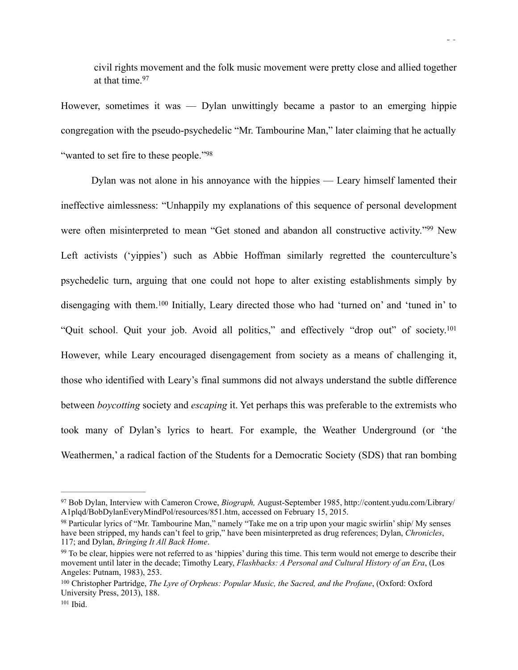civil rights movement and the folk music movement were pretty close and allied together at that time.97

However, sometimes it was — Dylan unwittingly became a pastor to an emerging hippie congregation with the pseudo-psychedelic "Mr. Tambourine Man," later claiming that he actually "wanted to set fire to these people."98

 Dylan was not alone in his annoyance with the hippies — Leary himself lamented their ineffective aimlessness: "Unhappily my explanations of this sequence of personal development were often misinterpreted to mean "Get stoned and abandon all constructive activity."<sup>99</sup> New Left activists ('yippies') such as Abbie Hoffman similarly regretted the counterculture's psychedelic turn, arguing that one could not hope to alter existing establishments simply by disengaging with them.<sup>100</sup> Initially, Leary directed those who had 'turned on' and 'tuned in' to "Quit school. Quit your job. Avoid all politics," and effectively "drop out" of society.101 However, while Leary encouraged disengagement from society as a means of challenging it, those who identified with Leary's final summons did not always understand the subtle difference between *boycotting* society and *escaping* it. Yet perhaps this was preferable to the extremists who took many of Dylan's lyrics to heart. For example, the Weather Underground (or 'the Weathermen,' a radical faction of the Students for a Democratic Society (SDS) that ran bombing

Bob Dylan, Interview with Cameron Crowe, *Biograph,* August-September 1985, http://content.yudu.com/Library/ <sup>97</sup> A1plqd/BobDylanEveryMindPol/resources/851.htm, accessed on February 15, 2015.

<sup>&</sup>lt;sup>98</sup> Particular lyrics of "Mr. Tambourine Man," namely "Take me on a trip upon your magic swirlin' ship/ My senses have been stripped, my hands can't feel to grip," have been misinterpreted as drug references; Dylan, *Chronicles*, 117; and Dylan, *Bringing It All Back Home*.

<sup>&</sup>lt;sup>99</sup> To be clear, hippies were not referred to as 'hippies' during this time. This term would not emerge to describe their movement until later in the decade; Timothy Leary, *Flashbacks: A Personal and Cultural History of an Era*, (Los Angeles: Putnam, 1983), 253.

<sup>&</sup>lt;sup>100</sup> Christopher Partridge, *The Lyre of Orpheus: Popular Music, the Sacred, and the Profane*, (Oxford: Oxford University Press, 2013), 188.

 $101$  Ibid.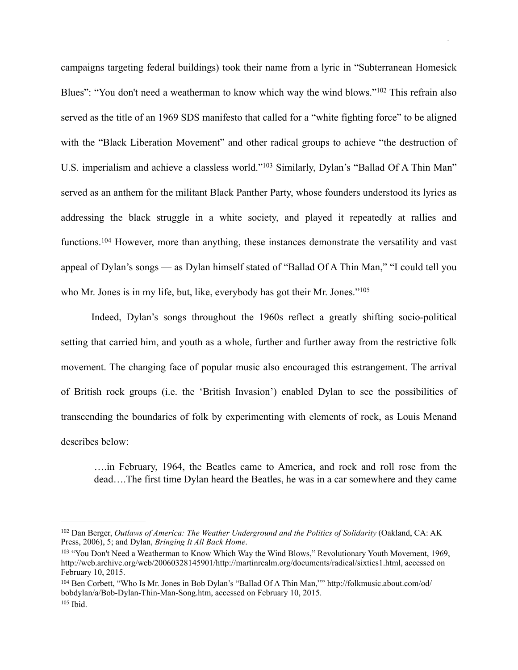campaigns targeting federal buildings) took their name from a lyric in "Subterranean Homesick Blues": "You don't need a weatherman to know which way the wind blows."<sup>102</sup> This refrain also served as the title of an 1969 SDS manifesto that called for a "white fighting force" to be aligned with the "Black Liberation Movement" and other radical groups to achieve "the destruction of U.S. imperialism and achieve a classless world."<sup>103</sup> Similarly, Dylan's "Ballad Of A Thin Man" served as an anthem for the militant Black Panther Party, whose founders understood its lyrics as addressing the black struggle in a white society, and played it repeatedly at rallies and functions.  $104$  However, more than anything, these instances demonstrate the versatility and vast appeal of Dylan's songs — as Dylan himself stated of "Ballad Of A Thin Man," "I could tell you who Mr. Jones is in my life, but, like, everybody has got their Mr. Jones."<sup>105</sup>

Indeed, Dylan's songs throughout the 1960s reflect a greatly shifting socio-political setting that carried him, and youth as a whole, further and further away from the restrictive folk movement. The changing face of popular music also encouraged this estrangement. The arrival of British rock groups (i.e. the 'British Invasion') enabled Dylan to see the possibilities of transcending the boundaries of folk by experimenting with elements of rock, as Louis Menand describes below:

….in February, 1964, the Beatles came to America, and rock and roll rose from the dead….The first time Dylan heard the Beatles, he was in a car somewhere and they came

<sup>&</sup>lt;sup>102</sup> Dan Berger, *Outlaws of America: The Weather Underground and the Politics of Solidarity* (Oakland, CA: AK Press, 2006), 5; and Dylan, *Bringing It All Back Home*.

<sup>&</sup>lt;sup>103</sup> "You Don't Need a Weatherman to Know Which Way the Wind Blows," Revolutionary Youth Movement, 1969, http://web.archive.org/web/20060328145901/http://martinrealm.org/documents/radical/sixties1.html, accessed on February 10, 2015.

<sup>&</sup>lt;sup>104</sup> Ben Corbett, "Who Is Mr. Jones in Bob Dylan's "Ballad Of A Thin Man,"" http://folkmusic.about.com/od/ bobdylan/a/Bob-Dylan-Thin-Man-Song.htm, accessed on February 10, 2015. <sup>105</sup> Ibid.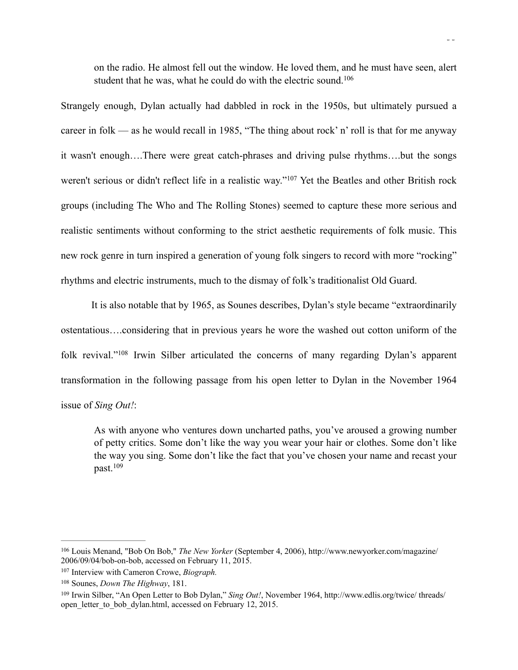on the radio. He almost fell out the window. He loved them, and he must have seen, alert student that he was, what he could do with the electric sound.<sup>106</sup>

Strangely enough, Dylan actually had dabbled in rock in the 1950s, but ultimately pursued a career in folk — as he would recall in 1985, "The thing about rock' n' roll is that for me anyway it wasn't enough….There were great catch-phrases and driving pulse rhythms….but the songs weren't serious or didn't reflect life in a realistic way."<sup>107</sup> Yet the Beatles and other British rock groups (including The Who and The Rolling Stones) seemed to capture these more serious and realistic sentiments without conforming to the strict aesthetic requirements of folk music. This new rock genre in turn inspired a generation of young folk singers to record with more "rocking" rhythms and electric instruments, much to the dismay of folk's traditionalist Old Guard.

 It is also notable that by 1965, as Sounes describes, Dylan's style became "extraordinarily ostentatious….considering that in previous years he wore the washed out cotton uniform of the folk revival."<sup>108</sup> Irwin Silber articulated the concerns of many regarding Dylan's apparent transformation in the following passage from his open letter to Dylan in the November 1964 issue of *Sing Out!*:

As with anyone who ventures down uncharted paths, you've aroused a growing number of petty critics. Some don't like the way you wear your hair or clothes. Some don't like the way you sing. Some don't like the fact that you've chosen your name and recast your past.109

Louis Menand, "Bob On Bob," *The New Yorker* (September 4, 2006), http://www.newyorker.com/magazine/ <sup>106</sup> 2006/09/04/bob-on-bob, accessed on February 11, 2015.

Interview with Cameron Crowe, *Biograph.* <sup>107</sup>

<sup>&</sup>lt;sup>108</sup> Sounes, *Down The Highway*, 181.

<sup>&</sup>lt;sup>109</sup> Irwin Silber, "An Open Letter to Bob Dylan," *Sing Out!*, November 1964, http://www.edlis.org/twice/ threads/ open letter to bob dylan.html, accessed on February 12, 2015.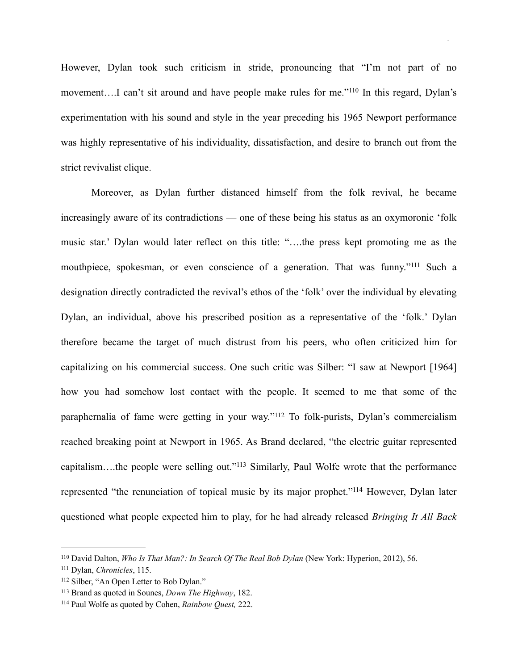However, Dylan took such criticism in stride, pronouncing that "I'm not part of no movement....I can't sit around and have people make rules for me."<sup>110</sup> In this regard, Dylan's experimentation with his sound and style in the year preceding his 1965 Newport performance was highly representative of his individuality, dissatisfaction, and desire to branch out from the strict revivalist clique.

Moreover, as Dylan further distanced himself from the folk revival, he became increasingly aware of its contradictions — one of these being his status as an oxymoronic 'folk music star.' Dylan would later reflect on this title: "….the press kept promoting me as the mouthpiece, spokesman, or even conscience of a generation. That was funny."<sup>111</sup> Such a designation directly contradicted the revival's ethos of the 'folk' over the individual by elevating Dylan, an individual, above his prescribed position as a representative of the 'folk.' Dylan therefore became the target of much distrust from his peers, who often criticized him for capitalizing on his commercial success. One such critic was Silber: "I saw at Newport [1964] how you had somehow lost contact with the people. It seemed to me that some of the paraphernalia of fame were getting in your way."<sup>112</sup> To folk-purists, Dylan's commercialism reached breaking point at Newport in 1965. As Brand declared, "the electric guitar represented capitalism....the people were selling out."<sup>113</sup> Similarly, Paul Wolfe wrote that the performance represented "the renunciation of topical music by its major prophet."<sup>114</sup> However, Dylan later questioned what people expected him to play, for he had already released *Bringing It All Back* 

<sup>&</sup>lt;sup>110</sup> David Dalton, *Who Is That Man?: In Search Of The Real Bob Dylan* (New York: Hyperion, 2012), 56.

<sup>&</sup>lt;sup>111</sup> Dylan, *Chronicles*, 115.

<sup>&</sup>lt;sup>112</sup> Silber, "An Open Letter to Bob Dylan."

<sup>&</sup>lt;sup>113</sup> Brand as quoted in Sounes, *Down The Highway*, 182.

<sup>&</sup>lt;sup>114</sup> Paul Wolfe as quoted by Cohen, *Rainbow Quest*, 222.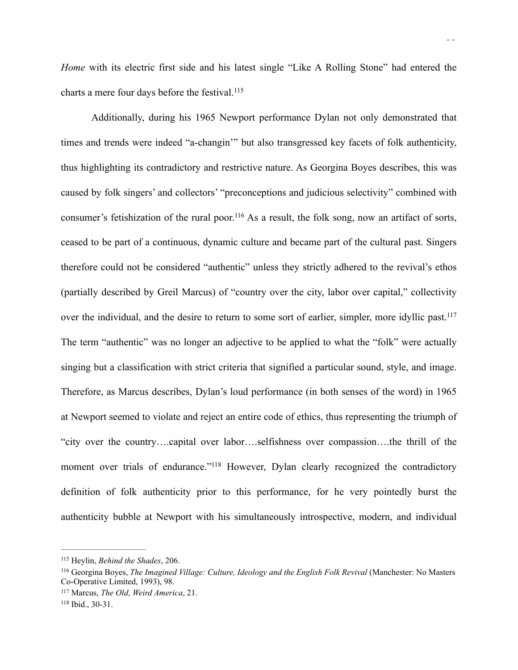*Home* with its electric first side and his latest single "Like A Rolling Stone" had entered the charts a mere four days before the festival.<sup>115</sup>

 Additionally, during his 1965 Newport performance Dylan not only demonstrated that times and trends were indeed "a-changin'" but also transgressed key facets of folk authenticity, thus highlighting its contradictory and restrictive nature. As Georgina Boyes describes, this was caused by folk singers' and collectors' "preconceptions and judicious selectivity" combined with consumer's fetishization of the rural poor.<sup>116</sup> As a result, the folk song, now an artifact of sorts, ceased to be part of a continuous, dynamic culture and became part of the cultural past. Singers therefore could not be considered "authentic" unless they strictly adhered to the revival's ethos (partially described by Greil Marcus) of "country over the city, labor over capital," collectivity over the individual, and the desire to return to some sort of earlier, simpler, more idyllic past.<sup>117</sup> The term "authentic" was no longer an adjective to be applied to what the "folk" were actually singing but a classification with strict criteria that signified a particular sound, style, and image. Therefore, as Marcus describes, Dylan's loud performance (in both senses of the word) in 1965 at Newport seemed to violate and reject an entire code of ethics, thus representing the triumph of "city over the country….capital over labor….selfishness over compassion….the thrill of the moment over trials of endurance."<sup>118</sup> However, Dylan clearly recognized the contradictory definition of folk authenticity prior to this performance, for he very pointedly burst the authenticity bubble at Newport with his simultaneously introspective, modern, and individual

<sup>&</sup>lt;sup>115</sup> Heylin, *Behind the Shades*, 206.

<sup>&</sup>lt;sup>116</sup> Georgina Boyes, *The Imagined Village: Culture, Ideology and the English Folk Revival* (Manchester: No Masters Co-Operative Limited, 1993), 98.

<sup>&</sup>lt;sup>117</sup> Marcus, *The Old, Weird America*, 21.

 $118$  Ibid., 30-31.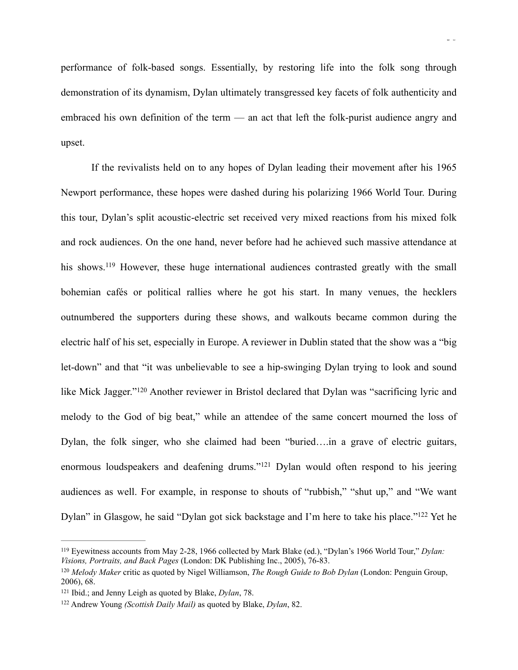performance of folk-based songs. Essentially, by restoring life into the folk song through demonstration of its dynamism, Dylan ultimately transgressed key facets of folk authenticity and embraced his own definition of the term — an act that left the folk-purist audience angry and upset.

 If the revivalists held on to any hopes of Dylan leading their movement after his 1965 Newport performance, these hopes were dashed during his polarizing 1966 World Tour. During this tour, Dylan's split acoustic-electric set received very mixed reactions from his mixed folk and rock audiences. On the one hand, never before had he achieved such massive attendance at his shows.<sup>119</sup> However, these huge international audiences contrasted greatly with the small bohemian cafés or political rallies where he got his start. In many venues, the hecklers outnumbered the supporters during these shows, and walkouts became common during the electric half of his set, especially in Europe. A reviewer in Dublin stated that the show was a "big let-down" and that "it was unbelievable to see a hip-swinging Dylan trying to look and sound like Mick Jagger." $120$  Another reviewer in Bristol declared that Dylan was "sacrificing lyric and melody to the God of big beat," while an attendee of the same concert mourned the loss of Dylan, the folk singer, who she claimed had been "buried….in a grave of electric guitars, enormous loudspeakers and deafening drums."<sup>121</sup> Dylan would often respond to his jeering audiences as well. For example, in response to shouts of "rubbish," "shut up," and "We want Dylan" in Glasgow, he said "Dylan got sick backstage and I'm here to take his place."<sup>122</sup> Yet he

Eyewitness accounts from May 2-28, 1966 collected by Mark Blake (ed.), "Dylan's 1966 World Tour," *Dylan:* <sup>119</sup> *Visions, Portraits, and Back Pages* (London: DK Publishing Inc., 2005), 76-83.

<sup>&</sup>lt;sup>120</sup> Melody Maker critic as quoted by Nigel Williamson, *The Rough Guide to Bob Dylan* (London: Penguin Group, 2006), 68.

<sup>&</sup>lt;sup>121</sup> Ibid.; and Jenny Leigh as quoted by Blake, *Dylan*, 78.

<sup>&</sup>lt;sup>122</sup> Andrew Young *(Scottish Daily Mail)* as quoted by Blake, *Dylan*, 82.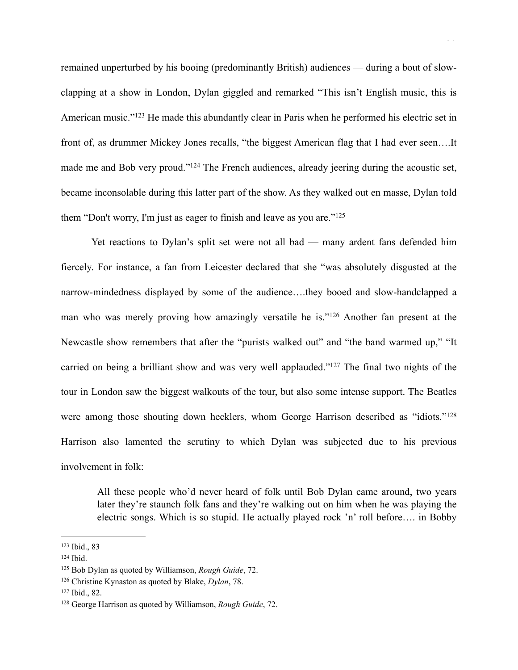remained unperturbed by his booing (predominantly British) audiences — during a bout of slowclapping at a show in London, Dylan giggled and remarked "This isn't English music, this is American music."<sup>123</sup> He made this abundantly clear in Paris when he performed his electric set in front of, as drummer Mickey Jones recalls, "the biggest American flag that I had ever seen….It made me and Bob very proud."<sup>124</sup> The French audiences, already jeering during the acoustic set, became inconsolable during this latter part of the show. As they walked out en masse, Dylan told them "Don't worry, I'm just as eager to finish and leave as you are."125

 Yet reactions to Dylan's split set were not all bad — many ardent fans defended him fiercely. For instance, a fan from Leicester declared that she "was absolutely disgusted at the narrow-mindedness displayed by some of the audience….they booed and slow-handclapped a man who was merely proving how amazingly versatile he is."<sup>126</sup> Another fan present at the Newcastle show remembers that after the "purists walked out" and "the band warmed up," "It carried on being a brilliant show and was very well applauded."<sup>127</sup> The final two nights of the tour in London saw the biggest walkouts of the tour, but also some intense support. The Beatles were among those shouting down hecklers, whom George Harrison described as "idiots."<sup>128</sup> Harrison also lamented the scrutiny to which Dylan was subjected due to his previous involvement in folk:

All these people who'd never heard of folk until Bob Dylan came around, two years later they're staunch folk fans and they're walking out on him when he was playing the electric songs. Which is so stupid. He actually played rock 'n' roll before…. in Bobby

124 Ibid.

 $127$  Ibid., 82.

 $123$  Ibid., 83

<sup>&</sup>lt;sup>125</sup> Bob Dylan as quoted by Williamson, *Rough Guide*, 72.

<sup>&</sup>lt;sup>126</sup> Christine Kynaston as quoted by Blake, *Dylan*, 78.

<sup>&</sup>lt;sup>128</sup> George Harrison as quoted by Williamson, *Rough Guide*, 72.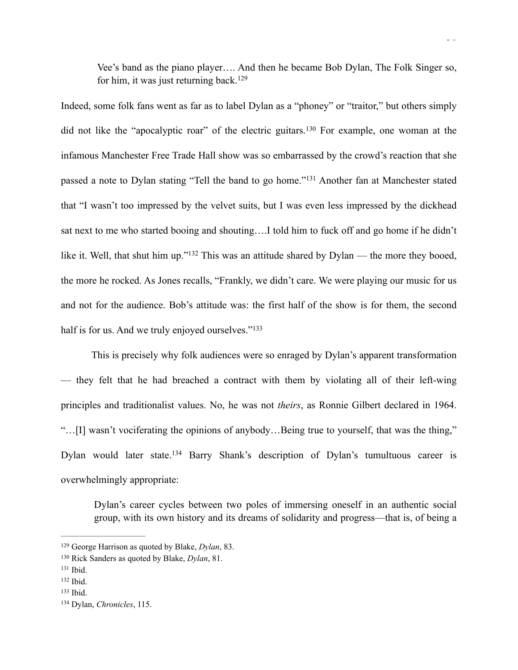Vee's band as the piano player…. And then he became Bob Dylan, The Folk Singer so, for him, it was just returning back.<sup>129</sup>

Indeed, some folk fans went as far as to label Dylan as a "phoney" or "traitor," but others simply did not like the "apocalyptic roar" of the electric guitars.  $130$  For example, one woman at the infamous Manchester Free Trade Hall show was so embarrassed by the crowd's reaction that she passed a note to Dylan stating "Tell the band to go home."<sup>131</sup> Another fan at Manchester stated that "I wasn't too impressed by the velvet suits, but I was even less impressed by the dickhead sat next to me who started booing and shouting….I told him to fuck off and go home if he didn't like it. Well, that shut him up." $132$  This was an attitude shared by Dylan — the more they booed, the more he rocked. As Jones recalls, "Frankly, we didn't care. We were playing our music for us and not for the audience. Bob's attitude was: the first half of the show is for them, the second half is for us. And we truly enjoyed ourselves."<sup>133</sup>

 This is precisely why folk audiences were so enraged by Dylan's apparent transformation — they felt that he had breached a contract with them by violating all of their left-wing principles and traditionalist values. No, he was not *theirs*, as Ronnie Gilbert declared in 1964. "…[I] wasn't vociferating the opinions of anybody…Being true to yourself, that was the thing," Dylan would later state.<sup>134</sup> Barry Shank's description of Dylan's tumultuous career is overwhelmingly appropriate:

Dylan's career cycles between two poles of immersing oneself in an authentic social group, with its own history and its dreams of solidarity and progress—that is, of being a

 $133$  Ibid.

<sup>&</sup>lt;sup>129</sup> George Harrison as quoted by Blake, *Dylan*, 83.

<sup>&</sup>lt;sup>130</sup> Rick Sanders as quoted by Blake, *Dylan*, 81.

 $131$  Ibid.

 $132$  Ibid.

<sup>&</sup>lt;sup>134</sup> Dylan, *Chronicles*, 115.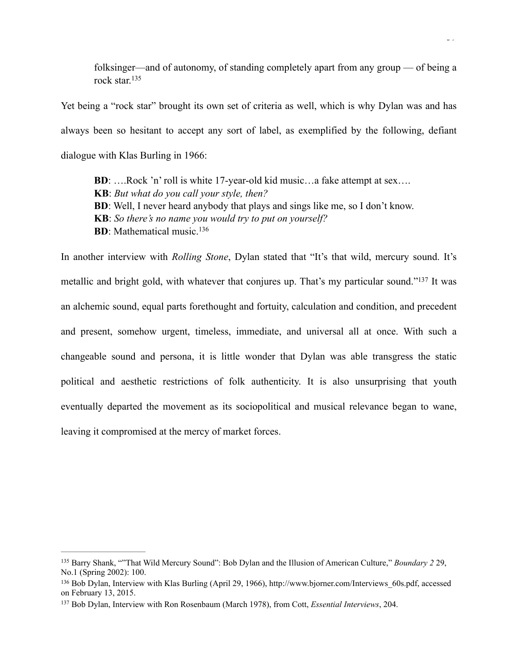folksinger—and of autonomy, of standing completely apart from any group — of being a rock star  $135$ 

Yet being a "rock star" brought its own set of criteria as well, which is why Dylan was and has always been so hesitant to accept any sort of label, as exemplified by the following, defiant dialogue with Klas Burling in 1966:

- **BD**: …Rock 'n' roll is white 17-year-old kid music…a fake attempt at sex….
- **KB**: *But what do you call your style, then?*
- **BD**: Well, I never heard anybody that plays and sings like me, so I don't know.
- **KB**: *So there's no name you would try to put on yourself?*
- **BD**: Mathematical music.<sup>136</sup>

In another interview with *Rolling Stone*, Dylan stated that "It's that wild, mercury sound. It's metallic and bright gold, with whatever that conjures up. That's my particular sound."<sup>137</sup> It was an alchemic sound, equal parts forethought and fortuity, calculation and condition, and precedent and present, somehow urgent, timeless, immediate, and universal all at once. With such a changeable sound and persona, it is little wonder that Dylan was able transgress the static political and aesthetic restrictions of folk authenticity. It is also unsurprising that youth eventually departed the movement as its sociopolitical and musical relevance began to wane, leaving it compromised at the mercy of market forces.

<sup>&</sup>lt;sup>135</sup> Barry Shank, ""That Wild Mercury Sound": Bob Dylan and the Illusion of American Culture," *Boundary 229*, No.1 (Spring 2002): 100.

<sup>&</sup>lt;sup>136</sup> Bob Dylan, Interview with Klas Burling (April 29, 1966), http://www.bjorner.com/Interviews\_60s.pdf, accessed on February 13, 2015.

<sup>&</sup>lt;sup>137</sup> Bob Dylan, Interview with Ron Rosenbaum (March 1978), from Cott, *Essential Interviews*, 204.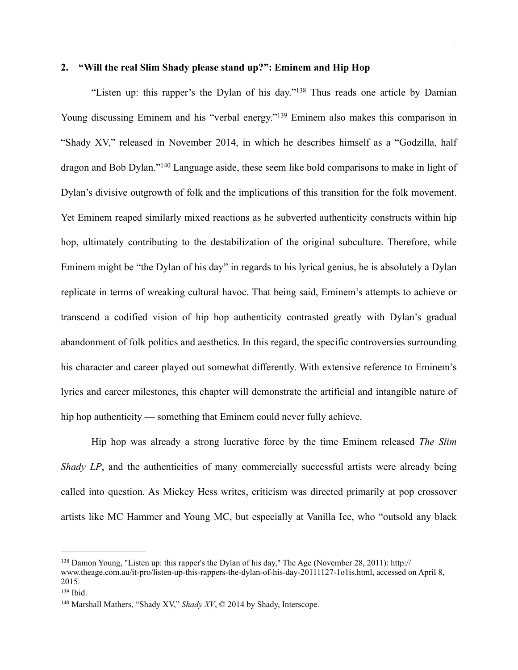## **2. "Will the real Slim Shady please stand up?": Eminem and Hip Hop**

"Listen up: this rapper's the Dylan of his day."<sup>138</sup> Thus reads one article by Damian Young discussing Eminem and his "verbal energy."<sup>139</sup> Eminem also makes this comparison in "Shady XV," released in November 2014, in which he describes himself as a "Godzilla, half dragon and Bob Dylan."<sup>140</sup> Language aside, these seem like bold comparisons to make in light of Dylan's divisive outgrowth of folk and the implications of this transition for the folk movement. Yet Eminem reaped similarly mixed reactions as he subverted authenticity constructs within hip hop, ultimately contributing to the destabilization of the original subculture. Therefore, while Eminem might be "the Dylan of his day" in regards to his lyrical genius, he is absolutely a Dylan replicate in terms of wreaking cultural havoc. That being said, Eminem's attempts to achieve or transcend a codified vision of hip hop authenticity contrasted greatly with Dylan's gradual abandonment of folk politics and aesthetics. In this regard, the specific controversies surrounding his character and career played out somewhat differently. With extensive reference to Eminem's lyrics and career milestones, this chapter will demonstrate the artificial and intangible nature of hip hop authenticity — something that Eminem could never fully achieve.

 Hip hop was already a strong lucrative force by the time Eminem released *The Slim Shady LP*, and the authenticities of many commercially successful artists were already being called into question. As Mickey Hess writes, criticism was directed primarily at pop crossover artists like MC Hammer and Young MC, but especially at Vanilla Ice, who "outsold any black

<sup>138</sup> Damon Young, "Listen up: this rapper's the Dylan of his day," The Age (November 28, 2011): http:// www.theage.com.au/it-pro/listen-up-this-rappers-the-dylan-of-his-day-20111127-1o1is.html, accessed on April 8, 2015.

 $139$  Ibid.

<sup>&</sup>lt;sup>140</sup> Marshall Mathers, "Shady XV," *Shady XV*, © 2014 by Shady, Interscope.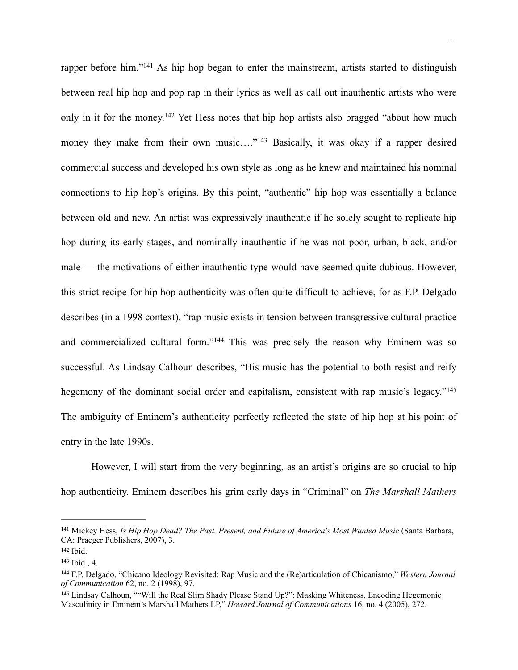rapper before him."<sup>141</sup> As hip hop began to enter the mainstream, artists started to distinguish between real hip hop and pop rap in their lyrics as well as call out inauthentic artists who were only in it for the money.<sup>142</sup> Yet Hess notes that hip hop artists also bragged "about how much money they make from their own music...."<sup>143</sup> Basically, it was okay if a rapper desired commercial success and developed his own style as long as he knew and maintained his nominal connections to hip hop's origins. By this point, "authentic" hip hop was essentially a balance between old and new. An artist was expressively inauthentic if he solely sought to replicate hip hop during its early stages, and nominally inauthentic if he was not poor, urban, black, and/or male — the motivations of either inauthentic type would have seemed quite dubious. However, this strict recipe for hip hop authenticity was often quite difficult to achieve, for as F.P. Delgado describes (in a 1998 context), "rap music exists in tension between transgressive cultural practice and commercialized cultural form."<sup>144</sup> This was precisely the reason why Eminem was so successful. As Lindsay Calhoun describes, "His music has the potential to both resist and reify hegemony of the dominant social order and capitalism, consistent with rap music's legacy."<sup>145</sup> The ambiguity of Eminem's authenticity perfectly reflected the state of hip hop at his point of entry in the late 1990s.

 However, I will start from the very beginning, as an artist's origins are so crucial to hip hop authenticity. Eminem describes his grim early days in "Criminal" on *The Marshall Mathers* 

<sup>&</sup>lt;sup>141</sup> Mickey Hess, *Is Hip Hop Dead? The Past, Present, and Future of America's Most Wanted Music* (Santa Barbara, CA: Praeger Publishers, 2007), 3.

 $142$  Ibid.

 $143$  Ibid., 4.

F.P. Delgado, "Chicano Ideology Revisited: Rap Music and the (Re)articulation of Chicanismo," *Western Journal* <sup>144</sup> *of Communication* 62, no. 2 (1998), 97.

<sup>&</sup>lt;sup>145</sup> Lindsay Calhoun, ""Will the Real Slim Shady Please Stand Up?": Masking Whiteness, Encoding Hegemonic Masculinity in Eminem's Marshall Mathers LP," *Howard Journal of Communications* 16, no. 4 (2005), 272.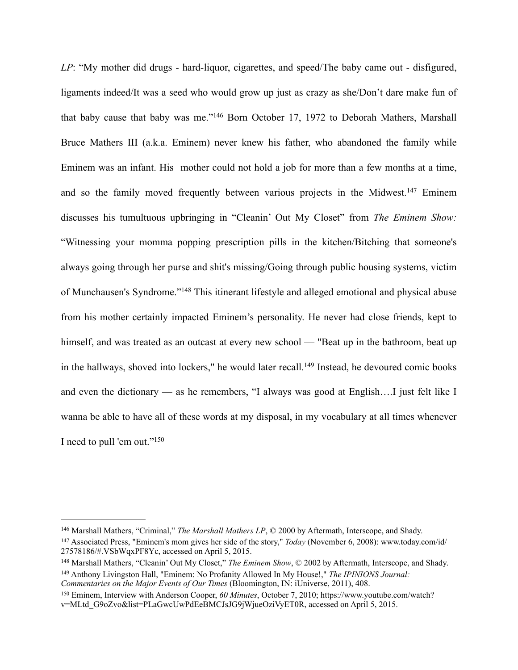*LP*: "My mother did drugs - hard-liquor, cigarettes, and speed/The baby came out - disfigured, ligaments indeed/It was a seed who would grow up just as crazy as she/Don't dare make fun of that baby cause that baby was me."<sup>146</sup> Born October 17, 1972 to Deborah Mathers, Marshall Bruce Mathers III (a.k.a. Eminem) never knew his father, who abandoned the family while Eminem was an infant. His mother could not hold a job for more than a few months at a time, and so the family moved frequently between various projects in the Midwest.<sup>147</sup> Eminem discusses his tumultuous upbringing in "Cleanin' Out My Closet" from *The Eminem Show:* "Witnessing your momma popping prescription pills in the kitchen/Bitching that someone's always going through her purse and shit's missing/Going through public housing systems, victim of Munchausen's Syndrome."<sup>148</sup> This itinerant lifestyle and alleged emotional and physical abuse from his mother certainly impacted Eminem's personality. He never had close friends, kept to himself, and was treated as an outcast at every new school — "Beat up in the bathroom, beat up in the hallways, shoved into lockers," he would later recall.<sup>149</sup> Instead, he devoured comic books and even the dictionary — as he remembers, "I always was good at English….I just felt like I wanna be able to have all of these words at my disposal, in my vocabulary at all times whenever I need to pull 'em out."150

 $\ddot{\phantom{1}}$ 

<sup>&</sup>lt;sup>146</sup> Marshall Mathers, "Criminal," *The Marshall Mathers LP*, © 2000 by Aftermath, Interscope, and Shady.

<sup>&</sup>lt;sup>147</sup> Associated Press, "Eminem's mom gives her side of the story," *Today* (November 6, 2008): www.today.com/id/ 27578186/#.VSbWqxPF8Yc, accessed on April 5, 2015.

<sup>&</sup>lt;sup>148</sup> Marshall Mathers, "Cleanin' Out My Closet," *The Eminem Show*, © 2002 by Aftermath, Interscope, and Shady.

<sup>&</sup>lt;sup>149</sup> Anthony Livingston Hall, "Eminem: No Profanity Allowed In My House!," *The IPINIONS Journal: Commentaries on the Major Events of Our Times* (Bloomington, IN: iUniverse, 2011), 408.

<sup>&</sup>lt;sup>150</sup> Eminem, Interview with Anderson Cooper, 60 Minutes, October 7, 2010; https://www.youtube.com/watch? v=MLtd\_G9oZvo&list=PLaGwcUwPdEeBMCJsJG9jWjueOziVyET0R, accessed on April 5, 2015.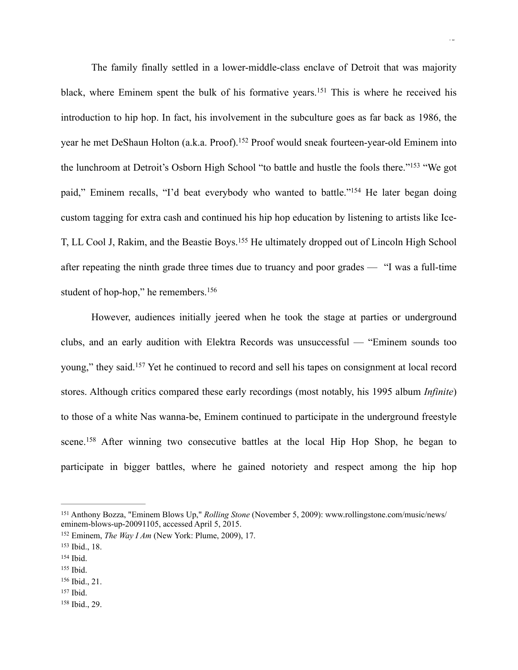The family finally settled in a lower-middle-class enclave of Detroit that was majority black, where Eminem spent the bulk of his formative years.<sup>151</sup> This is where he received his introduction to hip hop. In fact, his involvement in the subculture goes as far back as 1986, the year he met DeShaun Holton (a.k.a. Proof). <sup>152</sup> Proof would sneak fourteen-year-old Eminem into the lunchroom at Detroit's Osborn High School "to battle and hustle the fools there."<sup>153</sup> "We got paid," Eminem recalls, "I'd beat everybody who wanted to battle."<sup>154</sup> He later began doing custom tagging for extra cash and continued his hip hop education by listening to artists like Ice-T, LL Cool J, Rakim, and the Beastie Boys.<sup>155</sup> He ultimately dropped out of Lincoln High School after repeating the ninth grade three times due to truancy and poor grades — "I was a full-time student of hop-hop," he remembers.<sup>156</sup>

 However, audiences initially jeered when he took the stage at parties or underground clubs, and an early audition with Elektra Records was unsuccessful — "Eminem sounds too young," they said.<sup>157</sup> Yet he continued to record and sell his tapes on consignment at local record stores. Although critics compared these early recordings (most notably, his 1995 album *Infinite*) to those of a white Nas wanna-be, Eminem continued to participate in the underground freestyle scene.<sup>158</sup> After winning two consecutive battles at the local Hip Hop Shop, he began to participate in bigger battles, where he gained notoriety and respect among the hip hop

 $156$  Ibid., 21.

Anthony Bozza, "Eminem Blows Up," *Rolling Stone* (November 5, 2009): www.rollingstone.com/music/news/ <sup>151</sup> eminem-blows-up-20091105, accessed April 5, 2015.

<sup>&</sup>lt;sup>152</sup> Eminem, *The Way I Am* (New York: Plume, 2009), 17.

<sup>&</sup>lt;sup>153</sup> Ibid., 18.

<sup>154</sup> Ibid.

 $155$  Ibid.

 $157$  Ibid.

<sup>158</sup> Ibid., 29.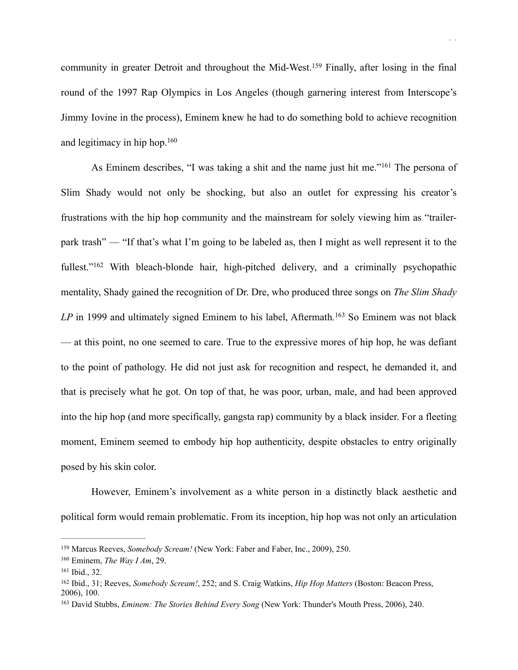community in greater Detroit and throughout the Mid-West.<sup>159</sup> Finally, after losing in the final round of the 1997 Rap Olympics in Los Angeles (though garnering interest from Interscope's Jimmy Iovine in the process), Eminem knew he had to do something bold to achieve recognition and legitimacy in hip hop.160

As Eminem describes, "I was taking a shit and the name just hit me."<sup>161</sup> The persona of Slim Shady would not only be shocking, but also an outlet for expressing his creator's frustrations with the hip hop community and the mainstream for solely viewing him as "trailerpark trash" — "If that's what I'm going to be labeled as, then I might as well represent it to the fullest." $162$  With bleach-blonde hair, high-pitched delivery, and a criminally psychopathic mentality, Shady gained the recognition of Dr. Dre, who produced three songs on *The Slim Shady LP* in 1999 and ultimately signed Eminem to his label, Aftermath.<sup>163</sup> So Eminem was not black — at this point, no one seemed to care. True to the expressive mores of hip hop, he was defiant to the point of pathology. He did not just ask for recognition and respect, he demanded it, and that is precisely what he got. On top of that, he was poor, urban, male, and had been approved into the hip hop (and more specifically, gangsta rap) community by a black insider. For a fleeting moment, Eminem seemed to embody hip hop authenticity, despite obstacles to entry originally posed by his skin color.

 However, Eminem's involvement as a white person in a distinctly black aesthetic and political form would remain problematic. From its inception, hip hop was not only an articulation

<sup>&</sup>lt;sup>159</sup> Marcus Reeves, *Somebody Scream!* (New York: Faber and Faber, Inc., 2009), 250.

<sup>&</sup>lt;sup>160</sup> Eminem, *The Way I Am*, 29.

<sup>161</sup> Ibid., 32.

Ibid., 31; Reeves, *Somebody Scream!*, 252; and S. Craig Watkins, *Hip Hop Matters* (Boston: Beacon Press, 162 2006), 100.

<sup>&</sup>lt;sup>163</sup> David Stubbs, *Eminem: The Stories Behind Every Song* (New York: Thunder's Mouth Press, 2006), 240.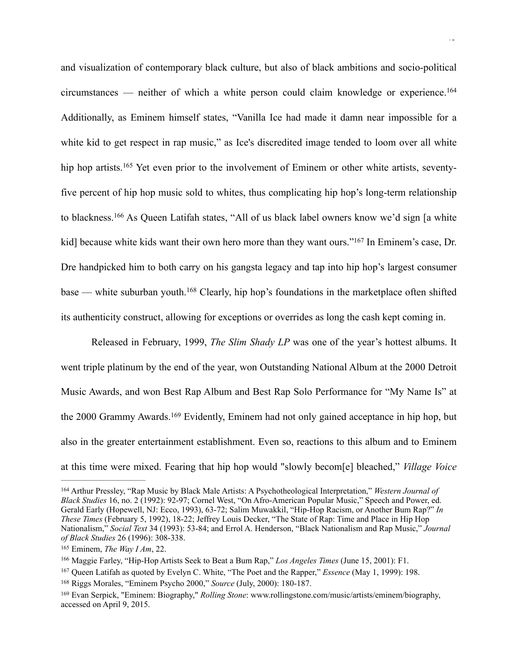and visualization of contemporary black culture, but also of black ambitions and socio-political circumstances — neither of which a white person could claim knowledge or experience.164 Additionally, as Eminem himself states, "Vanilla Ice had made it damn near impossible for a white kid to get respect in rap music," as Ice's discredited image tended to loom over all white hip hop artists.<sup>165</sup> Yet even prior to the involvement of Eminem or other white artists, seventyfive percent of hip hop music sold to whites, thus complicating hip hop's long-term relationship to blackness.<sup>166</sup> As Queen Latifah states, "All of us black label owners know we'd sign [a white kid] because white kids want their own hero more than they want ours."<sup>167</sup> In Eminem's case, Dr. Dre handpicked him to both carry on his gangsta legacy and tap into hip hop's largest consumer base — white suburban youth.<sup>168</sup> Clearly, hip hop's foundations in the marketplace often shifted its authenticity construct, allowing for exceptions or overrides as long the cash kept coming in.

 Released in February, 1999, *The Slim Shady LP* was one of the year's hottest albums. It went triple platinum by the end of the year, won Outstanding National Album at the 2000 Detroit Music Awards, and won Best Rap Album and Best Rap Solo Performance for "My Name Is" at the 2000 Grammy Awards. <sup>169</sup> Evidently, Eminem had not only gained acceptance in hip hop, but also in the greater entertainment establishment. Even so, reactions to this album and to Eminem at this time were mixed. Fearing that hip hop would "slowly becom[e] bleached," *Village Voice*

Arthur Pressley, "Rap Music by Black Male Artists: A Psychotheological Interpretation," *Western Journal of* <sup>164</sup> *Black Studies* 16, no. 2 (1992): 92-97; Cornel West, "On Afro-American Popular Music," Speech and Power, ed. Gerald Early (Hopewell, NJ: Ecco, 1993), 63-72; Salim Muwakkil, "Hip-Hop Racism, or Another Bum Rap?" *In These Times* (February 5, 1992), 18-22; Jeffrey Louis Decker, "The State of Rap: Time and Place in Hip Hop Nationalism," *Social Text* 34 (1993): 53-84; and Errol A. Henderson, "Black Nationalism and Rap Music," *Journal of Black Studies* 26 (1996): 308-338.

<sup>&</sup>lt;sup>165</sup> Eminem, *The Way I Am*, 22.

<sup>&</sup>lt;sup>166</sup> Maggie Farley, "Hip-Hop Artists Seek to Beat a Bum Rap," *Los Angeles Times* (June 15, 2001): F1.

<sup>&</sup>lt;sup>167</sup> Queen Latifah as quoted by Evelyn C. White, "The Poet and the Rapper," *Essence* (May 1, 1999): 198.

<sup>&</sup>lt;sup>168</sup> Riggs Morales, "Eminem Psycho 2000," *Source* (July, 2000): 180-187.

Evan Serpick, "Eminem: Biography," *Rolling Stone*: www.rollingstone.com/music/artists/eminem/biography, 169 accessed on April 9, 2015.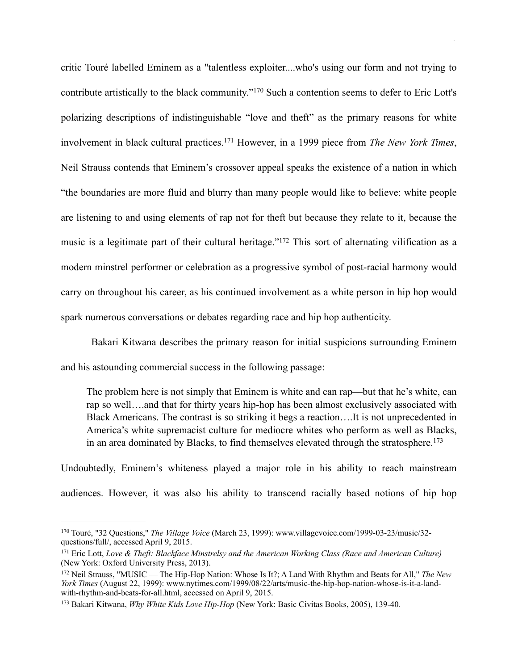critic Touré labelled Eminem as a "talentless exploiter....who's using our form and not trying to contribute artistically to the black community."<sup>170</sup> Such a contention seems to defer to Eric Lott's polarizing descriptions of indistinguishable "love and theft" as the primary reasons for white involvement in black cultural practices.<sup>171</sup> However, in a 1999 piece from *The New York Times*, Neil Strauss contends that Eminem's crossover appeal speaks the existence of a nation in which "the boundaries are more fluid and blurry than many people would like to believe: white people are listening to and using elements of rap not for theft but because they relate to it, because the music is a legitimate part of their cultural heritage."<sup>172</sup> This sort of alternating vilification as a modern minstrel performer or celebration as a progressive symbol of post-racial harmony would carry on throughout his career, as his continued involvement as a white person in hip hop would spark numerous conversations or debates regarding race and hip hop authenticity.

 Bakari Kitwana describes the primary reason for initial suspicions surrounding Eminem and his astounding commercial success in the following passage:

The problem here is not simply that Eminem is white and can rap—but that he's white, can rap so well….and that for thirty years hip-hop has been almost exclusively associated with Black Americans. The contrast is so striking it begs a reaction….It is not unprecedented in America's white supremacist culture for mediocre whites who perform as well as Blacks, in an area dominated by Blacks, to find themselves elevated through the stratosphere.<sup>173</sup>

Undoubtedly, Eminem's whiteness played a major role in his ability to reach mainstream audiences. However, it was also his ability to transcend racially based notions of hip hop

<sup>&</sup>lt;sup>170</sup> Touré, "32 Questions," *The Village Voice* (March 23, 1999): www.villagevoice.com/1999-03-23/music/32questions/full/, accessed April 9, 2015.

Eric Lott, *Love & Theft: Blackface Minstrelsy and the American Working Class (Race and American Culture)* <sup>171</sup> (New York: Oxford University Press, 2013).

<sup>&</sup>lt;sup>172</sup> Neil Strauss, "MUSIC — The Hip-Hop Nation: Whose Is It?; A Land With Rhythm and Beats for All," The New *York Times* (August 22, 1999): www.nytimes.com/1999/08/22/arts/music-the-hip-hop-nation-whose-is-it-a-landwith-rhythm-and-beats-for-all.html, accessed on April 9, 2015.

<sup>&</sup>lt;sup>173</sup> Bakari Kitwana, *Why White Kids Love Hip-Hop* (New York: Basic Civitas Books, 2005), 139-40.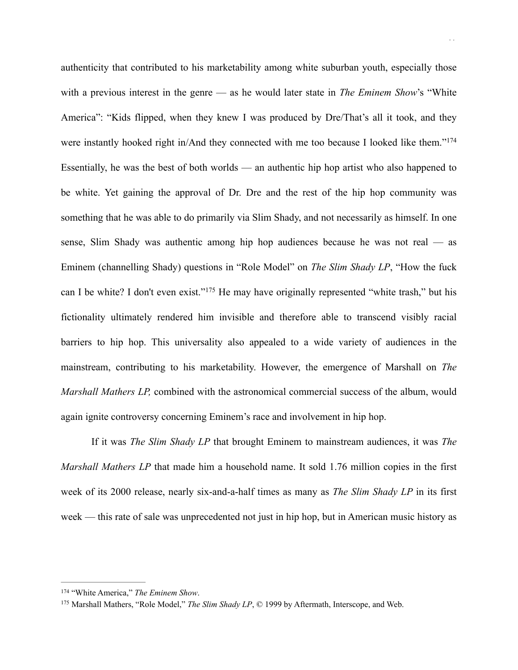authenticity that contributed to his marketability among white suburban youth, especially those with a previous interest in the genre — as he would later state in *The Eminem Show*'s "White America": "Kids flipped, when they knew I was produced by Dre/That's all it took, and they were instantly hooked right in/And they connected with me too because I looked like them."174 Essentially, he was the best of both worlds — an authentic hip hop artist who also happened to be white. Yet gaining the approval of Dr. Dre and the rest of the hip hop community was something that he was able to do primarily via Slim Shady, and not necessarily as himself. In one sense, Slim Shady was authentic among hip hop audiences because he was not real — as Eminem (channelling Shady) questions in "Role Model" on *The Slim Shady LP*, "How the fuck can I be white? I don't even exist."<sup>175</sup> He may have originally represented "white trash," but his fictionality ultimately rendered him invisible and therefore able to transcend visibly racial barriers to hip hop. This universality also appealed to a wide variety of audiences in the mainstream, contributing to his marketability. However, the emergence of Marshall on *The Marshall Mathers LP,* combined with the astronomical commercial success of the album, would again ignite controversy concerning Eminem's race and involvement in hip hop.

 If it was *The Slim Shady LP* that brought Eminem to mainstream audiences, it was *The Marshall Mathers LP* that made him a household name. It sold 1.76 million copies in the first week of its 2000 release, nearly six-and-a-half times as many as *The Slim Shady LP* in its first week — this rate of sale was unprecedented not just in hip hop, but in American music history as

<sup>&</sup>lt;sup>174</sup> "White America," *The Eminem Show*.

<sup>&</sup>lt;sup>175</sup> Marshall Mathers, "Role Model," *The Slim Shady LP*, © 1999 by Aftermath, Interscope, and Web.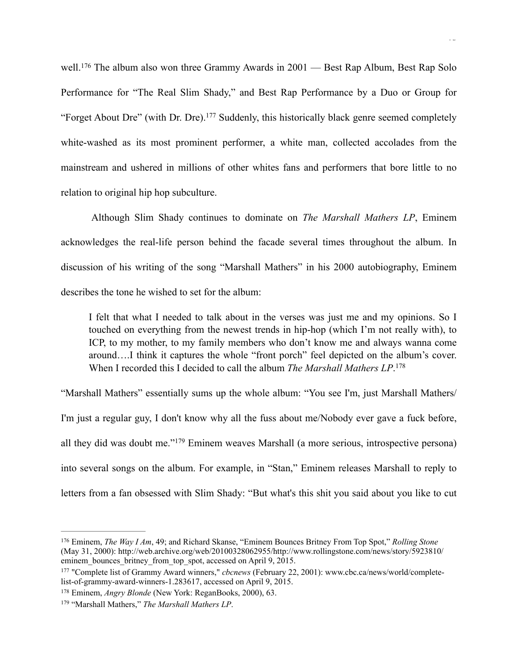well.<sup>176</sup> The album also won three Grammy Awards in  $2001$  — Best Rap Album, Best Rap Solo Performance for "The Real Slim Shady," and Best Rap Performance by a Duo or Group for "Forget About Dre" (with Dr. Dre).<sup>177</sup> Suddenly, this historically black genre seemed completely white-washed as its most prominent performer, a white man, collected accolades from the mainstream and ushered in millions of other whites fans and performers that bore little to no relation to original hip hop subculture.

 Although Slim Shady continues to dominate on *The Marshall Mathers LP*, Eminem acknowledges the real-life person behind the facade several times throughout the album. In discussion of his writing of the song "Marshall Mathers" in his 2000 autobiography, Eminem describes the tone he wished to set for the album:

I felt that what I needed to talk about in the verses was just me and my opinions. So I touched on everything from the newest trends in hip-hop (which I'm not really with), to ICP, to my mother, to my family members who don't know me and always wanna come around….I think it captures the whole "front porch" feel depicted on the album's cover. When I recorded this I decided to call the album *The Marshall Mathers LP*. 178

"Marshall Mathers" essentially sums up the whole album: "You see I'm, just Marshall Mathers/ I'm just a regular guy, I don't know why all the fuss about me/Nobody ever gave a fuck before, all they did was doubt me." $179$  Eminem weaves Marshall (a more serious, introspective persona) into several songs on the album. For example, in "Stan," Eminem releases Marshall to reply to letters from a fan obsessed with Slim Shady: "But what's this shit you said about you like to cut

 Eminem, *The Way I Am*, 49; and Richard Skanse, "Eminem Bounces Britney From Top Spot," *Rolling Stone* <sup>176</sup> (May 31, 2000): http://web.archive.org/web/20100328062955/http://www.rollingstone.com/news/story/5923810/ eminem bounces britney from top spot, accessed on April 9, 2015.

<sup>&</sup>lt;sup>177</sup> "Complete list of Grammy Award winners," *cbcnews* (February 22, 2001): www.cbc.ca/news/world/completelist-of-grammy-award-winners-1.283617, accessed on April 9, 2015.

<sup>&</sup>lt;sup>178</sup> Eminem, *Angry Blonde* (New York: ReganBooks, 2000), 63.

<sup>&</sup>lt;sup>179</sup> "Marshall Mathers," *The Marshall Mathers LP*.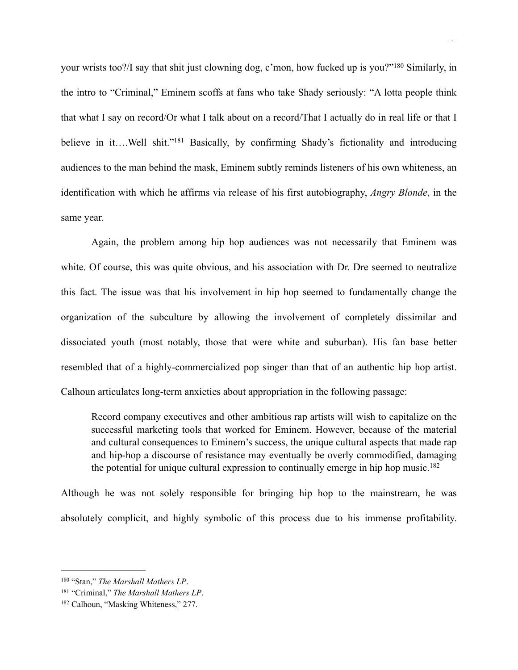your wrists too?/I say that shit just clowning dog, c'mon, how fucked up is you?"<sup>180</sup> Similarly, in the intro to "Criminal," Eminem scoffs at fans who take Shady seriously: "A lotta people think that what I say on record/Or what I talk about on a record/That I actually do in real life or that I believe in it….Well shit."<sup>181</sup> Basically, by confirming Shady's fictionality and introducing audiences to the man behind the mask, Eminem subtly reminds listeners of his own whiteness, an identification with which he affirms via release of his first autobiography, *Angry Blonde*, in the same year.

 Again, the problem among hip hop audiences was not necessarily that Eminem was white. Of course, this was quite obvious, and his association with Dr. Dre seemed to neutralize this fact. The issue was that his involvement in hip hop seemed to fundamentally change the organization of the subculture by allowing the involvement of completely dissimilar and dissociated youth (most notably, those that were white and suburban). His fan base better resembled that of a highly-commercialized pop singer than that of an authentic hip hop artist. Calhoun articulates long-term anxieties about appropriation in the following passage:

Record company executives and other ambitious rap artists will wish to capitalize on the successful marketing tools that worked for Eminem. However, because of the material and cultural consequences to Eminem's success, the unique cultural aspects that made rap and hip-hop a discourse of resistance may eventually be overly commodified, damaging the potential for unique cultural expression to continually emerge in hip hop music.<sup>182</sup>

Although he was not solely responsible for bringing hip hop to the mainstream, he was absolutely complicit, and highly symbolic of this process due to his immense profitability.

<sup>&</sup>lt;sup>180</sup> "Stan," *The Marshall Mathers LP*.

<sup>&</sup>lt;sup>181</sup> "Criminal," *The Marshall Mathers LP*.

<sup>&</sup>lt;sup>182</sup> Calhoun, "Masking Whiteness," 277.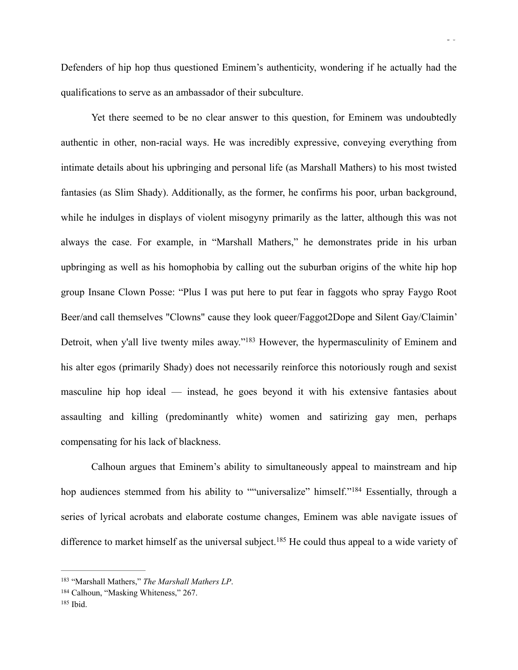Defenders of hip hop thus questioned Eminem's authenticity, wondering if he actually had the qualifications to serve as an ambassador of their subculture.

 Yet there seemed to be no clear answer to this question, for Eminem was undoubtedly authentic in other, non-racial ways. He was incredibly expressive, conveying everything from intimate details about his upbringing and personal life (as Marshall Mathers) to his most twisted fantasies (as Slim Shady). Additionally, as the former, he confirms his poor, urban background, while he indulges in displays of violent misogyny primarily as the latter, although this was not always the case. For example, in "Marshall Mathers," he demonstrates pride in his urban upbringing as well as his homophobia by calling out the suburban origins of the white hip hop group Insane Clown Posse: "Plus I was put here to put fear in faggots who spray Faygo Root Beer/and call themselves "Clowns" cause they look queer/Faggot2Dope and Silent Gay/Claimin' Detroit, when y'all live twenty miles away."<sup>183</sup> However, the hypermasculinity of Eminem and his alter egos (primarily Shady) does not necessarily reinforce this notoriously rough and sexist masculine hip hop ideal — instead, he goes beyond it with his extensive fantasies about assaulting and killing (predominantly white) women and satirizing gay men, perhaps compensating for his lack of blackness.

 Calhoun argues that Eminem's ability to simultaneously appeal to mainstream and hip hop audiences stemmed from his ability to ""universalize" himself."<sup>184</sup> Essentially, through a series of lyrical acrobats and elaborate costume changes, Eminem was able navigate issues of difference to market himself as the universal subject.<sup>185</sup> He could thus appeal to a wide variety of

<sup>&</sup>lt;sup>183</sup> "Marshall Mathers," *The Marshall Mathers LP*.

<sup>&</sup>lt;sup>184</sup> Calhoun, "Masking Whiteness," 267.

 $185$  Ibid.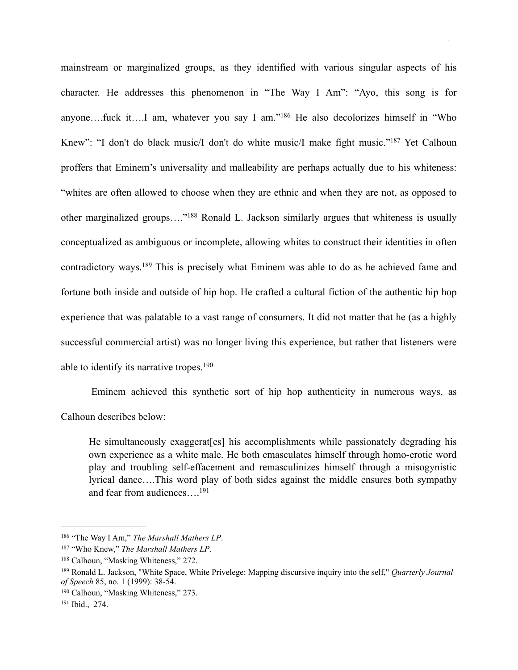mainstream or marginalized groups, as they identified with various singular aspects of his character. He addresses this phenomenon in "The Way I Am": "Ayo, this song is for anyone….fuck it….I am, whatever you say I am."<sup>186</sup> He also decolorizes himself in "Who Knew": "I don't do black music/I don't do white music/I make fight music."<sup>187</sup> Yet Calhoun proffers that Eminem's universality and malleability are perhaps actually due to his whiteness: "whites are often allowed to choose when they are ethnic and when they are not, as opposed to other marginalized groups...."<sup>188</sup> Ronald L. Jackson similarly argues that whiteness is usually conceptualized as ambiguous or incomplete, allowing whites to construct their identities in often contradictory ways.<sup>189</sup> This is precisely what Eminem was able to do as he achieved fame and fortune both inside and outside of hip hop. He crafted a cultural fiction of the authentic hip hop experience that was palatable to a vast range of consumers. It did not matter that he (as a highly successful commercial artist) was no longer living this experience, but rather that listeners were able to identify its narrative tropes.190

 Eminem achieved this synthetic sort of hip hop authenticity in numerous ways, as Calhoun describes below:

He simultaneously exaggerat[es] his accomplishments while passionately degrading his own experience as a white male. He both emasculates himself through homo-erotic word play and troubling self-effacement and remasculinizes himself through a misogynistic lyrical dance….This word play of both sides against the middle ensures both sympathy and fear from audiences….191

<sup>&</sup>lt;sup>186</sup> "The Way I Am," *The Marshall Mathers LP*.

<sup>&</sup>lt;sup>187</sup> "Who Knew," *The Marshall Mathers LP*.

<sup>&</sup>lt;sup>188</sup> Calhoun, "Masking Whiteness," 272.

Ronald L. Jackson, "White Space, White Privelege: Mapping discursive inquiry into the self," *Quarterly Journal* <sup>189</sup> *of Speech* 85, no. 1 (1999): 38-54.

<sup>&</sup>lt;sup>190</sup> Calhoun, "Masking Whiteness," 273.

<sup>&</sup>lt;sup>191</sup> Ibid., 274.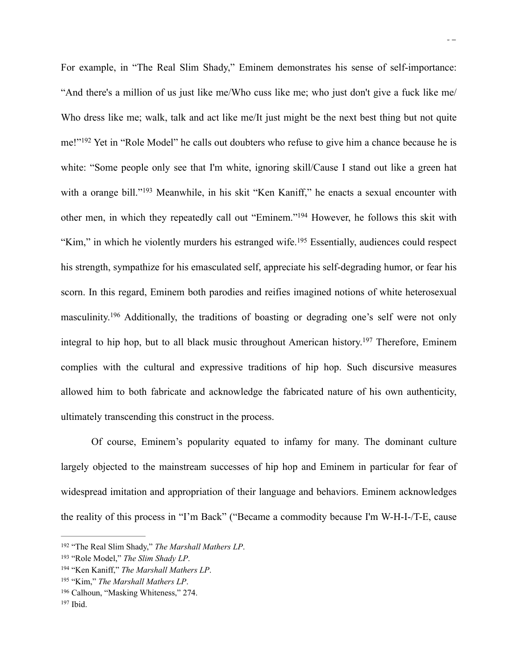For example, in "The Real Slim Shady," Eminem demonstrates his sense of self-importance: "And there's a million of us just like me/Who cuss like me; who just don't give a fuck like me/ Who dress like me; walk, talk and act like me/It just might be the next best thing but not quite me!" <sup>192</sup> Yet in "Role Model" he calls out doubters who refuse to give him a chance because he is white: "Some people only see that I'm white, ignoring skill/Cause I stand out like a green hat with a orange bill."<sup>193</sup> Meanwhile, in his skit "Ken Kaniff," he enacts a sexual encounter with other men, in which they repeatedly call out "Eminem."<sup>194</sup> However, he follows this skit with "Kim," in which he violently murders his estranged wife.<sup>195</sup> Essentially, audiences could respect his strength, sympathize for his emasculated self, appreciate his self-degrading humor, or fear his scorn. In this regard, Eminem both parodies and reifies imagined notions of white heterosexual masculinity.<sup>196</sup> Additionally, the traditions of boasting or degrading one's self were not only integral to hip hop, but to all black music throughout American history.<sup>197</sup> Therefore, Eminem complies with the cultural and expressive traditions of hip hop. Such discursive measures allowed him to both fabricate and acknowledge the fabricated nature of his own authenticity, ultimately transcending this construct in the process.

 Of course, Eminem's popularity equated to infamy for many. The dominant culture largely objected to the mainstream successes of hip hop and Eminem in particular for fear of widespread imitation and appropriation of their language and behaviors. Eminem acknowledges the reality of this process in "I'm Back" ("Became a commodity because I'm W-H-I-/T-E, cause

<sup>&</sup>lt;sup>192</sup> "The Real Slim Shady," *The Marshall Mathers LP*.

<sup>&</sup>lt;sup>193</sup> "Role Model," *The Slim Shady LP*.

<sup>&</sup>lt;sup>194</sup> "Ken Kaniff," *The Marshall Mathers LP*.

<sup>&</sup>lt;sup>195</sup> "Kim," *The Marshall Mathers LP*.

<sup>&</sup>lt;sup>196</sup> Calhoun, "Masking Whiteness," 274.

 $197$  Ibid.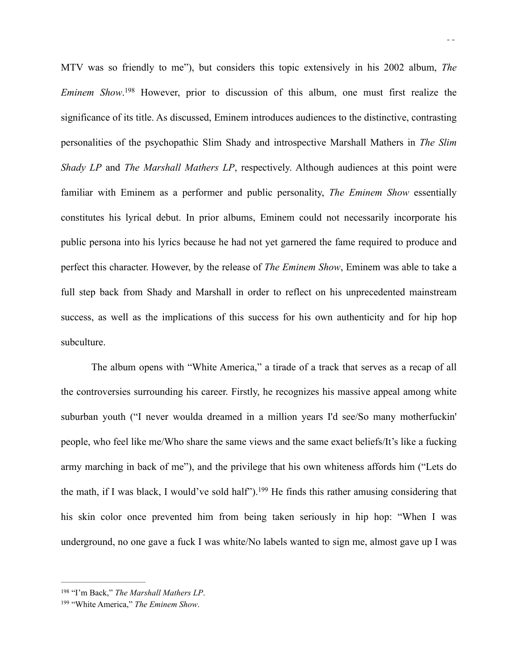MTV was so friendly to me"), but considers this topic extensively in his 2002 album, *The Eminem Show*.<sup>198</sup> However, prior to discussion of this album, one must first realize the significance of its title. As discussed, Eminem introduces audiences to the distinctive, contrasting personalities of the psychopathic Slim Shady and introspective Marshall Mathers in *The Slim Shady LP* and *The Marshall Mathers LP*, respectively. Although audiences at this point were familiar with Eminem as a performer and public personality, *The Eminem Show* essentially constitutes his lyrical debut. In prior albums, Eminem could not necessarily incorporate his public persona into his lyrics because he had not yet garnered the fame required to produce and perfect this character. However, by the release of *The Eminem Show*, Eminem was able to take a full step back from Shady and Marshall in order to reflect on his unprecedented mainstream success, as well as the implications of this success for his own authenticity and for hip hop subculture.

 The album opens with "White America," a tirade of a track that serves as a recap of all the controversies surrounding his career. Firstly, he recognizes his massive appeal among white suburban youth ("I never woulda dreamed in a million years I'd see/So many motherfuckin' people, who feel like me/Who share the same views and the same exact beliefs/It's like a fucking army marching in back of me"), and the privilege that his own whiteness affords him ("Lets do the math, if I was black, I would've sold half").<sup>199</sup> He finds this rather amusing considering that his skin color once prevented him from being taken seriously in hip hop: "When I was underground, no one gave a fuck I was white/No labels wanted to sign me, almost gave up I was

<sup>&</sup>lt;sup>198</sup> "I'm Back," *The Marshall Mathers LP*.

<sup>&</sup>lt;sup>199</sup> "White America," *The Eminem Show*.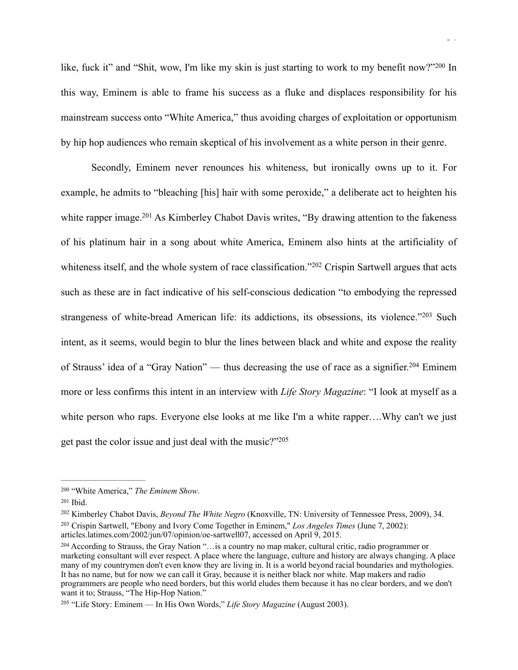like, fuck it" and "Shit, wow, I'm like my skin is just starting to work to my benefit now?"200 In this way, Eminem is able to frame his success as a fluke and displaces responsibility for his mainstream success onto "White America," thus avoiding charges of exploitation or opportunism by hip hop audiences who remain skeptical of his involvement as a white person in their genre.

 Secondly, Eminem never renounces his whiteness, but ironically owns up to it. For example, he admits to "bleaching [his] hair with some peroxide," a deliberate act to heighten his white rapper image.<sup>201</sup> As Kimberley Chabot Davis writes, "By drawing attention to the fakeness" of his platinum hair in a song about white America, Eminem also hints at the artificiality of whiteness itself, and the whole system of race classification." $202$  Crispin Sartwell argues that acts such as these are in fact indicative of his self-conscious dedication "to embodying the repressed strangeness of white-bread American life: its addictions, its obsessions, its violence."<sup>203</sup> Such intent, as it seems, would begin to blur the lines between black and white and expose the reality of Strauss' idea of a "Gray Nation" — thus decreasing the use of race as a signifier.<sup>204</sup> Eminem more or less confirms this intent in an interview with *Life Story Magazine*: "I look at myself as a white person who raps. Everyone else looks at me like I'm a white rapper....Why can't we just get past the color issue and just deal with the music?"205

<sup>202</sup> Kimberley Chabot Davis, *Beyond The White Negro* (Knoxville, TN: University of Tennessee Press, 2009), 34. <sup>203</sup> Crispin Sartwell, "Ebony and Ivory Come Together in Eminem," *Los Angeles Times* (June 7, 2002):

<sup>&</sup>lt;sup>200</sup> "White America," *The Eminem Show*.

<sup>201</sup> Ibid.

articles.latimes.com/2002/jun/07/opinion/oe-sartwell07, accessed on April 9, 2015.

<sup>&</sup>lt;sup>204</sup> According to Strauss, the Gray Nation "... is a country no map maker, cultural critic, radio programmer or marketing consultant will ever respect. A place where the language, culture and history are always changing. A place many of my countrymen don't even know they are living in. It is a world beyond racial boundaries and mythologies. It has no name, but for now we can call it Gray, because it is neither black nor white. Map makers and radio programmers are people who need borders, but this world eludes them because it has no clear borders, and we don't want it to; Strauss, "The Hip-Hop Nation."

<sup>&</sup>lt;sup>205</sup> "Life Story: Eminem — In His Own Words," Life Story Magazine (August 2003).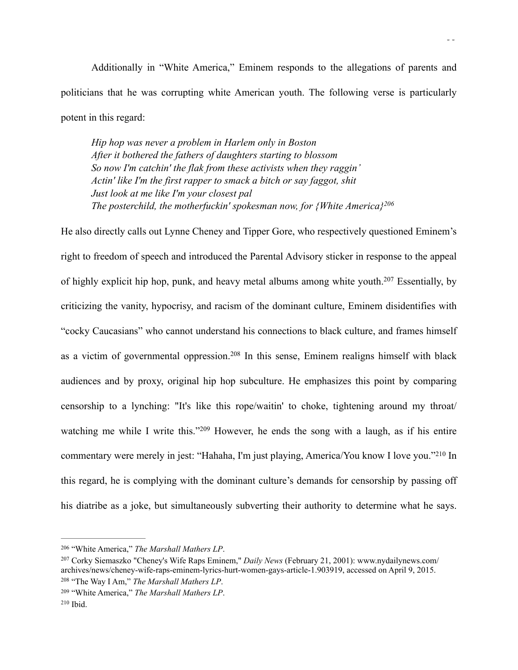Additionally in "White America," Eminem responds to the allegations of parents and politicians that he was corrupting white American youth. The following verse is particularly potent in this regard:

*Hip hop was never a problem in Harlem only in Boston After it bothered the fathers of daughters starting to blossom So now I'm catchin' the flak from these activists when they raggin' Actin' like I'm the first rapper to smack a bitch or say faggot, shit Just look at me like I'm your closest pal The posterchild, the motherfuckin' spokesman now, for {White America}206*

He also directly calls out Lynne Cheney and Tipper Gore, who respectively questioned Eminem's right to freedom of speech and introduced the Parental Advisory sticker in response to the appeal of highly explicit hip hop, punk, and heavy metal albums among white youth.<sup>207</sup> Essentially, by criticizing the vanity, hypocrisy, and racism of the dominant culture, Eminem disidentifies with "cocky Caucasians" who cannot understand his connections to black culture, and frames himself as a victim of governmental oppression.<sup>208</sup> In this sense, Eminem realigns himself with black audiences and by proxy, original hip hop subculture. He emphasizes this point by comparing censorship to a lynching: "It's like this rope/waitin' to choke, tightening around my throat/ watching me while I write this." 209 However, he ends the song with a laugh, as if his entire commentary were merely in jest: "Hahaha, I'm just playing, America/You know I love you."<sup>210</sup> In this regard, he is complying with the dominant culture's demands for censorship by passing off his diatribe as a joke, but simultaneously subverting their authority to determine what he says.

<sup>&</sup>lt;sup>206</sup> "White America," *The Marshall Mathers LP*.

<sup>&</sup>lt;sup>207</sup> Corky Siemaszko "Cheney's Wife Raps Eminem," *Daily News* (February 21, 2001): www.nydailynews.com/ archives/news/cheney-wife-raps-eminem-lyrics-hurt-women-gays-article-1.903919, accessed on April 9, 2015. <sup>208</sup> "The Way I Am," *The Marshall Mathers LP*.

<sup>&</sup>lt;sup>209</sup> "White America," *The Marshall Mathers LP*.

 $210$  Ibid.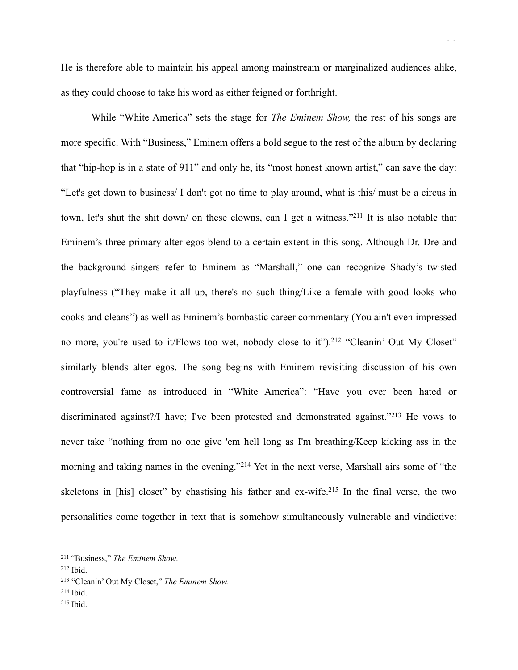He is therefore able to maintain his appeal among mainstream or marginalized audiences alike, as they could choose to take his word as either feigned or forthright.

 While "White America" sets the stage for *The Eminem Show,* the rest of his songs are more specific. With "Business," Eminem offers a bold segue to the rest of the album by declaring that "hip-hop is in a state of 911" and only he, its "most honest known artist," can save the day: "Let's get down to business/ I don't got no time to play around, what is this/ must be a circus in town, let's shut the shit down/ on these clowns, can I get a witness."<sup>211</sup> It is also notable that Eminem's three primary alter egos blend to a certain extent in this song. Although Dr. Dre and the background singers refer to Eminem as "Marshall," one can recognize Shady's twisted playfulness ("They make it all up, there's no such thing/Like a female with good looks who cooks and cleans") as well as Eminem's bombastic career commentary (You ain't even impressed no more, you're used to it/Flows too wet, nobody close to it").<sup>212</sup> "Cleanin' Out My Closet" similarly blends alter egos. The song begins with Eminem revisiting discussion of his own controversial fame as introduced in "White America": "Have you ever been hated or discriminated against?/I have; I've been protested and demonstrated against."<sup>213</sup> He vows to never take "nothing from no one give 'em hell long as I'm breathing/Keep kicking ass in the morning and taking names in the evening."<sup>214</sup> Yet in the next verse, Marshall airs some of "the skeletons in [his] closet" by chastising his father and ex-wife.<sup>215</sup> In the final verse, the two personalities come together in text that is somehow simultaneously vulnerable and vindictive:

<sup>&</sup>lt;sup>211</sup> "Business," *The Eminem Show*.

 $212$  Ibid.

<sup>&</sup>lt;sup>213</sup> "Cleanin' Out My Closet," *The Eminem Show*.

 $214$  Ibid.

 $215$  Ibid.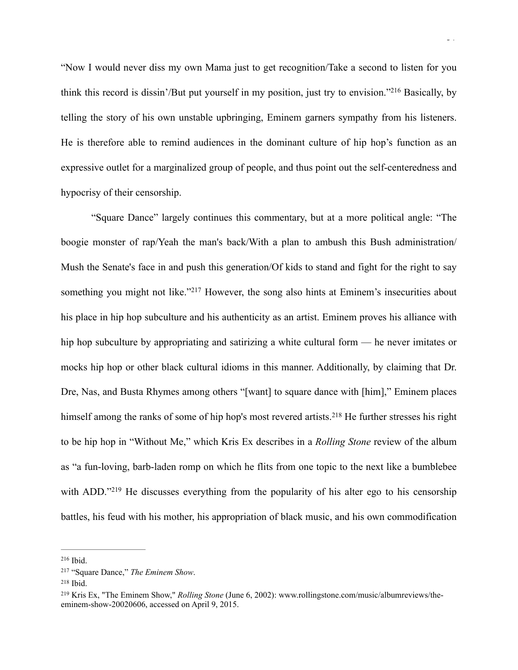"Now I would never diss my own Mama just to get recognition/Take a second to listen for you think this record is dissin'/But put yourself in my position, just try to envision."<sup>216</sup> Basically, by telling the story of his own unstable upbringing, Eminem garners sympathy from his listeners. He is therefore able to remind audiences in the dominant culture of hip hop's function as an expressive outlet for a marginalized group of people, and thus point out the self-centeredness and hypocrisy of their censorship.

 "Square Dance" largely continues this commentary, but at a more political angle: "The boogie monster of rap/Yeah the man's back/With a plan to ambush this Bush administration/ Mush the Senate's face in and push this generation/Of kids to stand and fight for the right to say something you might not like."<sup>217</sup> However, the song also hints at Eminem's insecurities about his place in hip hop subculture and his authenticity as an artist. Eminem proves his alliance with hip hop subculture by appropriating and satirizing a white cultural form — he never imitates or mocks hip hop or other black cultural idioms in this manner. Additionally, by claiming that Dr. Dre, Nas, and Busta Rhymes among others "[want] to square dance with [him]," Eminem places himself among the ranks of some of hip hop's most revered artists.<sup>218</sup> He further stresses his right to be hip hop in "Without Me," which Kris Ex describes in a *Rolling Stone* review of the album as "a fun-loving, barb-laden romp on which he flits from one topic to the next like a bumblebee with ADD."<sup>219</sup> He discusses everything from the popularity of his alter ego to his censorship battles, his feud with his mother, his appropriation of black music, and his own commodification

 $216$  Ibid.

<sup>&</sup>lt;sup>217</sup> "Square Dance," *The Eminem Show*.

 $218$  Ibid.

<sup>&</sup>lt;sup>219</sup> Kris Ex, "The Eminem Show," *Rolling Stone* (June 6, 2002): www.rollingstone.com/music/albumreviews/theeminem-show-20020606, accessed on April 9, 2015.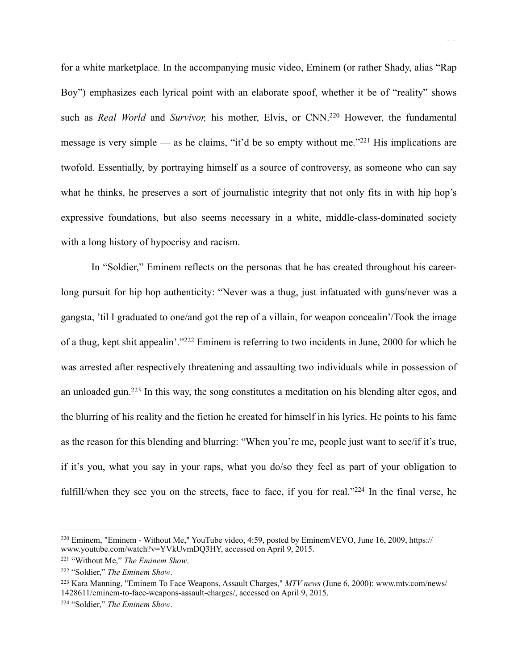for a white marketplace. In the accompanying music video, Eminem (or rather Shady, alias "Rap Boy") emphasizes each lyrical point with an elaborate spoof, whether it be of "reality" shows such as *Real World* and *Survivor*, his mother, Elvis, or CNN.<sup>220</sup> However, the fundamental message is very simple — as he claims, "it'd be so empty without me." $221$  His implications are twofold. Essentially, by portraying himself as a source of controversy, as someone who can say what he thinks, he preserves a sort of journalistic integrity that not only fits in with hip hop's expressive foundations, but also seems necessary in a white, middle-class-dominated society with a long history of hypocrisy and racism.

 In "Soldier," Eminem reflects on the personas that he has created throughout his careerlong pursuit for hip hop authenticity: "Never was a thug, just infatuated with guns/never was a gangsta, 'til I graduated to one/and got the rep of a villain, for weapon concealin'/Took the image of a thug, kept shit appealin'."<sup>222</sup> Eminem is referring to two incidents in June, 2000 for which he was arrested after respectively threatening and assaulting two individuals while in possession of an unloaded gun.<sup>223</sup> In this way, the song constitutes a meditation on his blending alter egos, and the blurring of his reality and the fiction he created for himself in his lyrics. He points to his fame as the reason for this blending and blurring: "When you're me, people just want to see/if it's true, if it's you, what you say in your raps, what you do/so they feel as part of your obligation to fulfill/when they see you on the streets, face to face, if you for real." $224$  In the final verse, he

Eminem, "Eminem - Without Me," YouTube video, 4:59, posted by EminemVEVO, June 16, 2009, https:// <sup>220</sup> www.youtube.com/watch?v=YVkUvmDQ3HY, accessed on April 9, 2015.

<sup>&</sup>lt;sup>221</sup> "Without Me," *The Eminem Show*.

<sup>&</sup>lt;sup>222</sup> "Soldier," *The Eminem Show*.

<sup>&</sup>lt;sup>223</sup> Kara Manning, "Eminem To Face Weapons, Assault Charges," *MTV news* (June 6, 2000): www.mtv.com/news/ 1428611/eminem-to-face-weapons-assault-charges/, accessed on April 9, 2015.

<sup>&</sup>lt;sup>224</sup> "Soldier," *The Eminem Show*.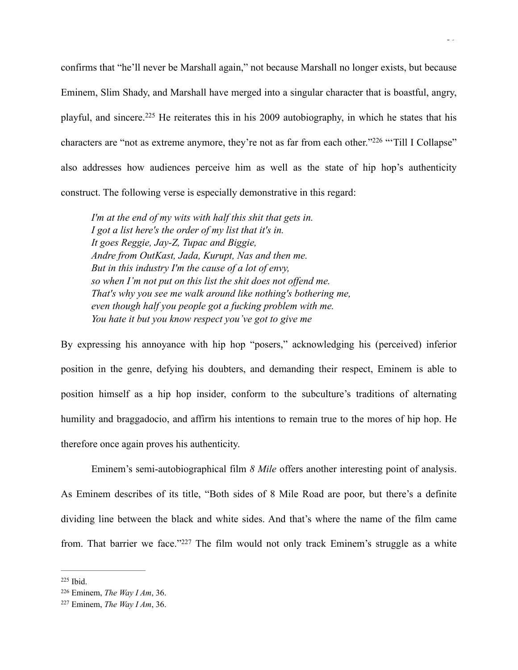confirms that "he'll never be Marshall again," not because Marshall no longer exists, but because Eminem, Slim Shady, and Marshall have merged into a singular character that is boastful, angry, playful, and sincere.<sup>225</sup> He reiterates this in his 2009 autobiography, in which he states that his characters are "not as extreme anymore, they're not as far from each other."<sup>226</sup> "Till I Collapse" also addresses how audiences perceive him as well as the state of hip hop's authenticity construct. The following verse is especially demonstrative in this regard:

*I'm at the end of my wits with half this shit that gets in. I got a list here's the order of my list that it's in. It goes Reggie, Jay-Z, Tupac and Biggie, Andre from OutKast, Jada, Kurupt, Nas and then me. But in this industry I'm the cause of a lot of envy, so when I'm not put on this list the shit does not offend me. That's why you see me walk around like nothing's bothering me, even though half you people got a fucking problem with me. You hate it but you know respect you've got to give me*

By expressing his annoyance with hip hop "posers," acknowledging his (perceived) inferior position in the genre, defying his doubters, and demanding their respect, Eminem is able to position himself as a hip hop insider, conform to the subculture's traditions of alternating humility and braggadocio, and affirm his intentions to remain true to the mores of hip hop. He therefore once again proves his authenticity.

 Eminem's semi-autobiographical film *8 Mile* offers another interesting point of analysis. As Eminem describes of its title, "Both sides of 8 Mile Road are poor, but there's a definite dividing line between the black and white sides. And that's where the name of the film came from. That barrier we face." $227$  The film would not only track Eminem's struggle as a white

 $225$  Ihid.

Eminem, *The Way I Am*, 36. <sup>226</sup>

Eminem, *The Way I Am*, 36. <sup>227</sup>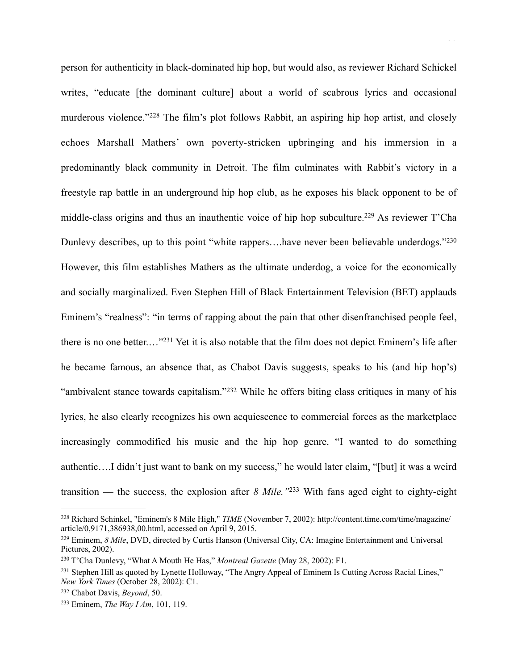person for authenticity in black-dominated hip hop, but would also, as reviewer Richard Schickel writes, "educate [the dominant culture] about a world of scabrous lyrics and occasional murderous violence."<sup>228</sup> The film's plot follows Rabbit, an aspiring hip hop artist, and closely echoes Marshall Mathers' own poverty-stricken upbringing and his immersion in a predominantly black community in Detroit. The film culminates with Rabbit's victory in a freestyle rap battle in an underground hip hop club, as he exposes his black opponent to be of middle-class origins and thus an inauthentic voice of hip hop subculture.<sup>229</sup> As reviewer T'Cha Dunlevy describes, up to this point "white rappers....have never been believable underdogs."<sup>230</sup> However, this film establishes Mathers as the ultimate underdog, a voice for the economically and socially marginalized. Even Stephen Hill of Black Entertainment Television (BET) applauds Eminem's "realness": "in terms of rapping about the pain that other disenfranchised people feel, there is no one better...."<sup>231</sup> Yet it is also notable that the film does not depict Eminem's life after he became famous, an absence that, as Chabot Davis suggests, speaks to his (and hip hop's) "ambivalent stance towards capitalism."<sup>232</sup> While he offers biting class critiques in many of his lyrics, he also clearly recognizes his own acquiescence to commercial forces as the marketplace increasingly commodified his music and the hip hop genre. "I wanted to do something authentic….I didn't just want to bank on my success," he would later claim, "[but] it was a weird transition — the success, the explosion after  $8$  Mile.<sup>7233</sup> With fans aged eight to eighty-eight

<sup>&</sup>lt;sup>228</sup> Richard Schinkel, "Eminem's 8 Mile High," *TIME* (November 7, 2002): http://content.time.com/time/magazine/ article/0,9171,386938,00.html, accessed on April 9, 2015.

<sup>&</sup>lt;sup>229</sup> Eminem, *8 Mile*, DVD, directed by Curtis Hanson (Universal City, CA: Imagine Entertainment and Universal Pictures, 2002).

<sup>&</sup>lt;sup>230</sup> T'Cha Dunlevy, "What A Mouth He Has," *Montreal Gazette* (May 28, 2002): F1.

<sup>&</sup>lt;sup>231</sup> Stephen Hill as quoted by Lynette Holloway, "The Angry Appeal of Eminem Is Cutting Across Racial Lines," *New York Times* (October 28, 2002): C1.

<sup>&</sup>lt;sup>232</sup> Chabot Davis, *Beyond*, 50.

<sup>&</sup>lt;sup>233</sup> Eminem, *The Way I Am*, 101, 119.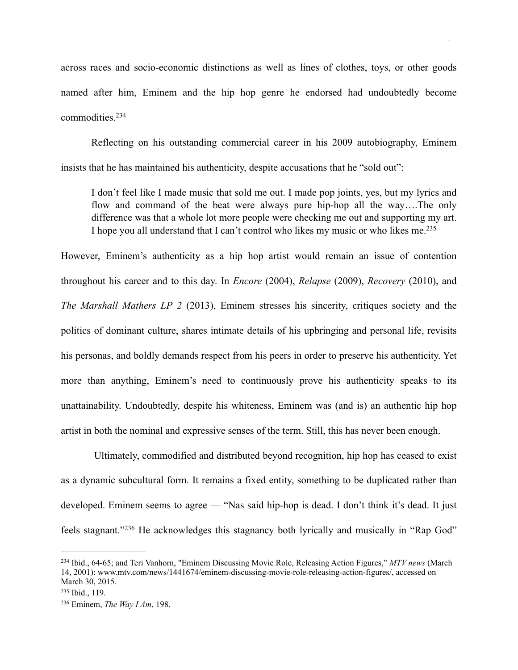across races and socio-economic distinctions as well as lines of clothes, toys, or other goods named after him, Eminem and the hip hop genre he endorsed had undoubtedly become commodities.234

 Reflecting on his outstanding commercial career in his 2009 autobiography, Eminem insists that he has maintained his authenticity, despite accusations that he "sold out":

I don't feel like I made music that sold me out. I made pop joints, yes, but my lyrics and flow and command of the beat were always pure hip-hop all the way….The only difference was that a whole lot more people were checking me out and supporting my art. I hope you all understand that I can't control who likes my music or who likes me.<sup>235</sup>

However, Eminem's authenticity as a hip hop artist would remain an issue of contention throughout his career and to this day. In *Encore* (2004), *Relapse* (2009), *Recovery* (2010), and *The Marshall Mathers LP 2* (2013), Eminem stresses his sincerity, critiques society and the politics of dominant culture, shares intimate details of his upbringing and personal life, revisits his personas, and boldly demands respect from his peers in order to preserve his authenticity. Yet more than anything, Eminem's need to continuously prove his authenticity speaks to its unattainability. Undoubtedly, despite his whiteness, Eminem was (and is) an authentic hip hop artist in both the nominal and expressive senses of the term. Still, this has never been enough.

 Ultimately, commodified and distributed beyond recognition, hip hop has ceased to exist as a dynamic subcultural form. It remains a fixed entity, something to be duplicated rather than developed. Eminem seems to agree — "Nas said hip-hop is dead. I don't think it's dead. It just feels stagnant."<sup>236</sup> He acknowledges this stagnancy both lyrically and musically in "Rap God"

Ibid., 64-65; and Teri Vanhorn, "Eminem Discussing Movie Role, Releasing Action Figures," *MTV news* (March 234 14, 2001): www.mtv.com/news/1441674/eminem-discussing-movie-role-releasing-action-figures/, accessed on March 30, 2015.

<sup>&</sup>lt;sup>235</sup> Ibid., 119.

Eminem, *The Way I Am*, 198. <sup>236</sup>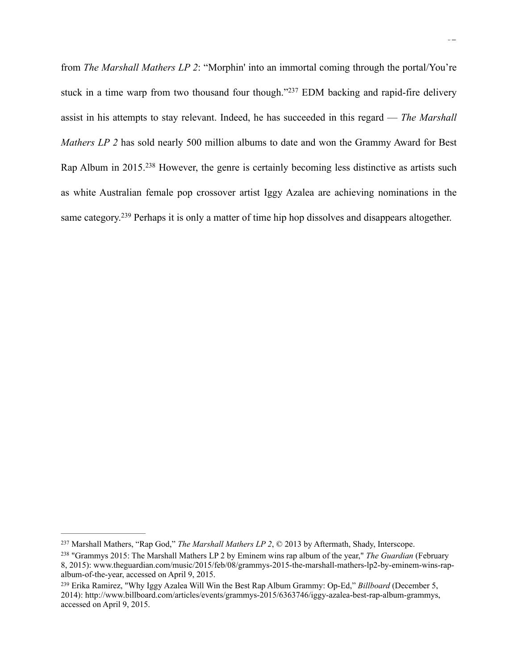from *The Marshall Mathers LP 2*: "Morphin' into an immortal coming through the portal/You're stuck in a time warp from two thousand four though."<sup>237</sup> EDM backing and rapid-fire delivery assist in his attempts to stay relevant. Indeed, he has succeeded in this regard — *The Marshall Mathers LP 2* has sold nearly 500 million albums to date and won the Grammy Award for Best Rap Album in 2015.<sup>238</sup> However, the genre is certainly becoming less distinctive as artists such as white Australian female pop crossover artist Iggy Azalea are achieving nominations in the same category.<sup>239</sup> Perhaps it is only a matter of time hip hop dissolves and disappears altogether.

<sup>&</sup>lt;sup>237</sup> Marshall Mathers, "Rap God," *The Marshall Mathers LP 2*, © 2013 by Aftermath, Shady, Interscope.

<sup>&</sup>lt;sup>238</sup> "Grammys 2015: The Marshall Mathers LP 2 by Eminem wins rap album of the year," *The Guardian* (February 8, 2015): www.theguardian.com/music/2015/feb/08/grammys-2015-the-marshall-mathers-lp2-by-eminem-wins-rapalbum-of-the-year, accessed on April 9, 2015.

Erika Ramirez, "Why Iggy Azalea Will Win the Best Rap Album Grammy: Op-Ed," *Billboard* (December 5, 239 2014): http://www.billboard.com/articles/events/grammys-2015/6363746/iggy-azalea-best-rap-album-grammys, accessed on April 9, 2015.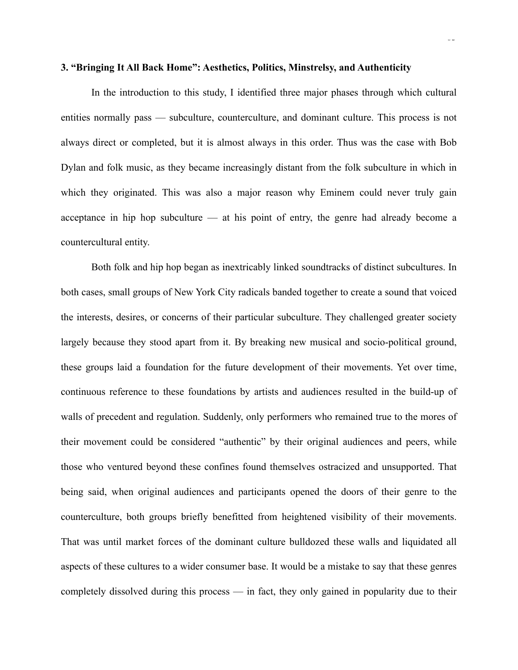## **3. "Bringing It All Back Home": Aesthetics, Politics, Minstrelsy, and Authenticity**

 In the introduction to this study, I identified three major phases through which cultural entities normally pass — subculture, counterculture, and dominant culture. This process is not always direct or completed, but it is almost always in this order. Thus was the case with Bob Dylan and folk music, as they became increasingly distant from the folk subculture in which in which they originated. This was also a major reason why Eminem could never truly gain acceptance in hip hop subculture — at his point of entry, the genre had already become a countercultural entity.

 Both folk and hip hop began as inextricably linked soundtracks of distinct subcultures. In both cases, small groups of New York City radicals banded together to create a sound that voiced the interests, desires, or concerns of their particular subculture. They challenged greater society largely because they stood apart from it. By breaking new musical and socio-political ground, these groups laid a foundation for the future development of their movements. Yet over time, continuous reference to these foundations by artists and audiences resulted in the build-up of walls of precedent and regulation. Suddenly, only performers who remained true to the mores of their movement could be considered "authentic" by their original audiences and peers, while those who ventured beyond these confines found themselves ostracized and unsupported. That being said, when original audiences and participants opened the doors of their genre to the counterculture, both groups briefly benefitted from heightened visibility of their movements. That was until market forces of the dominant culture bulldozed these walls and liquidated all aspects of these cultures to a wider consumer base. It would be a mistake to say that these genres completely dissolved during this process — in fact, they only gained in popularity due to their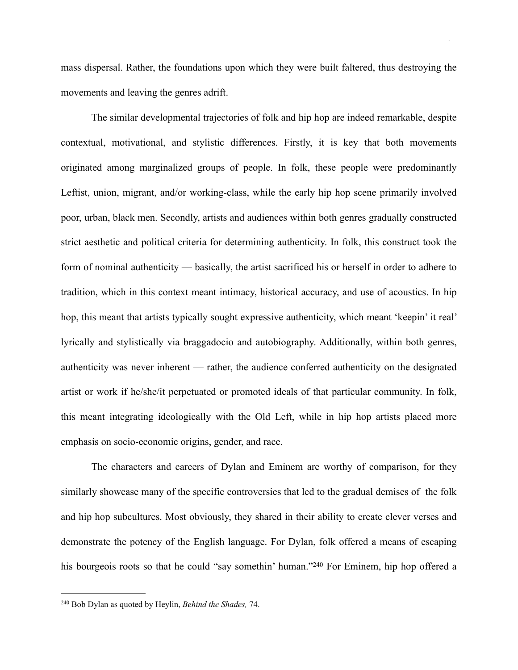mass dispersal. Rather, the foundations upon which they were built faltered, thus destroying the movements and leaving the genres adrift.

 The similar developmental trajectories of folk and hip hop are indeed remarkable, despite contextual, motivational, and stylistic differences. Firstly, it is key that both movements originated among marginalized groups of people. In folk, these people were predominantly Leftist, union, migrant, and/or working-class, while the early hip hop scene primarily involved poor, urban, black men. Secondly, artists and audiences within both genres gradually constructed strict aesthetic and political criteria for determining authenticity. In folk, this construct took the form of nominal authenticity — basically, the artist sacrificed his or herself in order to adhere to tradition, which in this context meant intimacy, historical accuracy, and use of acoustics. In hip hop, this meant that artists typically sought expressive authenticity, which meant 'keepin' it real' lyrically and stylistically via braggadocio and autobiography. Additionally, within both genres, authenticity was never inherent — rather, the audience conferred authenticity on the designated artist or work if he/she/it perpetuated or promoted ideals of that particular community. In folk, this meant integrating ideologically with the Old Left, while in hip hop artists placed more emphasis on socio-economic origins, gender, and race.

 The characters and careers of Dylan and Eminem are worthy of comparison, for they similarly showcase many of the specific controversies that led to the gradual demises of the folk and hip hop subcultures. Most obviously, they shared in their ability to create clever verses and demonstrate the potency of the English language. For Dylan, folk offered a means of escaping his bourgeois roots so that he could "say somethin' human."<sup>240</sup> For Eminem, hip hop offered a

<sup>&</sup>lt;sup>240</sup> Bob Dylan as quoted by Heylin, *Behind the Shades*, 74.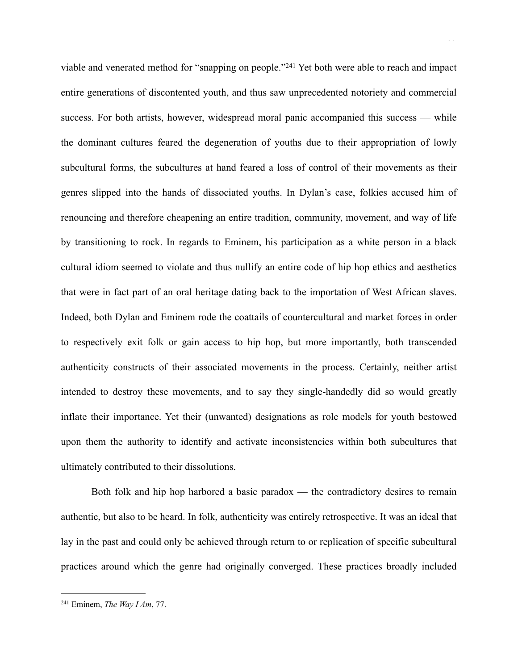viable and venerated method for "snapping on people."<sup>241</sup> Yet both were able to reach and impact entire generations of discontented youth, and thus saw unprecedented notoriety and commercial success. For both artists, however, widespread moral panic accompanied this success — while the dominant cultures feared the degeneration of youths due to their appropriation of lowly subcultural forms, the subcultures at hand feared a loss of control of their movements as their genres slipped into the hands of dissociated youths. In Dylan's case, folkies accused him of renouncing and therefore cheapening an entire tradition, community, movement, and way of life by transitioning to rock. In regards to Eminem, his participation as a white person in a black cultural idiom seemed to violate and thus nullify an entire code of hip hop ethics and aesthetics that were in fact part of an oral heritage dating back to the importation of West African slaves. Indeed, both Dylan and Eminem rode the coattails of countercultural and market forces in order to respectively exit folk or gain access to hip hop, but more importantly, both transcended authenticity constructs of their associated movements in the process. Certainly, neither artist intended to destroy these movements, and to say they single-handedly did so would greatly inflate their importance. Yet their (unwanted) designations as role models for youth bestowed upon them the authority to identify and activate inconsistencies within both subcultures that ultimately contributed to their dissolutions.

 Both folk and hip hop harbored a basic paradox — the contradictory desires to remain authentic, but also to be heard. In folk, authenticity was entirely retrospective. It was an ideal that lay in the past and could only be achieved through return to or replication of specific subcultural practices around which the genre had originally converged. These practices broadly included

<sup>&</sup>lt;sup>241</sup> Eminem, *The Way I Am*, 77.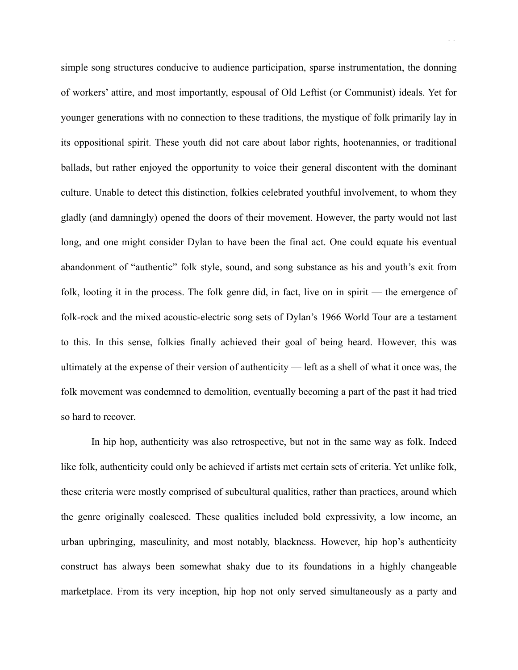simple song structures conducive to audience participation, sparse instrumentation, the donning of workers' attire, and most importantly, espousal of Old Leftist (or Communist) ideals. Yet for younger generations with no connection to these traditions, the mystique of folk primarily lay in its oppositional spirit. These youth did not care about labor rights, hootenannies, or traditional ballads, but rather enjoyed the opportunity to voice their general discontent with the dominant culture. Unable to detect this distinction, folkies celebrated youthful involvement, to whom they gladly (and damningly) opened the doors of their movement. However, the party would not last long, and one might consider Dylan to have been the final act. One could equate his eventual abandonment of "authentic" folk style, sound, and song substance as his and youth's exit from folk, looting it in the process. The folk genre did, in fact, live on in spirit — the emergence of folk-rock and the mixed acoustic-electric song sets of Dylan's 1966 World Tour are a testament to this. In this sense, folkies finally achieved their goal of being heard. However, this was ultimately at the expense of their version of authenticity — left as a shell of what it once was, the folk movement was condemned to demolition, eventually becoming a part of the past it had tried so hard to recover.

 In hip hop, authenticity was also retrospective, but not in the same way as folk. Indeed like folk, authenticity could only be achieved if artists met certain sets of criteria. Yet unlike folk, these criteria were mostly comprised of subcultural qualities, rather than practices, around which the genre originally coalesced. These qualities included bold expressivity, a low income, an urban upbringing, masculinity, and most notably, blackness. However, hip hop's authenticity construct has always been somewhat shaky due to its foundations in a highly changeable marketplace. From its very inception, hip hop not only served simultaneously as a party and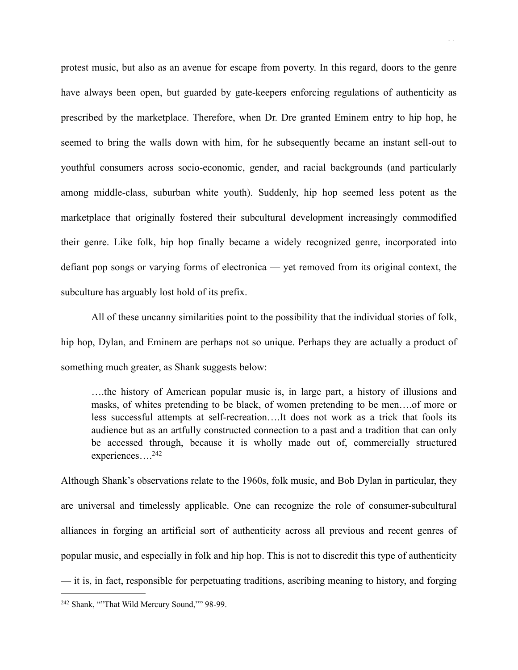protest music, but also as an avenue for escape from poverty. In this regard, doors to the genre have always been open, but guarded by gate-keepers enforcing regulations of authenticity as prescribed by the marketplace. Therefore, when Dr. Dre granted Eminem entry to hip hop, he seemed to bring the walls down with him, for he subsequently became an instant sell-out to youthful consumers across socio-economic, gender, and racial backgrounds (and particularly among middle-class, suburban white youth). Suddenly, hip hop seemed less potent as the marketplace that originally fostered their subcultural development increasingly commodified their genre. Like folk, hip hop finally became a widely recognized genre, incorporated into defiant pop songs or varying forms of electronica — yet removed from its original context, the subculture has arguably lost hold of its prefix.

 All of these uncanny similarities point to the possibility that the individual stories of folk, hip hop, Dylan, and Eminem are perhaps not so unique. Perhaps they are actually a product of something much greater, as Shank suggests below:

….the history of American popular music is, in large part, a history of illusions and masks, of whites pretending to be black, of women pretending to be men….of more or less successful attempts at self-recreation….It does not work as a trick that fools its audience but as an artfully constructed connection to a past and a tradition that can only be accessed through, because it is wholly made out of, commercially structured experiences….242

Although Shank's observations relate to the 1960s, folk music, and Bob Dylan in particular, they are universal and timelessly applicable. One can recognize the role of consumer-subcultural alliances in forging an artificial sort of authenticity across all previous and recent genres of popular music, and especially in folk and hip hop. This is not to discredit this type of authenticity — it is, in fact, responsible for perpetuating traditions, ascribing meaning to history, and forging

<sup>&</sup>lt;sup>242</sup> Shank, ""That Wild Mercury Sound,"" 98-99.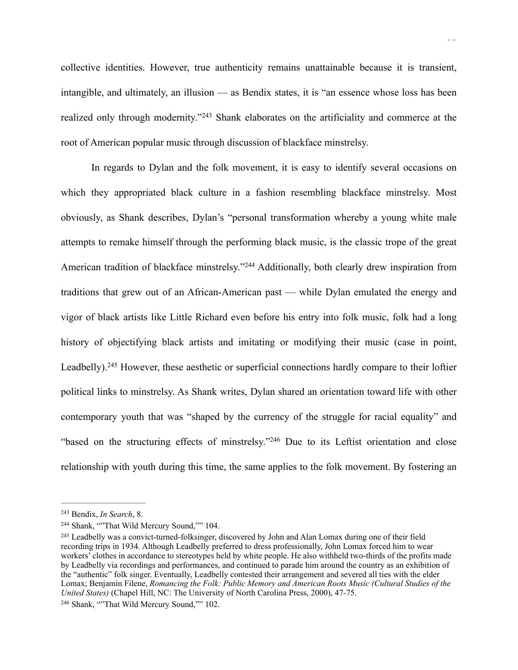collective identities. However, true authenticity remains unattainable because it is transient, intangible, and ultimately, an illusion — as Bendix states, it is "an essence whose loss has been realized only through modernity."<sup>243</sup> Shank elaborates on the artificiality and commerce at the root of American popular music through discussion of blackface minstrelsy.

 In regards to Dylan and the folk movement, it is easy to identify several occasions on which they appropriated black culture in a fashion resembling blackface minstrelsy. Most obviously, as Shank describes, Dylan's "personal transformation whereby a young white male attempts to remake himself through the performing black music, is the classic trope of the great American tradition of blackface minstrelsy."<sup>244</sup> Additionally, both clearly drew inspiration from traditions that grew out of an African-American past — while Dylan emulated the energy and vigor of black artists like Little Richard even before his entry into folk music, folk had a long history of objectifying black artists and imitating or modifying their music (case in point, Leadbelly).<sup>245</sup> However, these aesthetic or superficial connections hardly compare to their loftier political links to minstrelsy. As Shank writes, Dylan shared an orientation toward life with other contemporary youth that was "shaped by the currency of the struggle for racial equality" and "based on the structuring effects of minstrelsy."<sup>246</sup> Due to its Leftist orientation and close relationship with youth during this time, the same applies to the folk movement. By fostering an

<sup>&</sup>lt;sup>243</sup> Bendix, *In Search*, 8.

<sup>&</sup>lt;sup>244</sup> Shank, ""That Wild Mercury Sound,"" 104.

<sup>&</sup>lt;sup>245</sup> Leadbelly was a convict-turned-folksinger, discovered by John and Alan Lomax during one of their field recording trips in 1934. Although Leadbelly preferred to dress professionally, John Lomax forced him to wear workers' clothes in accordance to stereotypes held by white people. He also withheld two-thirds of the profits made by Leadbelly via recordings and performances, and continued to parade him around the country as an exhibition of the "authentic" folk singer. Eventually, Leadbelly contested their arrangement and severed all ties with the elder Lomax; Benjamin Filene, *Romancing the Folk: Public Memory and American Roots Music (Cultural Studies of the United States)* (Chapel Hill, NC: The University of North Carolina Press, 2000), 47-75.

<sup>&</sup>lt;sup>246</sup> Shank, ""That Wild Mercury Sound,"" 102.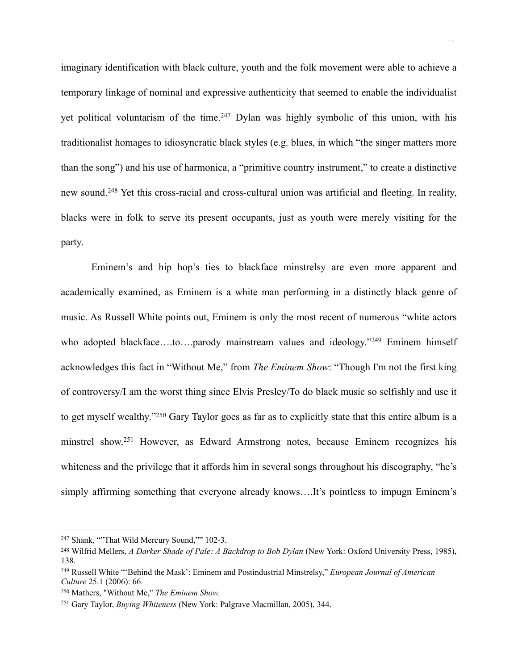imaginary identification with black culture, youth and the folk movement were able to achieve a temporary linkage of nominal and expressive authenticity that seemed to enable the individualist yet political voluntarism of the time.<sup>247</sup> Dylan was highly symbolic of this union, with his traditionalist homages to idiosyncratic black styles (e.g. blues, in which "the singer matters more than the song") and his use of harmonica, a "primitive country instrument," to create a distinctive new sound.<sup>248</sup> Yet this cross-racial and cross-cultural union was artificial and fleeting. In reality, blacks were in folk to serve its present occupants, just as youth were merely visiting for the party.

 Eminem's and hip hop's ties to blackface minstrelsy are even more apparent and academically examined, as Eminem is a white man performing in a distinctly black genre of music. As Russell White points out, Eminem is only the most recent of numerous "white actors who adopted blackface....to....parody mainstream values and ideology."<sup>249</sup> Eminem himself acknowledges this fact in "Without Me," from *The Eminem Show*: "Though I'm not the first king of controversy/I am the worst thing since Elvis Presley/To do black music so selfishly and use it to get myself wealthy."<sup>250</sup> Gary Taylor goes as far as to explicitly state that this entire album is a minstrel show.<sup>251</sup> However, as Edward Armstrong notes, because Eminem recognizes his whiteness and the privilege that it affords him in several songs throughout his discography, "he's simply affirming something that everyone already knows....It's pointless to impugn Eminem's

<sup>&</sup>lt;sup>247</sup> Shank, ""That Wild Mercury Sound,"" 102-3.

<sup>&</sup>lt;sup>248</sup> Wilfrid Mellers, *A Darker Shade of Pale: A Backdrop to Bob Dylan* (New York: Oxford University Press, 1985), 138.

Russell White "'Behind the Mask': Eminem and Postindustrial Minstrelsy," *European Journal of American* <sup>249</sup> *Culture* 25.1 (2006): 66.

<sup>&</sup>lt;sup>250</sup> Mathers, "Without Me," *The Eminem Show.* 

<sup>&</sup>lt;sup>251</sup> Gary Taylor, *Buying Whiteness* (New York: Palgrave Macmillan, 2005), 344.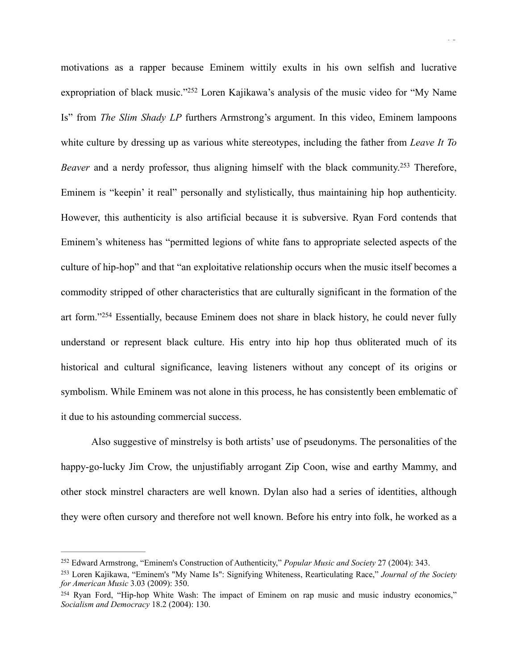motivations as a rapper because Eminem wittily exults in his own selfish and lucrative expropriation of black music."<sup>252</sup> Loren Kajikawa's analysis of the music video for "My Name" Is" from *The Slim Shady LP* furthers Armstrong's argument. In this video, Eminem lampoons white culture by dressing up as various white stereotypes, including the father from *Leave It To Beaver* and a nerdy professor, thus aligning himself with the black community.<sup>253</sup> Therefore, Eminem is "keepin' it real" personally and stylistically, thus maintaining hip hop authenticity. However, this authenticity is also artificial because it is subversive. Ryan Ford contends that Eminem's whiteness has "permitted legions of white fans to appropriate selected aspects of the culture of hip-hop" and that "an exploitative relationship occurs when the music itself becomes a commodity stripped of other characteristics that are culturally significant in the formation of the art form."<sup>254</sup> Essentially, because Eminem does not share in black history, he could never fully understand or represent black culture. His entry into hip hop thus obliterated much of its historical and cultural significance, leaving listeners without any concept of its origins or symbolism. While Eminem was not alone in this process, he has consistently been emblematic of it due to his astounding commercial success.

 $\frac{1}{2}$ 

 Also suggestive of minstrelsy is both artists' use of pseudonyms. The personalities of the happy-go-lucky Jim Crow, the unjustifiably arrogant Zip Coon, wise and earthy Mammy, and other stock minstrel characters are well known. Dylan also had a series of identities, although they were often cursory and therefore not well known. Before his entry into folk, he worked as a

<sup>&</sup>lt;sup>252</sup> Edward Armstrong, "Eminem's Construction of Authenticity," *Popular Music and Society* 27 (2004): 343.

Loren Kajikawa, "Eminem's "My Name Is": Signifying Whiteness, Rearticulating Race," *Journal of the Society* <sup>253</sup> *for American Music* 3.03 (2009): 350.

<sup>&</sup>lt;sup>254</sup> Ryan Ford, "Hip-hop White Wash: The impact of Eminem on rap music and music industry economics," *Socialism and Democracy* 18.2 (2004): 130.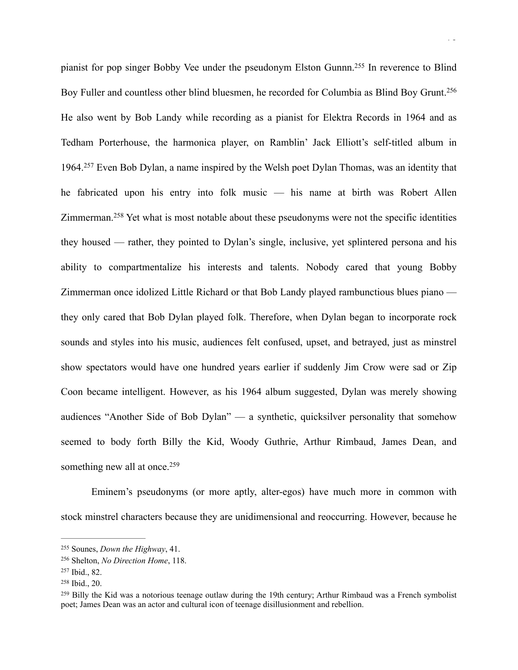pianist for pop singer Bobby Vee under the pseudonym Elston Gunnn.<sup>255</sup> In reverence to Blind Boy Fuller and countless other blind bluesmen, he recorded for Columbia as Blind Boy Grunt.<sup>256</sup> He also went by Bob Landy while recording as a pianist for Elektra Records in 1964 and as Tedham Porterhouse, the harmonica player, on Ramblin' Jack Elliott's self-titled album in 1964.<sup>257</sup> Even Bob Dylan, a name inspired by the Welsh poet Dylan Thomas, was an identity that he fabricated upon his entry into folk music — his name at birth was Robert Allen Zimmerman.<sup>258</sup> Yet what is most notable about these pseudonyms were not the specific identities they housed — rather, they pointed to Dylan's single, inclusive, yet splintered persona and his ability to compartmentalize his interests and talents. Nobody cared that young Bobby Zimmerman once idolized Little Richard or that Bob Landy played rambunctious blues piano they only cared that Bob Dylan played folk. Therefore, when Dylan began to incorporate rock sounds and styles into his music, audiences felt confused, upset, and betrayed, just as minstrel show spectators would have one hundred years earlier if suddenly Jim Crow were sad or Zip Coon became intelligent. However, as his 1964 album suggested, Dylan was merely showing audiences "Another Side of Bob Dylan" — a synthetic, quicksilver personality that somehow seemed to body forth Billy the Kid, Woody Guthrie, Arthur Rimbaud, James Dean, and something new all at once.<sup>259</sup>

<sub>71</sub>

 Eminem's pseudonyms (or more aptly, alter-egos) have much more in common with stock minstrel characters because they are unidimensional and reoccurring. However, because he

<sup>&</sup>lt;sup>255</sup> Sounes, *Down the Highway*, 41.

<sup>&</sup>lt;sup>256</sup> Shelton, *No Direction Home*, 118.

<sup>&</sup>lt;sup>257</sup> Ibid., 82.

 $258$  Ibid.,  $20.$ 

<sup>&</sup>lt;sup>259</sup> Billy the Kid was a notorious teenage outlaw during the 19th century; Arthur Rimbaud was a French symbolist poet; James Dean was an actor and cultural icon of teenage disillusionment and rebellion.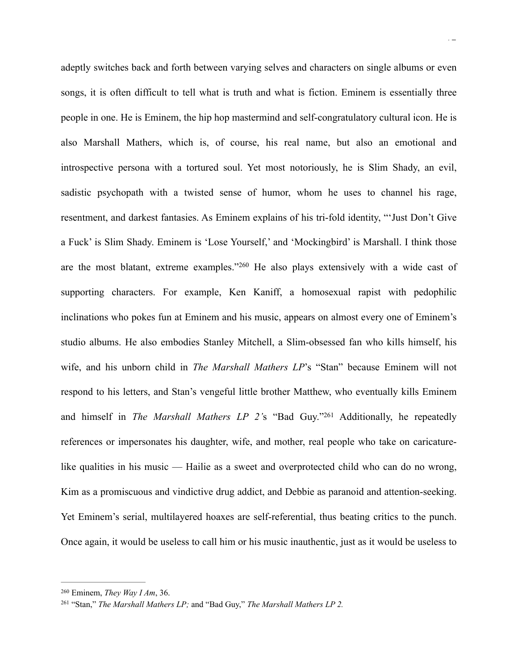adeptly switches back and forth between varying selves and characters on single albums or even songs, it is often difficult to tell what is truth and what is fiction. Eminem is essentially three people in one. He is Eminem, the hip hop mastermind and self-congratulatory cultural icon. He is also Marshall Mathers, which is, of course, his real name, but also an emotional and introspective persona with a tortured soul. Yet most notoriously, he is Slim Shady, an evil, sadistic psychopath with a twisted sense of humor, whom he uses to channel his rage, resentment, and darkest fantasies. As Eminem explains of his tri-fold identity, "'Just Don't Give a Fuck' is Slim Shady. Eminem is 'Lose Yourself,' and 'Mockingbird' is Marshall. I think those are the most blatant, extreme examples." $260$  He also plays extensively with a wide cast of supporting characters. For example, Ken Kaniff, a homosexual rapist with pedophilic inclinations who pokes fun at Eminem and his music, appears on almost every one of Eminem's studio albums. He also embodies Stanley Mitchell, a Slim-obsessed fan who kills himself, his wife, and his unborn child in *The Marshall Mathers LP*'s "Stan" because Eminem will not respond to his letters, and Stan's vengeful little brother Matthew, who eventually kills Eminem and himself in *The Marshall Mathers LP 2's* "Bad Guy."<sup>261</sup> Additionally, he repeatedly references or impersonates his daughter, wife, and mother, real people who take on caricaturelike qualities in his music — Hailie as a sweet and overprotected child who can do no wrong, Kim as a promiscuous and vindictive drug addict, and Debbie as paranoid and attention-seeking. Yet Eminem's serial, multilayered hoaxes are self-referential, thus beating critics to the punch. Once again, it would be useless to call him or his music inauthentic, just as it would be useless to

<sup>&</sup>lt;sup>260</sup> Eminem, *They Way I Am*, 36.

<sup>&</sup>lt;sup>261</sup> "Stan," *The Marshall Mathers LP*; and "Bad Guy," *The Marshall Mathers LP* 2.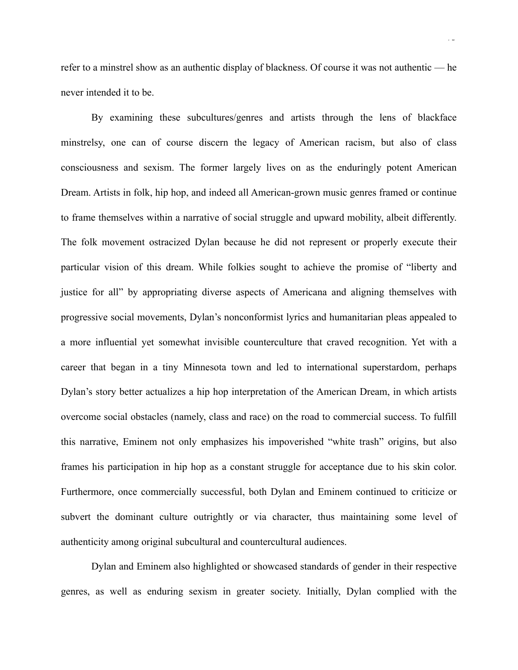refer to a minstrel show as an authentic display of blackness. Of course it was not authentic — he never intended it to be.

 By examining these subcultures/genres and artists through the lens of blackface minstrelsy, one can of course discern the legacy of American racism, but also of class consciousness and sexism. The former largely lives on as the enduringly potent American Dream. Artists in folk, hip hop, and indeed all American-grown music genres framed or continue to frame themselves within a narrative of social struggle and upward mobility, albeit differently. The folk movement ostracized Dylan because he did not represent or properly execute their particular vision of this dream. While folkies sought to achieve the promise of "liberty and justice for all" by appropriating diverse aspects of Americana and aligning themselves with progressive social movements, Dylan's nonconformist lyrics and humanitarian pleas appealed to a more influential yet somewhat invisible counterculture that craved recognition. Yet with a career that began in a tiny Minnesota town and led to international superstardom, perhaps Dylan's story better actualizes a hip hop interpretation of the American Dream, in which artists overcome social obstacles (namely, class and race) on the road to commercial success. To fulfill this narrative, Eminem not only emphasizes his impoverished "white trash" origins, but also frames his participation in hip hop as a constant struggle for acceptance due to his skin color. Furthermore, once commercially successful, both Dylan and Eminem continued to criticize or subvert the dominant culture outrightly or via character, thus maintaining some level of authenticity among original subcultural and countercultural audiences.

 Dylan and Eminem also highlighted or showcased standards of gender in their respective genres, as well as enduring sexism in greater society. Initially, Dylan complied with the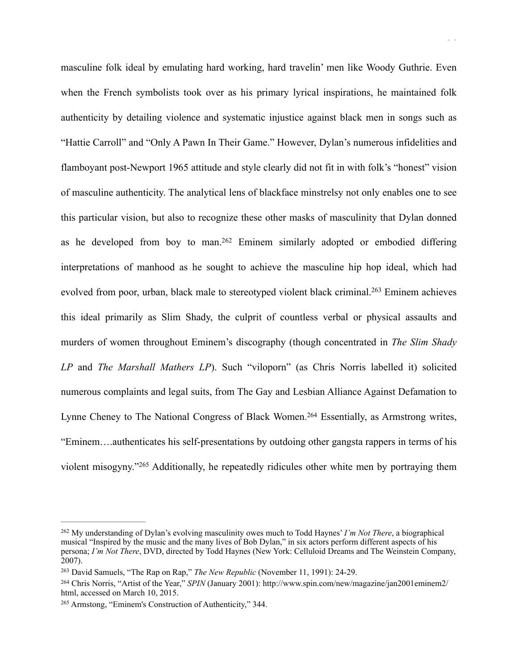masculine folk ideal by emulating hard working, hard travelin' men like Woody Guthrie. Even when the French symbolists took over as his primary lyrical inspirations, he maintained folk authenticity by detailing violence and systematic injustice against black men in songs such as "Hattie Carroll" and "Only A Pawn In Their Game." However, Dylan's numerous infidelities and flamboyant post-Newport 1965 attitude and style clearly did not fit in with folk's "honest" vision of masculine authenticity. The analytical lens of blackface minstrelsy not only enables one to see this particular vision, but also to recognize these other masks of masculinity that Dylan donned as he developed from boy to man.<sup>262</sup> Eminem similarly adopted or embodied differing interpretations of manhood as he sought to achieve the masculine hip hop ideal, which had evolved from poor, urban, black male to stereotyped violent black criminal.<sup>263</sup> Eminem achieves this ideal primarily as Slim Shady, the culprit of countless verbal or physical assaults and murders of women throughout Eminem's discography (though concentrated in *The Slim Shady LP* and *The Marshall Mathers LP*). Such "viloporn" (as Chris Norris labelled it) solicited numerous complaints and legal suits, from The Gay and Lesbian Alliance Against Defamation to Lynne Cheney to The National Congress of Black Women.<sup>264</sup> Essentially, as Armstrong writes, "Eminem….authenticates his self-presentations by outdoing other gangsta rappers in terms of his violent misogyny."<sup>265</sup> Additionally, he repeatedly ridicules other white men by portraying them

74

<sup>&</sup>lt;sup>262</sup> My understanding of Dylan's evolving masculinity owes much to Todd Haynes' *I'm Not There*, a biographical musical "Inspired by the music and the many lives of Bob Dylan," in six actors perform different aspects of his persona; *I'm Not There*, DVD, directed by Todd Haynes (New York: Celluloid Dreams and The Weinstein Company, 2007).

<sup>&</sup>lt;sup>263</sup> David Samuels, "The Rap on Rap," The New Republic (November 11, 1991): 24-29.

<sup>&</sup>lt;sup>264</sup> Chris Norris, "Artist of the Year," *SPIN* (January 2001): http://www.spin.com/new/magazine/jan2001eminem2/ html, accessed on March 10, 2015.

<sup>&</sup>lt;sup>265</sup> Armstong, "Eminem's Construction of Authenticity," 344.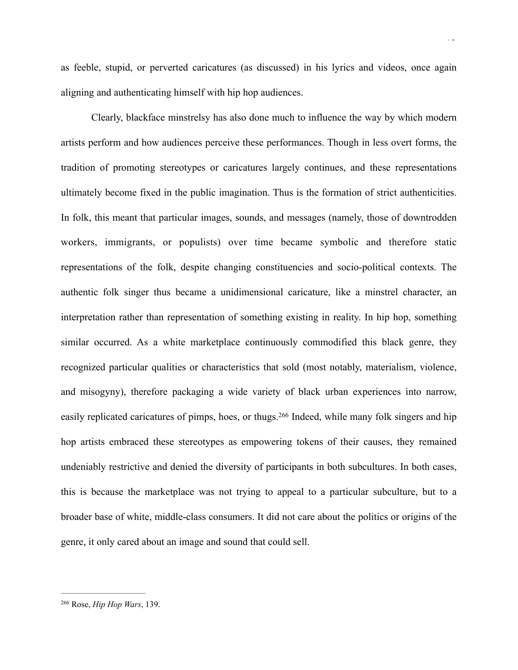as feeble, stupid, or perverted caricatures (as discussed) in his lyrics and videos, once again aligning and authenticating himself with hip hop audiences.

 Clearly, blackface minstrelsy has also done much to influence the way by which modern artists perform and how audiences perceive these performances. Though in less overt forms, the tradition of promoting stereotypes or caricatures largely continues, and these representations ultimately become fixed in the public imagination. Thus is the formation of strict authenticities. In folk, this meant that particular images, sounds, and messages (namely, those of downtrodden workers, immigrants, or populists) over time became symbolic and therefore static representations of the folk, despite changing constituencies and socio-political contexts. The authentic folk singer thus became a unidimensional caricature, like a minstrel character, an interpretation rather than representation of something existing in reality. In hip hop, something similar occurred. As a white marketplace continuously commodified this black genre, they recognized particular qualities or characteristics that sold (most notably, materialism, violence, and misogyny), therefore packaging a wide variety of black urban experiences into narrow, easily replicated caricatures of pimps, hoes, or thugs.<sup>266</sup> Indeed, while many folk singers and hip hop artists embraced these stereotypes as empowering tokens of their causes, they remained undeniably restrictive and denied the diversity of participants in both subcultures. In both cases, this is because the marketplace was not trying to appeal to a particular subculture, but to a broader base of white, middle-class consumers. It did not care about the politics or origins of the genre, it only cared about an image and sound that could sell.

Rose, *Hip Hop Wars*, 139. <sup>266</sup>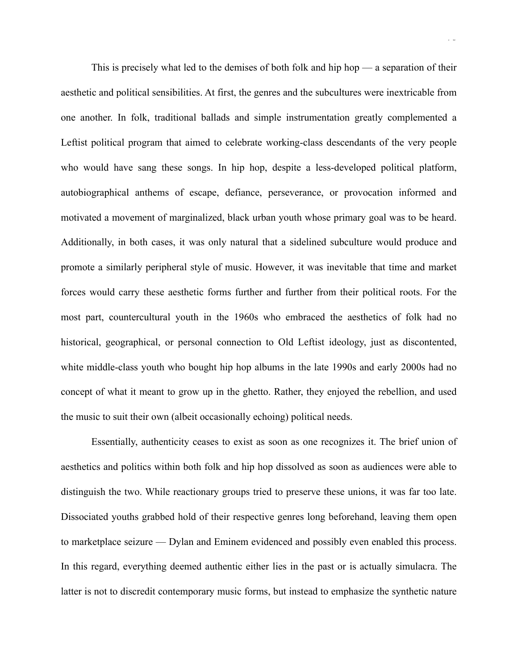This is precisely what led to the demises of both folk and hip hop — a separation of their aesthetic and political sensibilities. At first, the genres and the subcultures were inextricable from one another. In folk, traditional ballads and simple instrumentation greatly complemented a Leftist political program that aimed to celebrate working-class descendants of the very people who would have sang these songs. In hip hop, despite a less-developed political platform, autobiographical anthems of escape, defiance, perseverance, or provocation informed and motivated a movement of marginalized, black urban youth whose primary goal was to be heard. Additionally, in both cases, it was only natural that a sidelined subculture would produce and promote a similarly peripheral style of music. However, it was inevitable that time and market forces would carry these aesthetic forms further and further from their political roots. For the most part, countercultural youth in the 1960s who embraced the aesthetics of folk had no historical, geographical, or personal connection to Old Leftist ideology, just as discontented, white middle-class youth who bought hip hop albums in the late 1990s and early 2000s had no concept of what it meant to grow up in the ghetto. Rather, they enjoyed the rebellion, and used the music to suit their own (albeit occasionally echoing) political needs.

 Essentially, authenticity ceases to exist as soon as one recognizes it. The brief union of aesthetics and politics within both folk and hip hop dissolved as soon as audiences were able to distinguish the two. While reactionary groups tried to preserve these unions, it was far too late. Dissociated youths grabbed hold of their respective genres long beforehand, leaving them open to marketplace seizure — Dylan and Eminem evidenced and possibly even enabled this process. In this regard, everything deemed authentic either lies in the past or is actually simulacra. The latter is not to discredit contemporary music forms, but instead to emphasize the synthetic nature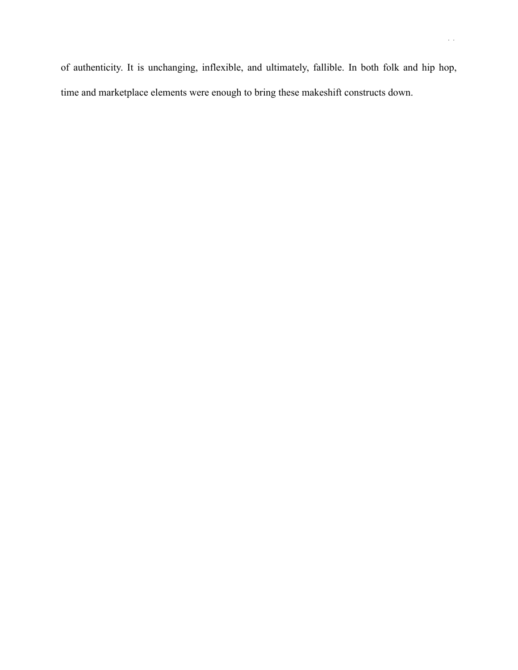of authenticity. It is unchanging, inflexible, and ultimately, fallible. In both folk and hip hop, time and marketplace elements were enough to bring these makeshift constructs down.

 $\bar{r}$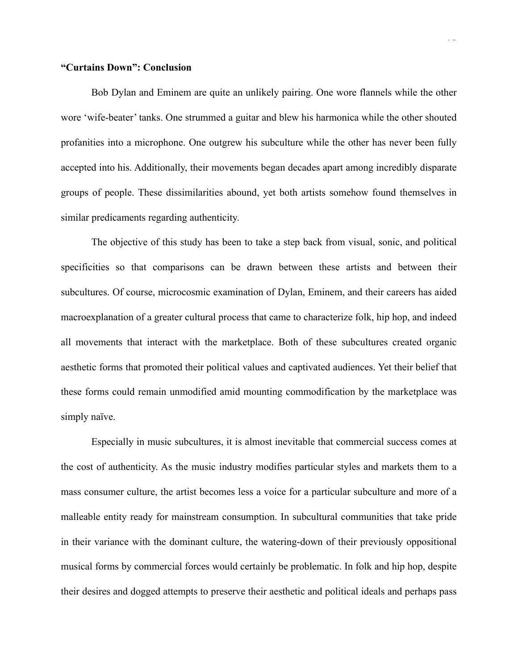## **"Curtains Down": Conclusion**

 Bob Dylan and Eminem are quite an unlikely pairing. One wore flannels while the other wore 'wife-beater' tanks. One strummed a guitar and blew his harmonica while the other shouted profanities into a microphone. One outgrew his subculture while the other has never been fully accepted into his. Additionally, their movements began decades apart among incredibly disparate groups of people. These dissimilarities abound, yet both artists somehow found themselves in similar predicaments regarding authenticity.

 The objective of this study has been to take a step back from visual, sonic, and political specificities so that comparisons can be drawn between these artists and between their subcultures. Of course, microcosmic examination of Dylan, Eminem, and their careers has aided macroexplanation of a greater cultural process that came to characterize folk, hip hop, and indeed all movements that interact with the marketplace. Both of these subcultures created organic aesthetic forms that promoted their political values and captivated audiences. Yet their belief that these forms could remain unmodified amid mounting commodification by the marketplace was simply naïve.

 Especially in music subcultures, it is almost inevitable that commercial success comes at the cost of authenticity. As the music industry modifies particular styles and markets them to a mass consumer culture, the artist becomes less a voice for a particular subculture and more of a malleable entity ready for mainstream consumption. In subcultural communities that take pride in their variance with the dominant culture, the watering-down of their previously oppositional musical forms by commercial forces would certainly be problematic. In folk and hip hop, despite their desires and dogged attempts to preserve their aesthetic and political ideals and perhaps pass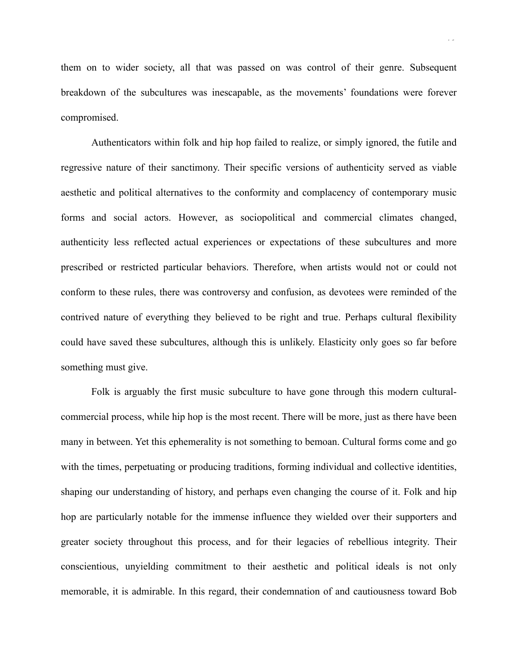them on to wider society, all that was passed on was control of their genre. Subsequent breakdown of the subcultures was inescapable, as the movements' foundations were forever compromised.

 Authenticators within folk and hip hop failed to realize, or simply ignored, the futile and regressive nature of their sanctimony. Their specific versions of authenticity served as viable aesthetic and political alternatives to the conformity and complacency of contemporary music forms and social actors. However, as sociopolitical and commercial climates changed, authenticity less reflected actual experiences or expectations of these subcultures and more prescribed or restricted particular behaviors. Therefore, when artists would not or could not conform to these rules, there was controversy and confusion, as devotees were reminded of the contrived nature of everything they believed to be right and true. Perhaps cultural flexibility could have saved these subcultures, although this is unlikely. Elasticity only goes so far before something must give.

 Folk is arguably the first music subculture to have gone through this modern culturalcommercial process, while hip hop is the most recent. There will be more, just as there have been many in between. Yet this ephemerality is not something to bemoan. Cultural forms come and go with the times, perpetuating or producing traditions, forming individual and collective identities, shaping our understanding of history, and perhaps even changing the course of it. Folk and hip hop are particularly notable for the immense influence they wielded over their supporters and greater society throughout this process, and for their legacies of rebellious integrity. Their conscientious, unyielding commitment to their aesthetic and political ideals is not only memorable, it is admirable. In this regard, their condemnation of and cautiousness toward Bob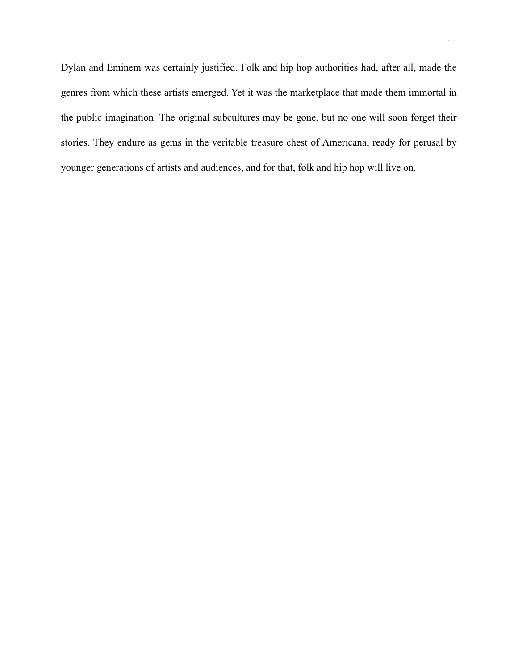Dylan and Eminem was certainly justified. Folk and hip hop authorities had, after all, made the genres from which these artists emerged. Yet it was the marketplace that made them immortal in the public imagination. The original subcultures may be gone, but no one will soon forget their stories. They endure as gems in the veritable treasure chest of Americana, ready for perusal by younger generations of artists and audiences, and for that, folk and hip hop will live on.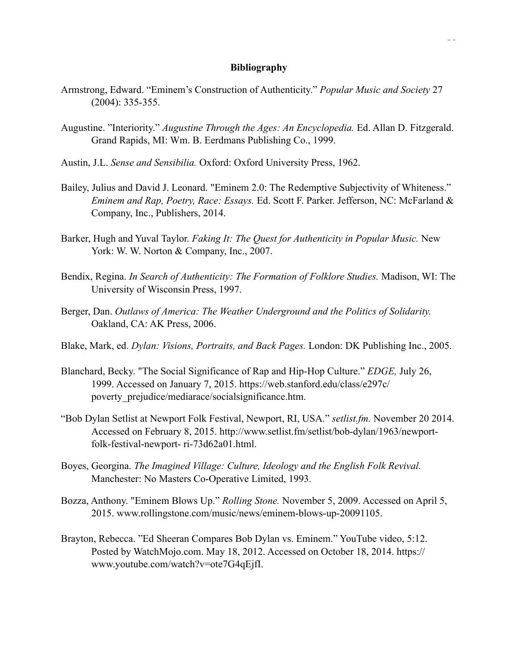## **Bibliography**

- Armstrong, Edward. "Eminem's Construction of Authenticity." *Popular Music and Society* 27 (2004): 335-355.
- Augustine. "Interiority." *Augustine Through the Ages: An Encyclopedia.* Ed. Allan D. Fitzgerald. Grand Rapids, MI: Wm. B. Eerdmans Publishing Co., 1999.
- Austin, J.L. *Sense and Sensibilia.* Oxford: Oxford University Press, 1962.
- Bailey, Julius and David J. Leonard. "Eminem 2.0: The Redemptive Subjectivity of Whiteness." *Eminem and Rap, Poetry, Race: Essays.* Ed. Scott F. Parker. Jefferson, NC: McFarland & Company, Inc., Publishers, 2014.
- Barker, Hugh and Yuval Taylor. *Faking It: The Quest for Authenticity in Popular Music.* New York: W. W. Norton & Company, Inc., 2007.
- Bendix, Regina. *In Search of Authenticity: The Formation of Folklore Studies.* Madison, WI: The University of Wisconsin Press, 1997.
- Berger, Dan. *Outlaws of America: The Weather Underground and the Politics of Solidarity.*  Oakland, CA: AK Press, 2006.
- Blake, Mark, ed. *Dylan: Visions, Portraits, and Back Pages.* London: DK Publishing Inc., 2005.
- Blanchard, Becky. "The Social Significance of Rap and Hip-Hop Culture." *EDGE,* July 26, 1999. Accessed on January 7, 2015. https://web.stanford.edu/class/e297c/ poverty\_prejudice/mediarace/socialsignificance.htm.
- "Bob Dylan Setlist at Newport Folk Festival, Newport, RI, USA." *setlist.fm.* November 20 2014. Accessed on February 8, 2015. http://www.setlist.fm/setlist/bob-dylan/1963/newport folk-festival-newport- ri-73d62a01.html.
- Boyes, Georgina. *The Imagined Village: Culture, Ideology and the English Folk Revival.*  Manchester: No Masters Co-Operative Limited, 1993.
- Bozza, Anthony. "Eminem Blows Up." *Rolling Stone.* November 5, 2009. Accessed on April 5, 2015. www.rollingstone.com/music/news/eminem-blows-up-20091105.
- Brayton, Rebecca. "Ed Sheeran Compares Bob Dylan vs. Eminem." YouTube video, 5:12. Posted by WatchMojo.com. May 18, 2012. Accessed on October 18, 2014. https:// www.youtube.com/watch?v=ote7G4qEjfI.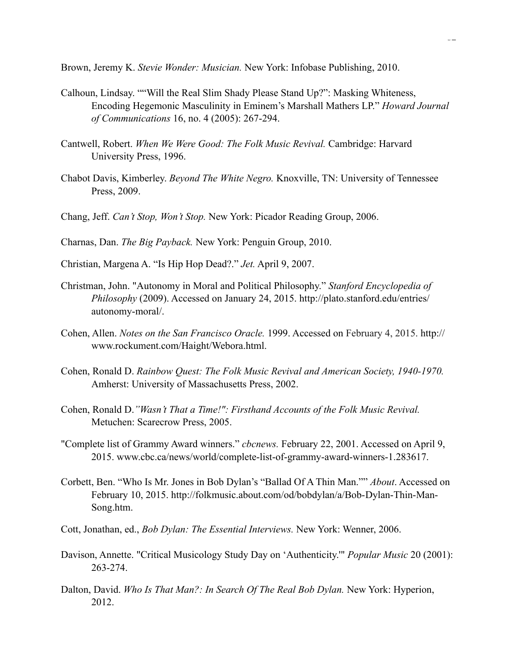Brown, Jeremy K. *Stevie Wonder: Musician.* New York: Infobase Publishing, 2010.

- Calhoun, Lindsay. ""Will the Real Slim Shady Please Stand Up?": Masking Whiteness, Encoding Hegemonic Masculinity in Eminem's Marshall Mathers LP." *Howard Journal of Communications* 16, no. 4 (2005): 267-294.
- Cantwell, Robert. *When We Were Good: The Folk Music Revival.* Cambridge: Harvard University Press, 1996.
- Chabot Davis, Kimberley. *Beyond The White Negro.* Knoxville, TN: University of Tennessee Press, 2009.
- Chang, Jeff. *Can't Stop, Won't Stop.* New York: Picador Reading Group, 2006.

Charnas, Dan. *The Big Payback.* New York: Penguin Group, 2010.

- Christian, Margena A. "Is Hip Hop Dead?." *Jet.* April 9, 2007.
- Christman, John. "Autonomy in Moral and Political Philosophy." *Stanford Encyclopedia of Philosophy* (2009). Accessed on January 24, 2015. http://plato.stanford.edu/entries/ autonomy-moral/.
- Cohen, Allen. *Notes on the San Francisco Oracle.* 1999. Accessed on February 4, 2015. http:// www.rockument.com/Haight/Webora.html.
- Cohen, Ronald D. *Rainbow Quest: The Folk Music Revival and American Society, 1940-1970.* Amherst: University of Massachusetts Press, 2002.
- Cohen, Ronald D.*"Wasn't That a Time!": Firsthand Accounts of the Folk Music Revival.*  Metuchen: Scarecrow Press, 2005.
- "Complete list of Grammy Award winners." *cbcnews.* February 22, 2001. Accessed on April 9, 2015. www.cbc.ca/news/world/complete-list-of-grammy-award-winners-1.283617.
- Corbett, Ben. "Who Is Mr. Jones in Bob Dylan's "Ballad Of A Thin Man."" *About*. Accessed on February 10, 2015. http://folkmusic.about.com/od/bobdylan/a/Bob- Dylan-Thin-Man- Song.htm.
- Cott, Jonathan, ed., *Bob Dylan: The Essential Interviews.* New York: Wenner, 2006.
- Davison, Annette. "Critical Musicology Study Day on 'Authenticity.'" *Popular Music* 20 (2001): 263-274.
- Dalton, David. *Who Is That Man?: In Search Of The Real Bob Dylan*. New York: Hyperion, 2012.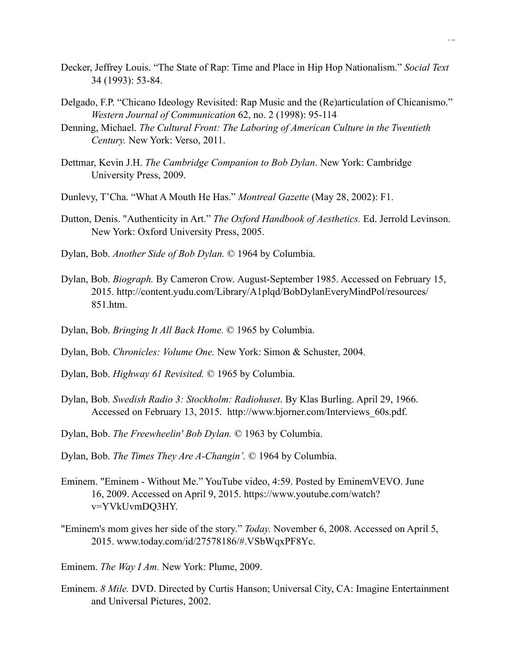- Decker, Jeffrey Louis. "The State of Rap: Time and Place in Hip Hop Nationalism." *Social Text* 34 (1993): 53-84.
- Delgado, F.P. "Chicano Ideology Revisited: Rap Music and the (Re)articulation of Chicanismo." *Western Journal of Communication* 62, no. 2 (1998): 95-114
- Denning, Michael. *The Cultural Front: The Laboring of American Culture in the Twentieth Century.* New York: Verso, 2011.
- Dettmar, Kevin J.H. *The Cambridge Companion to Bob Dylan*. New York: Cambridge University Press, 2009.
- Dunlevy, T'Cha. "What A Mouth He Has." *Montreal Gazette* (May 28, 2002): F1.
- Dutton, Denis. "Authenticity in Art." *The Oxford Handbook of Aesthetics.* Ed. Jerrold Levinson. New York: Oxford University Press, 2005.
- Dylan, Bob. *Another Side of Bob Dylan.* © 1964 by Columbia.
- Dylan, Bob. *Biograph.* By Cameron Crow. August-September 1985. Accessed on February 15, 2015. http://content.yudu.com/Library/A1plqd/BobDylanEveryMindPol/resources/ 851.htm.
- Dylan, Bob. *Bringing It All Back Home.* © 1965 by Columbia.
- Dylan, Bob. *Chronicles: Volume One.* New York: Simon & Schuster, 2004.
- Dylan, Bob. *Highway 61 Revisited.* © 1965 by Columbia.
- Dylan, Bob. *Swedish Radio 3: Stockholm: Radiohuset*. By Klas Burling. April 29, 1966. Accessed on February 13, 2015. http://www.bjorner.com/Interviews\_60s.pdf.
- Dylan, Bob. *The Freewheelin' Bob Dylan.* © 1963 by Columbia.
- Dylan, Bob. *The Times They Are A-Changin'.* © 1964 by Columbia.
- Eminem. "Eminem Without Me." YouTube video, 4:59. Posted by EminemVEVO. June 16, 2009. Accessed on April 9, 2015. https://www.youtube.com/watch? v=YVkUvmDQ3HY.
- "Eminem's mom gives her side of the story." *Today.* November 6, 2008. Accessed on April 5, 2015. www.today.com/id/27578186/#.VSbWqxPF8Yc.
- Eminem. *The Way I Am.* New York: Plume, 2009.
- Eminem. *8 Mile.* DVD. Directed by Curtis Hanson; Universal City, CA: Imagine Entertainment and Universal Pictures, 2002.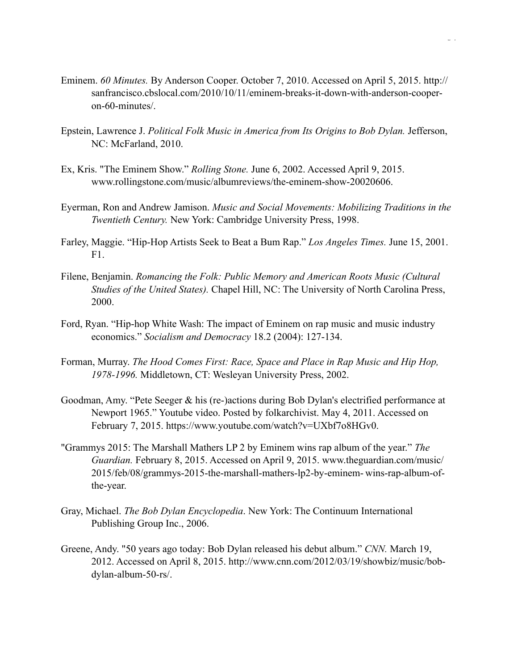- Eminem. *60 Minutes.* By Anderson Cooper. October 7, 2010. Accessed on April 5, 2015. http:// sanfrancisco.cbslocal.com/2010/10/11/eminem-breaks-it-down-with-anderson-cooper on-60-minutes/.
- Epstein, Lawrence J. *Political Folk Music in America from Its Origins to Bob Dylan.* Jefferson, NC: McFarland, 2010.
- Ex, Kris. "The Eminem Show." *Rolling Stone.* June 6, 2002. Accessed April 9, 2015. www.rollingstone.com/music/albumreviews/the-eminem-show-20020606.
- Eyerman, Ron and Andrew Jamison. *Music and Social Movements: Mobilizing Traditions in the Twentieth Century.* New York: Cambridge University Press, 1998.
- Farley, Maggie. "Hip-Hop Artists Seek to Beat a Bum Rap." *Los Angeles Times.* June 15, 2001. F1.
- Filene, Benjamin. *Romancing the Folk: Public Memory and American Roots Music (Cultural Studies of the United States).* Chapel Hill, NC: The University of North Carolina Press, 2000.
- Ford, Ryan. "Hip-hop White Wash: The impact of Eminem on rap music and music industry economics." *Socialism and Democracy* 18.2 (2004): 127-134.
- Forman, Murray. *The Hood Comes First: Race, Space and Place in Rap Music and Hip Hop, 1978-1996.* Middletown, CT: Wesleyan University Press, 2002.
- Goodman, Amy. "Pete Seeger & his (re-)actions during Bob Dylan's electrified performance at Newport 1965." Youtube video. Posted by folkarchivist. May 4, 2011. Accessed on February 7, 2015. https://www.youtube.com/watch?v=UXbf7o8HGv0.
- "Grammys 2015: The Marshall Mathers LP 2 by Eminem wins rap album of the year." *The Guardian.* February 8, 2015. Accessed on April 9, 2015. www.theguardian.com/music/ 2015/feb/08/grammys-2015-the-marshall-mathers-lp2-by-eminem- wins-rap-album-of the-year.
- Gray, Michael. *The Bob Dylan Encyclopedia*. New York: The Continuum International Publishing Group Inc., 2006.
- Greene, Andy. "50 years ago today: Bob Dylan released his debut album." *CNN.* March 19, 2012. Accessed on April 8, 2015. http://www.cnn.com/2012/03/19/showbiz/music/bob dylan-album-50-rs/.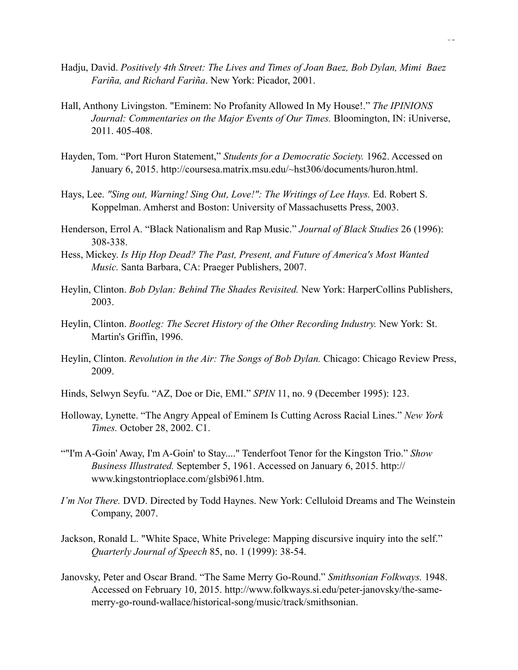- Hadju, David. *Positively 4th Street: The Lives and Times of Joan Baez, Bob Dylan, Mimi Baez Fariña, and Richard Fariña*. New York: Picador, 2001.
- Hall, Anthony Livingston. "Eminem: No Profanity Allowed In My House!." *The IPINIONS Journal: Commentaries on the Major Events of Our Times. Bloomington, IN: iUniverse,* 2011. 405-408.
- Hayden, Tom. "Port Huron Statement," *Students for a Democratic Society.* 1962. Accessed on January 6, 2015. http://coursesa.matrix.msu.edu/~hst306/documents/huron.html.
- Hays, Lee. "Sing out, Warning! Sing Out, Love!": The Writings of Lee Hays. Ed. Robert S. Koppelman. Amherst and Boston: University of Massachusetts Press, 2003.
- Henderson, Errol A. "Black Nationalism and Rap Music." *Journal of Black Studies* 26 (1996): 308-338.
- Hess, Mickey. *Is Hip Hop Dead? The Past, Present, and Future of America's Most Wanted Music.* Santa Barbara, CA: Praeger Publishers, 2007.
- Heylin, Clinton. *Bob Dylan: Behind The Shades Revisited.* New York: HarperCollins Publishers, 2003.
- Heylin, Clinton. *Bootleg: The Secret History of the Other Recording Industry*. New York: St. Martin's Griffin, 1996.
- Heylin, Clinton. *Revolution in the Air: The Songs of Bob Dylan.* Chicago: Chicago Review Press, 2009.
- Hinds, Selwyn Seyfu. "AZ, Doe or Die, EMI." *SPIN* 11, no. 9 (December 1995): 123.
- Holloway, Lynette. "The Angry Appeal of Eminem Is Cutting Across Racial Lines." *New York Times.* October 28, 2002. C1.
- ""I'm A-Goin' Away, I'm A-Goin' to Stay...." Tenderfoot Tenor for the Kingston Trio." *Show Business Illustrated.* September 5, 1961. Accessed on January 6, 2015. http:// www.kingstontrioplace.com/glsbi961.htm.
- *I'm Not There.* DVD. Directed by Todd Haynes. New York: Celluloid Dreams and The Weinstein Company, 2007.
- Jackson, Ronald L. "White Space, White Privelege: Mapping discursive inquiry into the self." *Quarterly Journal of Speech* 85, no. 1 (1999): 38-54.
- Janovsky, Peter and Oscar Brand. "The Same Merry Go-Round." *Smithsonian Folkways.* 1948. Accessed on February 10, 2015. http://www.folkways.si.edu/peter-janovsky/the-same merry-go-round-wallace/historical-song/music/track/smithsonian.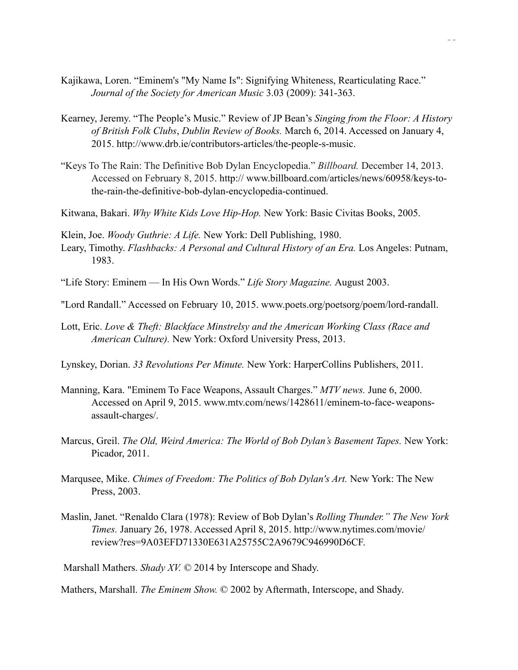- Kajikawa, Loren. "Eminem's "My Name Is": Signifying Whiteness, Rearticulating Race." *Journal of the Society for American Music* 3.03 (2009): 341-363.
- Kearney, Jeremy. "The People's Music." Review of JP Bean's *Singing from the Floor: A History of British Folk Clubs*, *Dublin Review of Books.* March 6, 2014. Accessed on January 4, 2015. http://www.drb.ie/contributors-articles/the-people-s-music.

 $\ddot{\phantom{0}}$ 

- "Keys To The Rain: The Definitive Bob Dylan Encyclopedia." *Billboard.* December 14, 2013. Accessed on February 8, 2015. http:// www.billboard.com/articles/news/60958/keys-to the-rain-the-definitive-bob-dylan-encyclopedia-continued.
- Kitwana, Bakari. *Why White Kids Love Hip-Hop.* New York: Basic Civitas Books, 2005.
- Klein, Joe. *Woody Guthrie: A Life.* New York: Dell Publishing, 1980.
- Leary, Timothy. *Flashbacks: A Personal and Cultural History of an Era.* Los Angeles: Putnam, 1983.
- "Life Story: Eminem In His Own Words." *Life Story Magazine.* August 2003.
- "Lord Randall." Accessed on February 10, 2015. www.poets.org/poetsorg/poem/lord-randall.
- Lott, Eric. *Love & Theft: Blackface Minstrelsy and the American Working Class (Race and American Culture).* New York: Oxford University Press, 2013.

Lynskey, Dorian. *33 Revolutions Per Minute.* New York: HarperCollins Publishers, 2011.

- Manning, Kara. "Eminem To Face Weapons, Assault Charges." *MTV news.* June 6, 2000. Accessed on April 9, 2015. www.mtv.com/news/1428611/eminem-to-face- weapons assault-charges/.
- Marcus, Greil. *The Old, Weird America: The World of Bob Dylan's Basement Tapes.* New York: Picador, 2011.
- Marqusee, Mike. *Chimes of Freedom: The Politics of Bob Dylan's Art.* New York: The New Press, 2003.
- Maslin, Janet. "Renaldo Clara (1978): Review of Bob Dylan's *Rolling Thunder." The New York Times.* January 26, 1978. Accessed April 8, 2015. http://www.nytimes.com/movie/ review?res=9A03EFD71330E631A25755C2A9679C946990D6CF.

Marshall Mathers. *Shady XV.* © 2014 by Interscope and Shady.

Mathers, Marshall. *The Eminem Show.* © 2002 by Aftermath, Interscope, and Shady.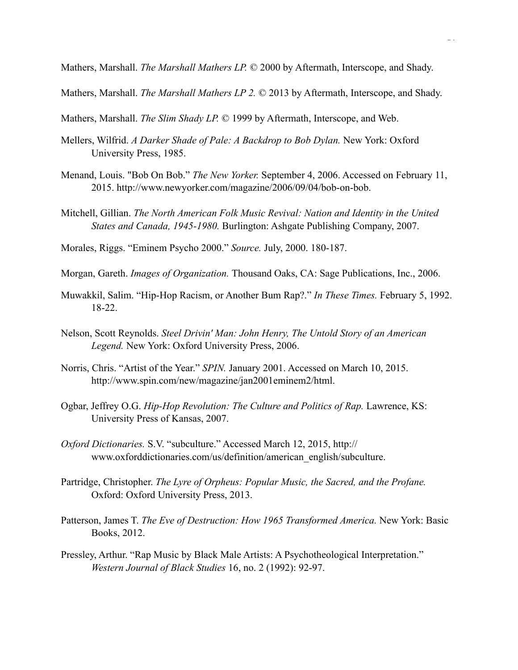Mathers, Marshall. *The Marshall Mathers LP.* © 2000 by Aftermath, Interscope, and Shady.

Mathers, Marshall. *The Marshall Mathers LP 2.* © 2013 by Aftermath, Interscope, and Shady.

Mathers, Marshall. *The Slim Shady LP.* © 1999 by Aftermath, Interscope, and Web.

- Mellers, Wilfrid. *A Darker Shade of Pale: A Backdrop to Bob Dylan.* New York: Oxford University Press, 1985.
- Menand, Louis. "Bob On Bob." *The New Yorker.* September 4, 2006. Accessed on February 11, 2015. http://www.newyorker.com/magazine/2006/09/04/bob-on-bob.
- Mitchell, Gillian. *The North American Folk Music Revival: Nation and Identity in the United States and Canada, 1945-1980.* Burlington: Ashgate Publishing Company, 2007.

Morales, Riggs. "Eminem Psycho 2000." *Source.* July, 2000. 180-187.

- Morgan, Gareth. *Images of Organization.* Thousand Oaks, CA: Sage Publications, Inc., 2006.
- Muwakkil, Salim. "Hip-Hop Racism, or Another Bum Rap?." *In These Times.* February 5, 1992. 18-22.
- Nelson, Scott Reynolds. *Steel Drivin' Man: John Henry, The Untold Story of an American Legend.* New York: Oxford University Press, 2006.
- Norris, Chris. "Artist of the Year." *SPIN.* January 2001. Accessed on March 10, 2015. http://www.spin.com/new/magazine/jan2001eminem2/html.
- Ogbar, Jeffrey O.G. *Hip-Hop Revolution: The Culture and Politics of Rap.* Lawrence, KS: University Press of Kansas, 2007.
- *Oxford Dictionaries.* S.V. "subculture." Accessed March 12, 2015, http:// www.oxforddictionaries.com/us/definition/american\_english/subculture.
- Partridge, Christopher. *The Lyre of Orpheus: Popular Music, the Sacred, and the Profane.*  Oxford: Oxford University Press, 2013.
- Patterson, James T. *The Eve of Destruction: How 1965 Transformed America.* New York: Basic Books, 2012.
- Pressley, Arthur. "Rap Music by Black Male Artists: A Psychotheological Interpretation." *Western Journal of Black Studies* 16, no. 2 (1992): 92-97.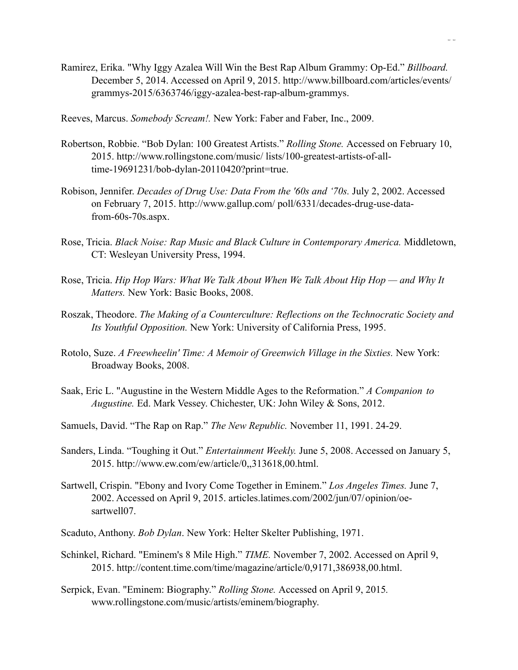- Ramirez, Erika. "Why Iggy Azalea Will Win the Best Rap Album Grammy: Op-Ed." *Billboard.*  December 5, 2014. Accessed on April 9, 2015. http://www.billboard.com/articles/events/ grammys-2015/6363746/iggy-azalea-best-rap-album-grammys.
- Reeves, Marcus. *Somebody Scream!.* New York: Faber and Faber, Inc., 2009.
- Robertson, Robbie. "Bob Dylan: 100 Greatest Artists." *Rolling Stone.* Accessed on February 10, 2015. http://www.rollingstone.com/music/ lists/100-greatest-artists-of-all time-19691231/bob-dylan-20110420?print=true.
- Robison, Jennifer. *Decades of Drug Use: Data From the '60s and '70s.* July 2, 2002. Accessed on February 7, 2015. http://www.gallup.com/ poll/6331/decades-drug-use-data from-60s-70s.aspx.
- Rose, Tricia. *Black Noise: Rap Music and Black Culture in Contemporary America.* Middletown, CT: Wesleyan University Press, 1994.
- Rose, Tricia. *Hip Hop Wars: What We Talk About When We Talk About Hip Hop and Why It Matters.* New York: Basic Books, 2008.
- Roszak, Theodore. *The Making of a Counterculture: Reflections on the Technocratic Society and Its Youthful Opposition.* New York: University of California Press, 1995.
- Rotolo, Suze. *A Freewheelin' Time: A Memoir of Greenwich Village in the Sixties.* New York: Broadway Books, 2008.
- Saak, Eric L. "Augustine in the Western Middle Ages to the Reformation." *A Companion to Augustine.* Ed. Mark Vessey. Chichester, UK: John Wiley & Sons, 2012.
- Samuels, David. "The Rap on Rap." *The New Republic.* November 11, 1991. 24-29.
- Sanders, Linda. "Toughing it Out." *Entertainment Weekly.* June 5, 2008. Accessed on January 5, 2015. http://www.ew.com/ew/article/0,,313618,00.html.
- Sartwell, Crispin. "Ebony and Ivory Come Together in Eminem." *Los Angeles Times.* June 7, 2002. Accessed on April 9, 2015. articles.latimes.com/2002/jun/07/ opinion/oe sartwell07.
- Scaduto, Anthony. *Bob Dylan*. New York: Helter Skelter Publishing, 1971.
- Schinkel, Richard. "Eminem's 8 Mile High." *TIME.* November 7, 2002. Accessed on April 9, 2015. http://content.time.com/time/magazine/article/0,9171,386938,00.html.
- Serpick, Evan. "Eminem: Biography." *Rolling Stone.* Accessed on April 9, 2015*.* www.rollingstone.com/music/artists/eminem/biography.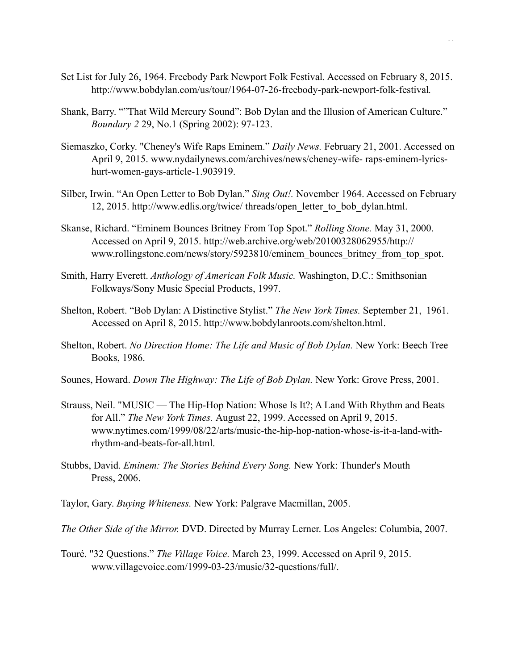- Set List for July 26, 1964. Freebody Park Newport Folk Festival. Accessed on February 8, 2015. http://www.bobdylan.com/us/tour/1964-07-26-freebody-park-newport-folk-festival*.*
- Shank, Barry. ""That Wild Mercury Sound": Bob Dylan and the Illusion of American Culture." *Boundary 2* 29, No.1 (Spring 2002): 97-123.
- Siemaszko, Corky. "Cheney's Wife Raps Eminem." *Daily News.* February 21, 2001. Accessed on April 9, 2015. www.nydailynews.com/archives/news/cheney-wife- raps-eminem-lyrics hurt-women-gays-article-1.903919.
- Silber, Irwin. "An Open Letter to Bob Dylan." *Sing Out!.* November 1964. Accessed on February 12, 2015. http://www.edlis.org/twice/ threads/open\_letter\_to\_bob\_dylan.html.
- Skanse, Richard. "Eminem Bounces Britney From Top Spot." *Rolling Stone.* May 31, 2000. Accessed on April 9, 2015. http://web.archive.org/web/20100328062955/http:// www.rollingstone.com/news/story/5923810/eminem\_bounces\_britney\_from\_top\_spot.
- Smith, Harry Everett. *Anthology of American Folk Music.* Washington, D.C.: Smithsonian Folkways/Sony Music Special Products, 1997.
- Shelton, Robert. "Bob Dylan: A Distinctive Stylist." *The New York Times.* September 21, 1961. Accessed on April 8, 2015. http://www.bobdylanroots.com/shelton.html.
- Shelton, Robert. *No Direction Home: The Life and Music of Bob Dylan.* New York: Beech Tree Books, 1986.
- Sounes, Howard. *Down The Highway: The Life of Bob Dylan.* New York: Grove Press, 2001.
- Strauss, Neil. "MUSIC The Hip-Hop Nation: Whose Is It?; A Land With Rhythm and Beats for All." *The New York Times.* August 22, 1999. Accessed on April 9, 2015. www.nytimes.com/1999/08/22/arts/music-the-hip-hop-nation-whose-is-it-a-land-with rhythm-and-beats-for-all.html.
- Stubbs, David. *Eminem: The Stories Behind Every Song.* New York: Thunder's Mouth Press, 2006.
- Taylor, Gary. *Buying Whiteness.* New York: Palgrave Macmillan, 2005.
- *The Other Side of the Mirror.* DVD. Directed by Murray Lerner. Los Angeles: Columbia, 2007.
- Touré. "32 Questions." *The Village Voice.* March 23, 1999. Accessed on April 9, 2015. www.villagevoice.com/1999-03-23/music/32-questions/full/.